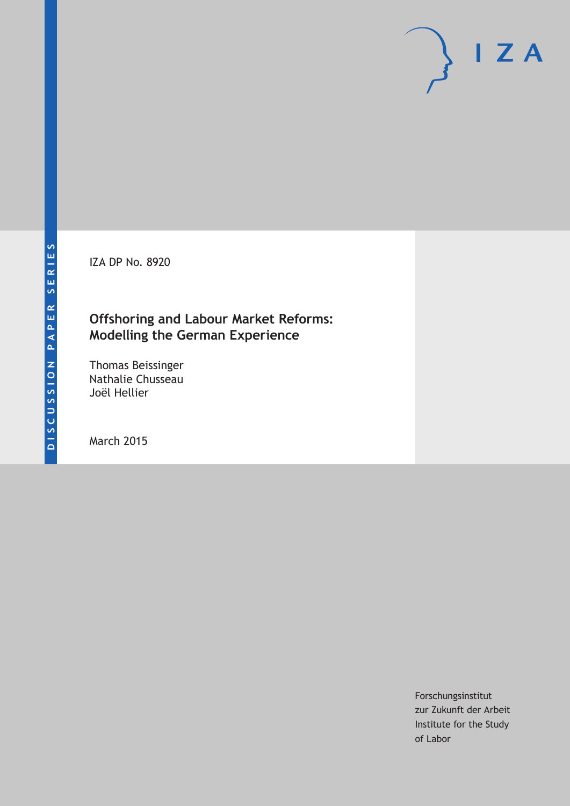IZA DP No. 8920

# **Offshoring and Labour Market Reforms: Modelling the German Experience**

Thomas Beissinger Nathalie Chusseau Joël Hellier

March 2015

Forschungsinstitut zur Zukunft der Arbeit Institute for the Study of Labor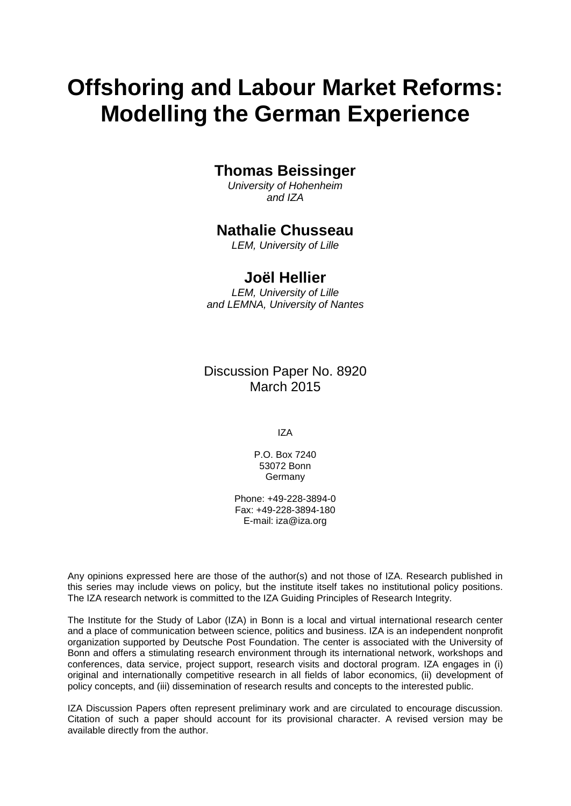# **Offshoring and Labour Market Reforms: Modelling the German Experience**

# **Thomas Beissinger**

*University of Hohenheim and IZA*

# **Nathalie Chusseau**

*LEM, University of Lille*

# **Joël Hellier**

*LEM, University of Lille and LEMNA, University of Nantes*

Discussion Paper No. 8920 March 2015

IZA

P.O. Box 7240 53072 Bonn **Germany** 

Phone: +49-228-3894-0 Fax: +49-228-3894-180 E-mail: iza@iza.org

Any opinions expressed here are those of the author(s) and not those of IZA. Research published in this series may include views on policy, but the institute itself takes no institutional policy positions. The IZA research network is committed to the IZA Guiding Principles of Research Integrity.

The Institute for the Study of Labor (IZA) in Bonn is a local and virtual international research center and a place of communication between science, politics and business. IZA is an independent nonprofit organization supported by Deutsche Post Foundation. The center is associated with the University of Bonn and offers a stimulating research environment through its international network, workshops and conferences, data service, project support, research visits and doctoral program. IZA engages in (i) original and internationally competitive research in all fields of labor economics, (ii) development of policy concepts, and (iii) dissemination of research results and concepts to the interested public.

IZA Discussion Papers often represent preliminary work and are circulated to encourage discussion. Citation of such a paper should account for its provisional character. A revised version may be available directly from the author.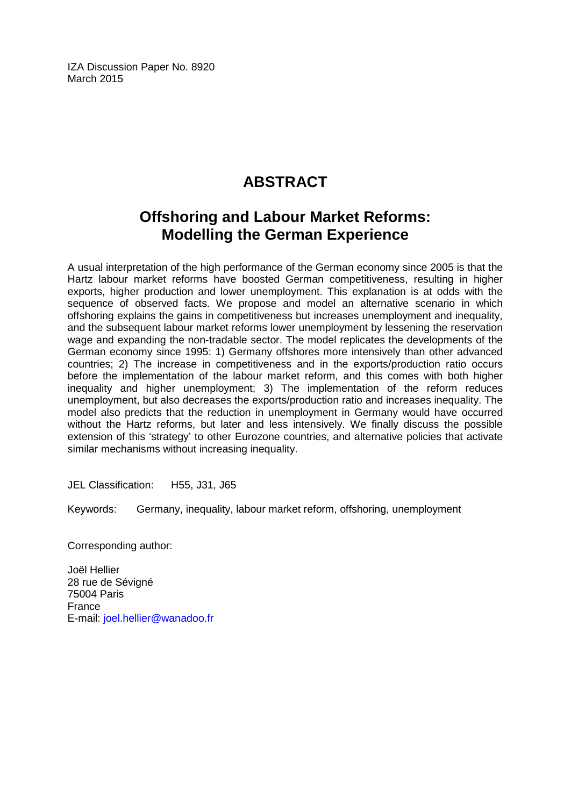IZA Discussion Paper No. 8920 March 2015

# **ABSTRACT**

# **Offshoring and Labour Market Reforms: Modelling the German Experience**

A usual interpretation of the high performance of the German economy since 2005 is that the Hartz labour market reforms have boosted German competitiveness, resulting in higher exports, higher production and lower unemployment. This explanation is at odds with the sequence of observed facts. We propose and model an alternative scenario in which offshoring explains the gains in competitiveness but increases unemployment and inequality, and the subsequent labour market reforms lower unemployment by lessening the reservation wage and expanding the non-tradable sector. The model replicates the developments of the German economy since 1995: 1) Germany offshores more intensively than other advanced countries; 2) The increase in competitiveness and in the exports/production ratio occurs before the implementation of the labour market reform, and this comes with both higher inequality and higher unemployment; 3) The implementation of the reform reduces unemployment, but also decreases the exports/production ratio and increases inequality. The model also predicts that the reduction in unemployment in Germany would have occurred without the Hartz reforms, but later and less intensively. We finally discuss the possible extension of this 'strategy' to other Eurozone countries, and alternative policies that activate similar mechanisms without increasing inequality.

JEL Classification: H55, J31, J65

Keywords: Germany, inequality, labour market reform, offshoring, unemployment

Corresponding author:

Joël Hellier 28 rue de Sévigné 75004 Paris France E-mail: [joel.hellier@wanadoo.fr](mailto:joel.hellier@wanadoo.fr)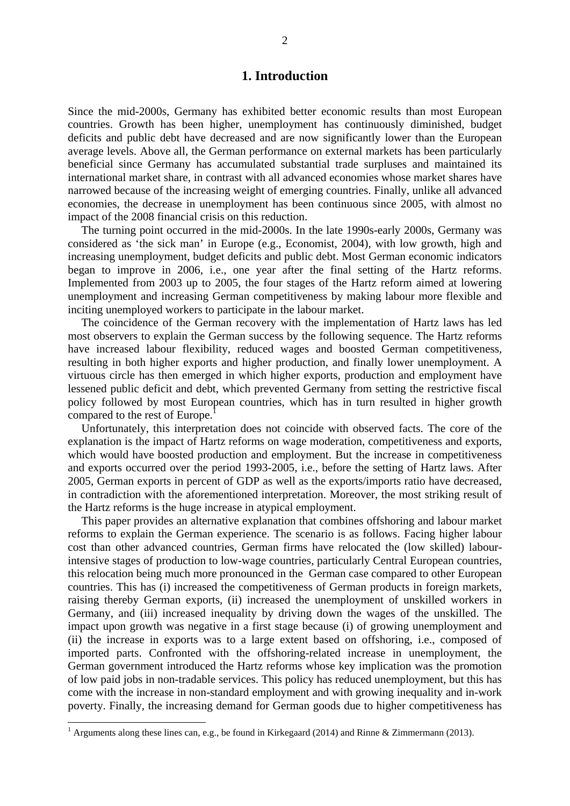#### **1. Introduction**

Since the mid-2000s, Germany has exhibited better economic results than most European countries. Growth has been higher, unemployment has continuously diminished, budget deficits and public debt have decreased and are now significantly lower than the European average levels. Above all, the German performance on external markets has been particularly beneficial since Germany has accumulated substantial trade surpluses and maintained its international market share, in contrast with all advanced economies whose market shares have narrowed because of the increasing weight of emerging countries. Finally, unlike all advanced economies, the decrease in unemployment has been continuous since 2005, with almost no impact of the 2008 financial crisis on this reduction.

The turning point occurred in the mid-2000s. In the late 1990s-early 2000s, Germany was considered as 'the sick man' in Europe (e.g., Economist, 2004), with low growth, high and increasing unemployment, budget deficits and public debt. Most German economic indicators began to improve in 2006, i.e., one year after the final setting of the Hartz reforms. Implemented from 2003 up to 2005, the four stages of the Hartz reform aimed at lowering unemployment and increasing German competitiveness by making labour more flexible and inciting unemployed workers to participate in the labour market.

The coincidence of the German recovery with the implementation of Hartz laws has led most observers to explain the German success by the following sequence. The Hartz reforms have increased labour flexibility, reduced wages and boosted German competitiveness, resulting in both higher exports and higher production, and finally lower unemployment. A virtuous circle has then emerged in which higher exports, production and employment have lessened public deficit and debt, which prevented Germany from setting the restrictive fiscal policy followed by most European countries, which has in turn resulted in higher growth compared to the rest of Europe.<sup>1</sup>

Unfortunately, this interpretation does not coincide with observed facts. The core of the explanation is the impact of Hartz reforms on wage moderation, competitiveness and exports, which would have boosted production and employment. But the increase in competitiveness and exports occurred over the period 1993-2005, i.e., before the setting of Hartz laws. After 2005, German exports in percent of GDP as well as the exports/imports ratio have decreased, in contradiction with the aforementioned interpretation. Moreover, the most striking result of the Hartz reforms is the huge increase in atypical employment.

This paper provides an alternative explanation that combines offshoring and labour market reforms to explain the German experience. The scenario is as follows. Facing higher labour cost than other advanced countries, German firms have relocated the (low skilled) labourintensive stages of production to low-wage countries, particularly Central European countries, this relocation being much more pronounced in the German case compared to other European countries. This has (i) increased the competitiveness of German products in foreign markets, raising thereby German exports, (ii) increased the unemployment of unskilled workers in Germany, and (iii) increased inequality by driving down the wages of the unskilled. The impact upon growth was negative in a first stage because (i) of growing unemployment and (ii) the increase in exports was to a large extent based on offshoring, i.e., composed of imported parts. Confronted with the offshoring-related increase in unemployment, the German government introduced the Hartz reforms whose key implication was the promotion of low paid jobs in non-tradable services. This policy has reduced unemployment, but this has come with the increase in non-standard employment and with growing inequality and in-work poverty. Finally, the increasing demand for German goods due to higher competitiveness has

<sup>&</sup>lt;sup>1</sup> Arguments along these lines can, e.g., be found in Kirkegaard (2014) and Rinne & Zimmermann (2013).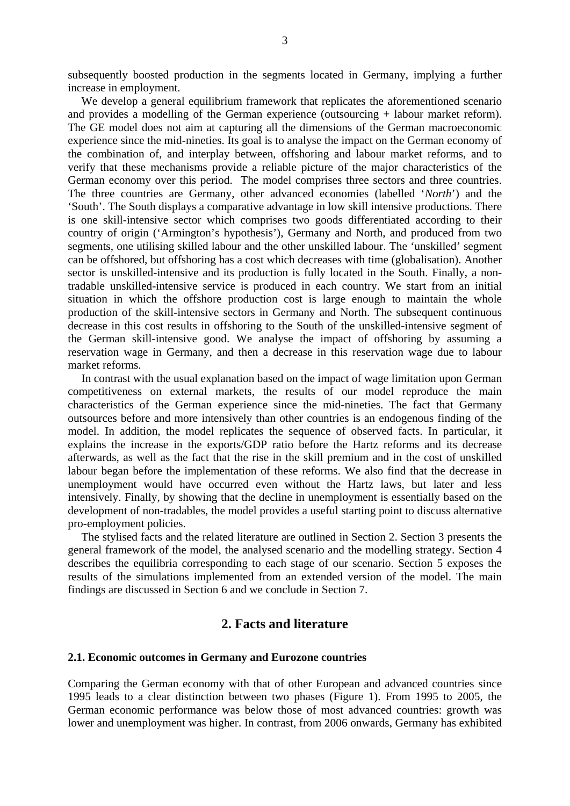subsequently boosted production in the segments located in Germany, implying a further increase in employment.

We develop a general equilibrium framework that replicates the aforementioned scenario and provides a modelling of the German experience (outsourcing + labour market reform). The GE model does not aim at capturing all the dimensions of the German macroeconomic experience since the mid-nineties. Its goal is to analyse the impact on the German economy of the combination of, and interplay between, offshoring and labour market reforms, and to verify that these mechanisms provide a reliable picture of the major characteristics of the German economy over this period. The model comprises three sectors and three countries. The three countries are Germany, other advanced economies (labelled '*North*') and the 'South'. The South displays a comparative advantage in low skill intensive productions. There is one skill-intensive sector which comprises two goods differentiated according to their country of origin ('Armington's hypothesis'), Germany and North, and produced from two segments, one utilising skilled labour and the other unskilled labour. The 'unskilled' segment can be offshored, but offshoring has a cost which decreases with time (globalisation). Another sector is unskilled-intensive and its production is fully located in the South. Finally, a nontradable unskilled-intensive service is produced in each country. We start from an initial situation in which the offshore production cost is large enough to maintain the whole production of the skill-intensive sectors in Germany and North. The subsequent continuous decrease in this cost results in offshoring to the South of the unskilled-intensive segment of the German skill-intensive good. We analyse the impact of offshoring by assuming a reservation wage in Germany, and then a decrease in this reservation wage due to labour market reforms.

In contrast with the usual explanation based on the impact of wage limitation upon German competitiveness on external markets, the results of our model reproduce the main characteristics of the German experience since the mid-nineties. The fact that Germany outsources before and more intensively than other countries is an endogenous finding of the model. In addition, the model replicates the sequence of observed facts. In particular, it explains the increase in the exports/GDP ratio before the Hartz reforms and its decrease afterwards, as well as the fact that the rise in the skill premium and in the cost of unskilled labour began before the implementation of these reforms. We also find that the decrease in unemployment would have occurred even without the Hartz laws, but later and less intensively. Finally, by showing that the decline in unemployment is essentially based on the development of non-tradables, the model provides a useful starting point to discuss alternative pro-employment policies.

The stylised facts and the related literature are outlined in Section 2. Section 3 presents the general framework of the model, the analysed scenario and the modelling strategy. Section 4 describes the equilibria corresponding to each stage of our scenario. Section 5 exposes the results of the simulations implemented from an extended version of the model. The main findings are discussed in Section 6 and we conclude in Section 7.

### **2. Facts and literature**

#### **2.1. Economic outcomes in Germany and Eurozone countries**

Comparing the German economy with that of other European and advanced countries since 1995 leads to a clear distinction between two phases (Figure 1). From 1995 to 2005, the German economic performance was below those of most advanced countries: growth was lower and unemployment was higher. In contrast, from 2006 onwards, Germany has exhibited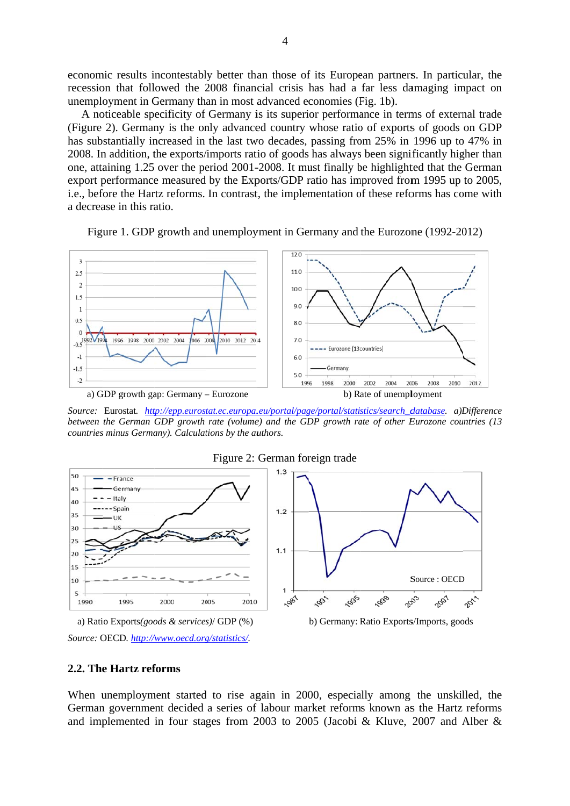economic results incontestably better than those of its European partners. In particular, the recession that followed the 2008 financial crisis has had a far less damaging impact on unemployment in Germany than in most advanced economies (Fig. 1b).

A noticeable specificity of Germany is its superior performance in terms of external trade (Figure 2). Germany is the only advanced country whose ratio of exports of goods on GDP has substantially increased in the last two decades, passing from 25% in 1996 up to 47% in 2008. In addition, the exports/imports ratio of goods has always been significantly higher than one, attaining 1.25 over the period 2001-2008. It must finally be highlighted that the German export performance measured by the Exports/GDP ratio has improved from 1995 up to 2005, i.e., before the Hartz reforms. In contrast, the implementation of these reforms has come with a decrease in this ratio.



Figure 1. GDP growth and unemployment in Germany and the Eurozone (1992-2012)

Source: Eurostat. http://epp.eurostat.ec.europa.eu/portal/page/portal/statistics/search\_database. a)Difference *between the German GDP growth rate (volume) and the GDP growth rate of other Eurozone countries (13 \meta countries minus Germany). Calculations by the authors.* 



Source: OECD. http://www.oecd.org/statistics/.

# 2.2. The Hartz reforms

When unemployment started to rise again in 2000, especially among the unskilled, the German government decided a series of labour market reforms known as the Hartz reforms and implemented in four stages from 2003 to 2005 (Jacobi & Kluve, 2007 and Alber &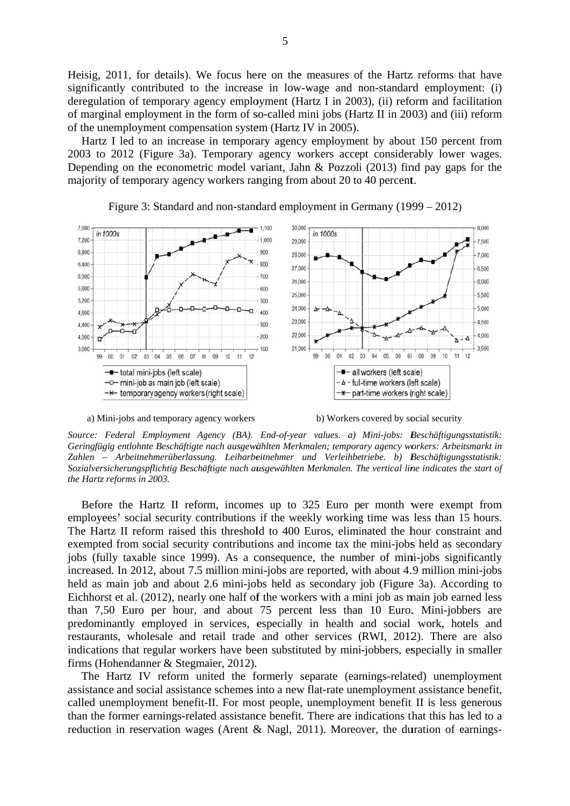Heisig, 2011, for details). We focus here on the measures of the Hartz reforms that have significantly contributed to the increase in low-wage and non-standard employment: (i) deregulation of temporary agency employment (Hartz I in 2003), (ii) reform and facilitation of marginal employment in the form of so-called mini jobs (Hartz II in 2003) and (iii) reform of the unemployment compensation system (Hartz IV in 2005).

Hartz I led to an increase in temporary agency employment by about 150 percent from 2003 to 2012 (Figure 3a). Temporary agency workers accept considerably lower wages. Depending on the econometric model variant, Jahn & Pozzoli (2013) find pay gaps for the majority of temporary agency workers ranging from about 20 to 40 percent.







b) Workers covered by social security

Source: Federal Employment Agency (BA). End-of-year values. a) Mini-jobs: Beschäftigungsstatistik: Geringfügig entlohnte Beschäftigte nach ausgewählten Merkmalen; temporary agency workers: Arbeitsmarkt in Zahlen – Arbeitnehmerüberlassung. Leiharbeitnehmer und Verleihbetriebe. b) Beschäftigungsstatistik: *Sozialver rsicherungspfl flichtig Beschäf äftigte nach au usgewählten M Merkmalen. T The vertical lin ne indicates th he start of the Hartz reforms in 2003.* 

Before the Hartz II reform, incomes up to 325 Euro per month were exempt from employees' social security contributions if the weekly working time was less than 15 hours. The Hartz II reform raised this threshold to 400 Euros, eliminated the hour constraint and exempted from social security contributions and income tax the mini-jobs held as secondary jobs (fully taxable since 1999). As a consequence, the number of mini-jobs significantly increased. In 2012, about 7.5 million mini-jobs are reported, with about 4.9 million mini-jobs held as main job and about 2.6 mini-jobs held as secondary job (Figure 3a). According to Eichhorst et al. (2012), nearly one half of the workers with a mini job as main job earned less than 7,50 Euro per hour, and about 75 percent less than 10 Euro. Mini-jobbers are predominantly employed in services, especially in health and social work, hotels and restaurants, wholesale and retail trade and other services (RWI, 2012). There are also indications that regular workers have been substituted by mini-jobbers, especially in smaller firms (Hohendanner & Stegmaier, 2012).

ms (Hohendanner & Stegmaier, 2012).<br>The Hartz IV reform united the formerly separate (earnings-related) unemployment assistance and social assistance schemes into a new flat-rate unemployment assistance benefit, called unemployment benefit-II. For most people, unemployment benefit II is less generous than the former earnings-related assistance benefit. There are indications that this has led to a reduction in reservation wages (Arent & Nagl, 2011). Moreover, the duration of earnings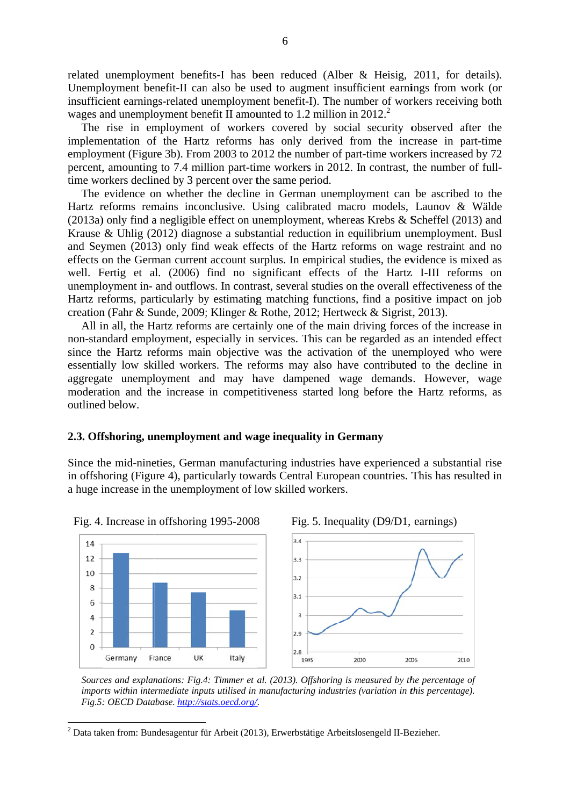related unemployment benefits-I has been reduced (Alber & Heisig, 2011, for details). Unemployment benefit-II can also be used to augment insufficient earnings from work (or insufficient earnings-related unemployment benefit-I). The number of workers receiving both wages and unemployment benefit II amounted to 1.2 million in 2012.<sup>2</sup>

The rise in employment of workers covered by social security observed after the implementation of the Hartz reforms has only derived from the increase in part-time employment (Figure 3b). From 2003 to 2012 the number of part-time workers increased by 72 percent, amounting to 7.4 million part-time workers in 2012. In contrast, the number of fulltime workers declined by 3 percent over the same period.

The evidence on whether the decline in German unemployment can be ascribed to the Hartz reforms remains inconclusive. Using calibrated macro models, Launov & Wälde (2013a) only find a negligible effect on unemployment, whereas Krebs & Scheffel (2013) and Krause & Uhlig (2012) diagnose a substantial reduction in equilibrium unemployment. Busl and Seymen (2013) only find weak effects of the Hartz reforms on wage restraint and no effects on the German current account surplus. In empirical studies, the evidence is mixed as well. Fertig et al. (2006) find no significant effects of the Hartz I-III reforms on unemployment in- and outflows. In contrast, several studies on the overall effectiveness of the Hartz reforms, particularly by estimating matching functions, find a positive impact on job creation (Fahr & Sunde, 2009; Klinger & Rothe, 2012; Hertweck & Sigrist, 2013).

All in all, the Hartz reforms are certainly one of the main driving forces of the increase in non-standard employment, especially in services. This can be regarded as an intended effect since the Hartz reforms main objective was the activation of the unemployed who were essentially low skilled workers. The reforms may also have contributed to the decline in aggregate unemployment and may have dampened wage demands. However, wage moderation and the increase in competitiveness started long before the Hartz reforms, as outlined below.

#### 2.3. Offshoring, unemployment and wage inequality in Germany

Since the mid-nineties, German manufacturing industries have experienced a substantial rise in offshoring (Figure 4), particularly towards Central European countries. This has resulted in a huge increase in the unemployment of low skilled workers.



Fig. 4. Increase in offshoring 1995-2008

 $\overline{a}$ 

 $\overline{a}$ 



*Sources and explanations: Fig.4: Timmer et al. (2013). Offshoring is measured by the percentage of imports within intermediate inputs utilised in manufacturing industries (variation in this percentage). Fig.5: OECD Database.* http://stats.oecd.org/.

 2 Data tak ken from: Bun ndesagentur für Arbeit (2013), Erwerbstätige Arbeitslosengeld II-Bezieher.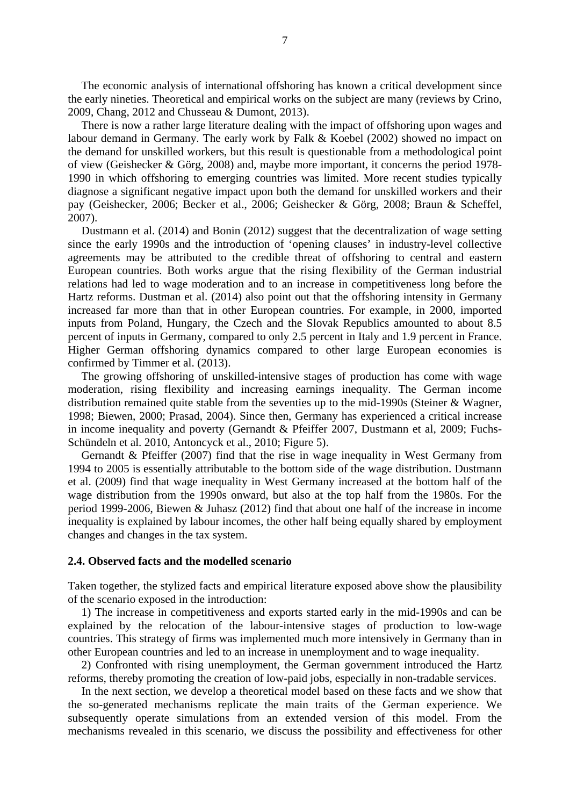The economic analysis of international offshoring has known a critical development since the early nineties. Theoretical and empirical works on the subject are many (reviews by Crino, 2009, Chang, 2012 and Chusseau & Dumont, 2013).

 There is now a rather large literature dealing with the impact of offshoring upon wages and labour demand in Germany. The early work by Falk & Koebel (2002) showed no impact on the demand for unskilled workers, but this result is questionable from a methodological point of view (Geishecker & Görg, 2008) and, maybe more important, it concerns the period 1978- 1990 in which offshoring to emerging countries was limited. More recent studies typically diagnose a significant negative impact upon both the demand for unskilled workers and their pay (Geishecker, 2006; Becker et al., 2006; Geishecker & Görg, 2008; Braun & Scheffel, 2007).

 Dustmann et al. (2014) and Bonin (2012) suggest that the decentralization of wage setting since the early 1990s and the introduction of 'opening clauses' in industry-level collective agreements may be attributed to the credible threat of offshoring to central and eastern European countries. Both works argue that the rising flexibility of the German industrial relations had led to wage moderation and to an increase in competitiveness long before the Hartz reforms. Dustman et al. (2014) also point out that the offshoring intensity in Germany increased far more than that in other European countries. For example, in 2000, imported inputs from Poland, Hungary, the Czech and the Slovak Republics amounted to about 8.5 percent of inputs in Germany, compared to only 2.5 percent in Italy and 1.9 percent in France. Higher German offshoring dynamics compared to other large European economies is confirmed by Timmer et al. (2013).

The growing offshoring of unskilled-intensive stages of production has come with wage moderation, rising flexibility and increasing earnings inequality. The German income distribution remained quite stable from the seventies up to the mid-1990s (Steiner & Wagner, 1998; Biewen, 2000; Prasad, 2004). Since then, Germany has experienced a critical increase in income inequality and poverty (Gernandt & Pfeiffer 2007, Dustmann et al, 2009; Fuchs-Schündeln et al. 2010, Antoncyck et al., 2010; Figure 5).

 Gernandt & Pfeiffer (2007) find that the rise in wage inequality in West Germany from 1994 to 2005 is essentially attributable to the bottom side of the wage distribution. Dustmann et al. (2009) find that wage inequality in West Germany increased at the bottom half of the wage distribution from the 1990s onward, but also at the top half from the 1980s. For the period 1999-2006, Biewen & Juhasz (2012) find that about one half of the increase in income inequality is explained by labour incomes, the other half being equally shared by employment changes and changes in the tax system.

#### **2.4. Observed facts and the modelled scenario**

Taken together, the stylized facts and empirical literature exposed above show the plausibility of the scenario exposed in the introduction:

 1) The increase in competitiveness and exports started early in the mid-1990s and can be explained by the relocation of the labour-intensive stages of production to low-wage countries. This strategy of firms was implemented much more intensively in Germany than in other European countries and led to an increase in unemployment and to wage inequality.

 2) Confronted with rising unemployment, the German government introduced the Hartz reforms, thereby promoting the creation of low-paid jobs, especially in non-tradable services.

 In the next section, we develop a theoretical model based on these facts and we show that the so-generated mechanisms replicate the main traits of the German experience. We subsequently operate simulations from an extended version of this model. From the mechanisms revealed in this scenario, we discuss the possibility and effectiveness for other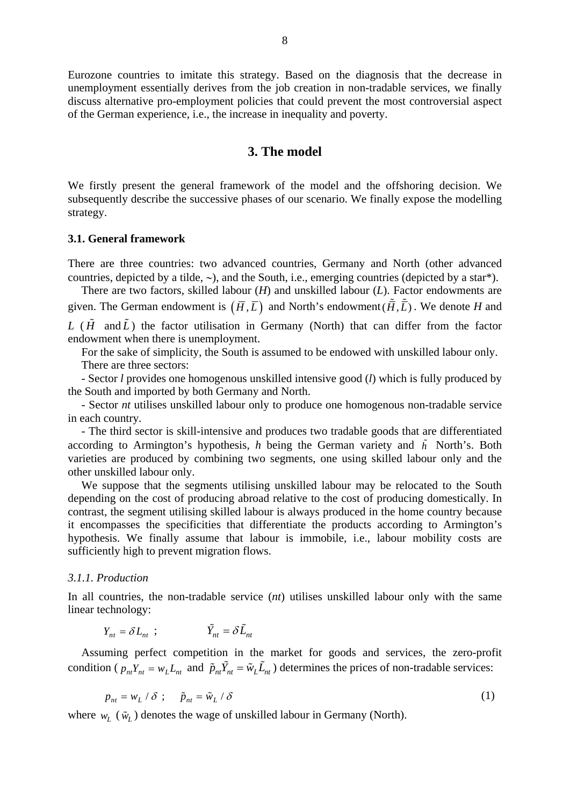Eurozone countries to imitate this strategy. Based on the diagnosis that the decrease in unemployment essentially derives from the job creation in non-tradable services, we finally discuss alternative pro-employment policies that could prevent the most controversial aspect of the German experience, i.e., the increase in inequality and poverty.

### **3. The model**

We firstly present the general framework of the model and the offshoring decision. We subsequently describe the successive phases of our scenario. We finally expose the modelling strategy.

#### **3.1. General framework**

There are three countries: two advanced countries, Germany and North (other advanced countries, depicted by a tilde,  $\sim$ ), and the South, i.e., emerging countries (depicted by a star\*).

There are two factors, skilled labour (*H*) and unskilled labour (*L*). Factor endowments are given. The German endowment is  $(\bar{H}, \bar{L})$  and North's endowment $(\tilde{H}, \tilde{L})$ . We denote *H* and *L* ( $\tilde{H}$  and  $\tilde{L}$ ) the factor utilisation in Germany (North) that can differ from the factor endowment when there is unemployment.

For the sake of simplicity, the South is assumed to be endowed with unskilled labour only. There are three sectors:

- Sector *l* provides one homogenous unskilled intensive good (*l*) which is fully produced by the South and imported by both Germany and North.

- Sector *nt* utilises unskilled labour only to produce one homogenous non-tradable service in each country.

- The third sector is skill-intensive and produces two tradable goods that are differentiated according to Armington's hypothesis, *h* being the German variety and  $\tilde{h}$  North's. Both varieties are produced by combining two segments, one using skilled labour only and the other unskilled labour only.

We suppose that the segments utilising unskilled labour may be relocated to the South depending on the cost of producing abroad relative to the cost of producing domestically. In contrast, the segment utilising skilled labour is always produced in the home country because it encompasses the specificities that differentiate the products according to Armington's hypothesis. We finally assume that labour is immobile, i.e., labour mobility costs are sufficiently high to prevent migration flows.

#### *3.1.1. Production*

In all countries, the non-tradable service (*nt*) utilises unskilled labour only with the same linear technology:

$$
Y_{nt} = \delta L_{nt} \; ; \qquad \qquad \tilde{Y}_{nt} = \delta \tilde{L}_{nt}
$$

Assuming perfect competition in the market for goods and services, the zero-profit condition ( $p_{nl}Y_{nt} = w_L L_{nt}$  and  $\tilde{p}_{nl}\tilde{Y}_{nt} = \tilde{w}_L \tilde{L}_{nt}$ ) determines the prices of non-tradable services:

$$
p_{nt} = w_L / \delta \; ; \quad \tilde{p}_{nt} = \tilde{w}_L / \delta \tag{1}
$$

where  $w_L$  ( $\tilde{w}_L$ ) denotes the wage of unskilled labour in Germany (North).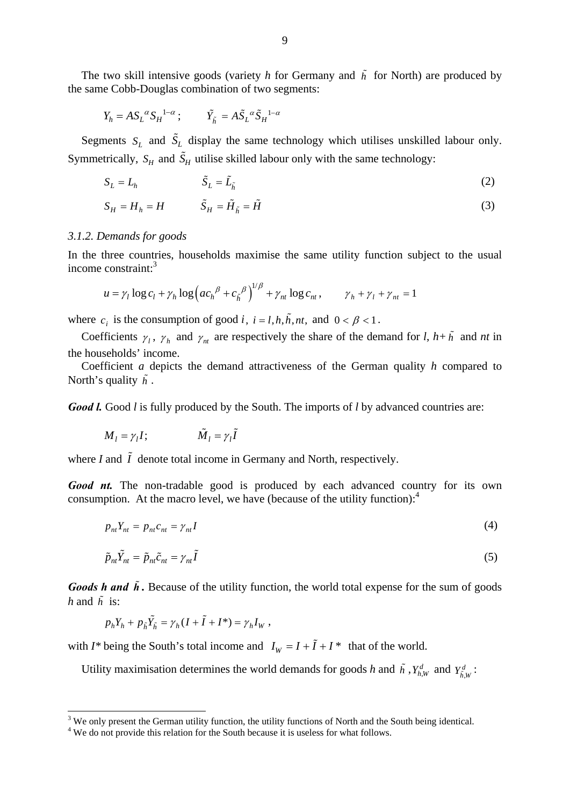The two skill intensive goods (variety  $h$  for Germany and  $\tilde{h}$  for North) are produced by the same Cobb-Douglas combination of two segments:

$$
Y_h = A S_L^{\alpha} S_H^{1-\alpha}; \qquad \tilde{Y}_{\tilde{h}} = A \tilde{S}_L^{\alpha} \tilde{S}_H^{1-\alpha}
$$

Segments  $S_L$  and  $\tilde{S}_L$  display the same technology which utilises unskilled labour only. Symmetrically,  $S_H$  and  $\tilde{S}_H$  utilise skilled labour only with the same technology:

$$
S_L = L_h \qquad \qquad \tilde{S}_L = \tilde{L}_{\tilde{h}} \tag{2}
$$

$$
S_H = H_h = H \qquad \qquad \tilde{S}_H = \tilde{H}_{\tilde{h}} = \tilde{H} \tag{3}
$$

#### *3.1.2. Demands for goods*

In the three countries, households maximise the same utility function subject to the usual income constraint:<sup>3</sup>

$$
u = \gamma_l \log c_l + \gamma_h \log \left( a c_h^{\ \beta} + c_{\tilde{h}}^{\ \beta} \right)^{1/\beta} + \gamma_{nt} \log c_{nt}, \qquad \gamma_h + \gamma_l + \gamma_{nt} = 1
$$

where  $c_i$  is the consumption of good *i*,  $i = l, h, \tilde{h}, nt$ , and  $0 < \beta < 1$ .

Coefficients  $\gamma_l$ ,  $\gamma_h$  and  $\gamma_m$  are respectively the share of the demand for *l*,  $h + \tilde{h}$  and *nt* in the households' income.

Coefficient *a* depicts the demand attractiveness of the German quality *h* compared to North's quality  $\tilde{h}$ .

*Good l.* Good *l* is fully produced by the South. The imports of *l* by advanced countries are:

$$
M_l = \gamma_l I; \qquad \qquad \tilde{M}_l = \gamma_l \tilde{I}
$$

where  $I$  and  $\tilde{I}$  denote total income in Germany and North, respectively.

Good nt. The non-tradable good is produced by each advanced country for its own consumption. At the macro level, we have (because of the utility function):<sup>4</sup>

$$
p_{nt}Y_{nt} = p_{nt}c_{nt} = \gamma_{nt}I
$$
\n<sup>(4)</sup>

$$
\tilde{p}_{nt}\tilde{Y}_{nt} = \tilde{p}_{nt}\tilde{c}_{nt} = \gamma_{nt}\tilde{I}
$$
\n(5)

Goods h and  $\tilde{h}$ . Because of the utility function, the world total expense for the sum of goods *h* and  $\tilde{h}$  is:

$$
p_h Y_h + p_{\tilde h} \tilde Y_{\tilde h} = \gamma_h (I + \tilde I + I^*) = \gamma_h I_W,
$$

1

with  $I^*$  being the South's total income and  $I_W = I + \tilde{I} + I^*$  that of the world.

Utility maximisation determines the world demands for goods *h* and  $\tilde{h}$ ,  $Y_{h,W}^d$  and  $Y_{\tilde{h},W}^d$ :

<sup>&</sup>lt;sup>3</sup> We only present the German utility function, the utility functions of North and the South being identical.

<sup>&</sup>lt;sup>4</sup> We do not provide this relation for the South because it is useless for what follows.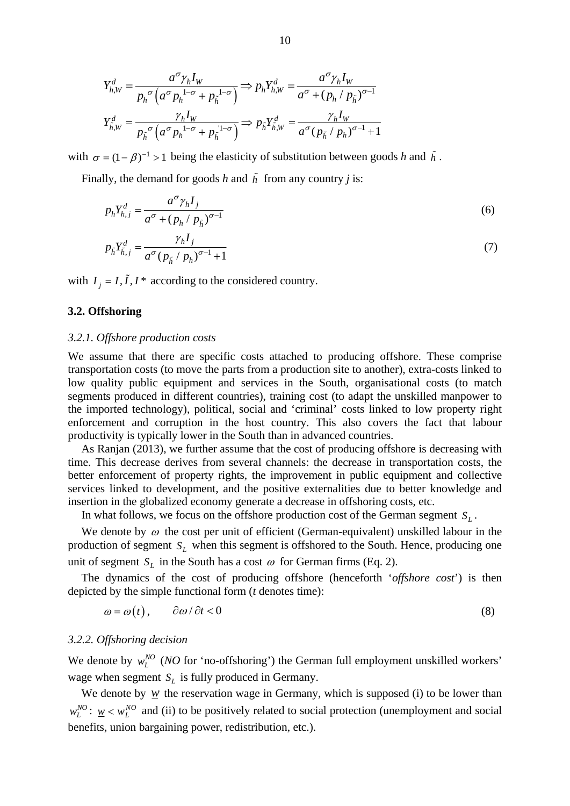$$
Y_{h,W}^d = \frac{a^{\sigma} \gamma_h I_W}{p_h^{\sigma} \left(a^{\sigma} p_h^{1-\sigma} + p_{\tilde{h}}^{1-\sigma}\right)} \Rightarrow p_h Y_{h,W}^d = \frac{a^{\sigma} \gamma_h I_W}{a^{\sigma} + (p_h / p_{\tilde{h}})^{\sigma-1}}
$$

$$
Y_{\tilde{h},W}^d = \frac{\gamma_h I_W}{p_{\tilde{h}}^{\sigma} \left(a^{\sigma} p_h^{1-\sigma} + p_{\tilde{h}}^{1-\sigma}\right)} \Rightarrow p_{\tilde{h}} Y_{\tilde{h},W}^d = \frac{\gamma_h I_W}{a^{\sigma} (p_{\tilde{h}} / p_h)^{\sigma-1} + 1}
$$

with  $\sigma = (1 - \beta)^{-1} > 1$  being the elasticity of substitution between goods *h* and  $\tilde{h}$ .

Finally, the demand for goods *h* and  $\tilde{h}$  from any country *j* is:

$$
p_h Y_{h,j}^d = \frac{a^{\sigma} \gamma_h I_j}{a^{\sigma} + (p_h / p_{\tilde{h}})^{\sigma-1}}
$$
\n<sup>(6)</sup>

$$
p_{\tilde{h}} Y_{\tilde{h},j}^d = \frac{\gamma_h I_j}{a^\sigma (p_{\tilde{h}} / p_h)^{\sigma - 1} + 1}
$$
 (7)

with  $I_i = I, \tilde{I}, I^*$  according to the considered country.

#### **3.2. Offshoring**

#### *3.2.1. Offshore production costs*

We assume that there are specific costs attached to producing offshore. These comprise transportation costs (to move the parts from a production site to another), extra-costs linked to low quality public equipment and services in the South, organisational costs (to match segments produced in different countries), training cost (to adapt the unskilled manpower to the imported technology), political, social and 'criminal' costs linked to low property right enforcement and corruption in the host country. This also covers the fact that labour productivity is typically lower in the South than in advanced countries.

As Ranjan (2013), we further assume that the cost of producing offshore is decreasing with time. This decrease derives from several channels: the decrease in transportation costs, the better enforcement of property rights, the improvement in public equipment and collective services linked to development, and the positive externalities due to better knowledge and insertion in the globalized economy generate a decrease in offshoring costs, etc.

In what follows, we focus on the offshore production cost of the German segment  $S_L$ .

We denote by  $\omega$  the cost per unit of efficient (German-equivalent) unskilled labour in the production of segment  $S_L$  when this segment is offshored to the South. Hence, producing one unit of segment  $S_L$  in the South has a cost  $\omega$  for German firms (Eq. 2).

The dynamics of the cost of producing offshore (henceforth '*offshore cost*') is then depicted by the simple functional form (*t* denotes time):

$$
\omega = \omega(t), \qquad \partial \omega / \partial t < 0 \tag{8}
$$

#### *3.2.2. Offshoring decision*

We denote by  $w_L^{NO}$  (*NO* for 'no-offshoring') the German full employment unskilled workers' wage when segment  $S_L$  is fully produced in Germany.

We denote by  $w$  the reservation wage in Germany, which is supposed (i) to be lower than  $w_L^{NO}$ :  $w \lt w_L^{NO}$  and (ii) to be positively related to social protection (unemployment and social benefits, union bargaining power, redistribution, etc.).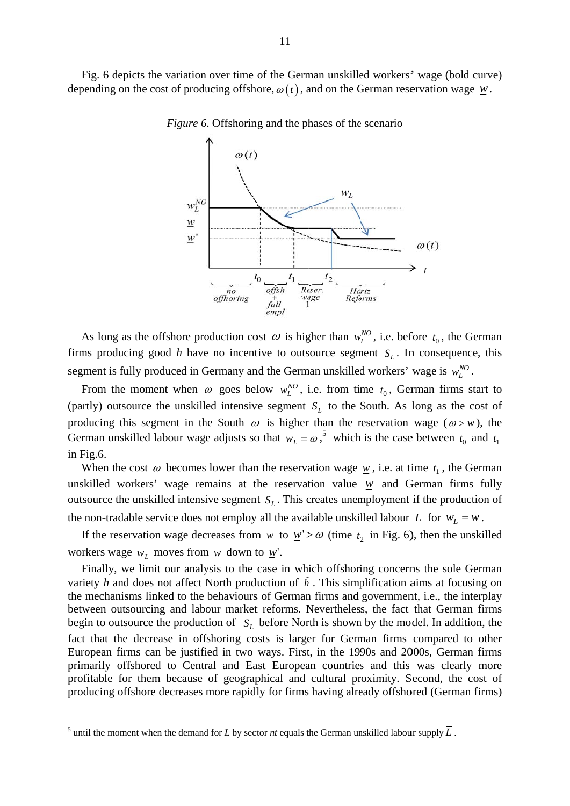Fig. 6 depicts the variation over time of the German unskilled workers' wage (bold curve) depending on the cost of producing offshore,  $\omega(t)$ , and on the German reservation wage  $w$ .



Figure 6. Offshoring and the phases of the scenario

As long as the offshore production cost  $\omega$  is higher than  $w_L^{NO}$ , i.e. before  $t_0$ , the German firms producing good *h* have no incentive to outsource segment  $S_L$ . In consequence, this segment is fully produced in Germany and the German unskilled workers' wage is  $w_L^{NO}$ .

From the moment when  $\omega$  goes below  $w_L^{NO}$ , i.e. from time  $t_0$ , German firms start to (partly) outsource the unskilled intensive segment  $S_L$  to the South. As long as the cost of producing this segment in the South  $\omega$  is higher than the reservation wage ( $\omega > w$ ), the German unskilled labour wage adjusts so that  $w_L = \omega$ ,<sup>5</sup> which is the case between  $t_0$  and  $t_1$ in Fig.6 6.

When the cost  $\omega$  becomes lower than the reservation wage  $\underline{w}$ , i.e. at time  $t_1$ , the German unskilled workers' wage remains at the reservation value  $w$  and German firms fully outsource the unskilled intensive segment  $S_L$ . This creates unemployment if the production of the non-tradable service does not employ all the available unskilled labour  $\overline{L}$  for  $w_L = \underline{w}$ .

If the reservation wage decreases from  $w$  to  $w' > \omega$  (time  $t_2$  in Fig. 6), then the unskilled workers wage  $w_L$  moves from <u>w</u> down to <u>w</u>'.

Finally, we limit our analysis to the case in which offshoring concerns the sole German variety *h* and does not affect North production of  $\tilde{h}$ . This simplification aims at focusing on the mechanisms linked to the behaviours of German firms and government, i.e., the interplay between outsourcing and labour market reforms. Nevertheless, the fact that German firms begin to outsource the production of  $S_L$  before North is shown by the model. In addition, the fact that the decrease in offshoring costs is larger for German firms compared to other European firms can be justified in two ways. First, in the 1990s and 2000s, German firms primarily offshored to Central and East European countries and this was clearly more profitable for them because of geographical and cultural proximity. Second, the cost of producing offshore decreases more rapidly for firms having already offshored (German firms)

1

l

<sup>&</sup>lt;sup>5</sup> until the moment when the demand for *L* by sector *nt* equals the German unskilled labour supply  $\overline{L}$ .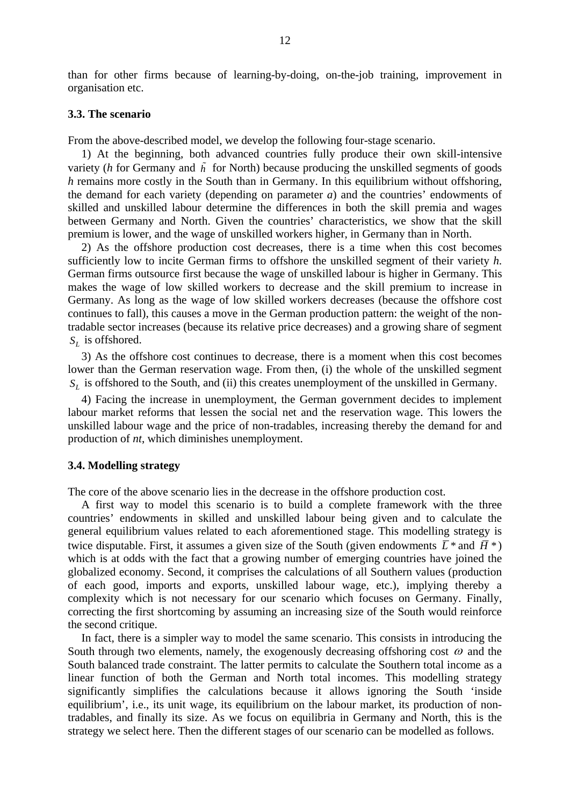than for other firms because of learning-by-doing, on-the-job training, improvement in organisation etc.

#### **3.3. The scenario**

From the above-described model, we develop the following four-stage scenario.

1) At the beginning, both advanced countries fully produce their own skill-intensive variety (*h* for Germany and  $\tilde{h}$  for North) because producing the unskilled segments of goods *h* remains more costly in the South than in Germany. In this equilibrium without offshoring, the demand for each variety (depending on parameter *a*) and the countries' endowments of skilled and unskilled labour determine the differences in both the skill premia and wages between Germany and North. Given the countries' characteristics, we show that the skill premium is lower, and the wage of unskilled workers higher, in Germany than in North.

2) As the offshore production cost decreases, there is a time when this cost becomes sufficiently low to incite German firms to offshore the unskilled segment of their variety *h*. German firms outsource first because the wage of unskilled labour is higher in Germany. This makes the wage of low skilled workers to decrease and the skill premium to increase in Germany. As long as the wage of low skilled workers decreases (because the offshore cost continues to fall), this causes a move in the German production pattern: the weight of the nontradable sector increases (because its relative price decreases) and a growing share of segment *<sup>L</sup> S* is offshored.

3) As the offshore cost continues to decrease, there is a moment when this cost becomes lower than the German reservation wage. From then, (i) the whole of the unskilled segment  $S_L$  is offshored to the South, and (ii) this creates unemployment of the unskilled in Germany.

4) Facing the increase in unemployment, the German government decides to implement labour market reforms that lessen the social net and the reservation wage. This lowers the unskilled labour wage and the price of non-tradables, increasing thereby the demand for and production of *nt*, which diminishes unemployment.

#### **3.4. Modelling strategy**

The core of the above scenario lies in the decrease in the offshore production cost.

A first way to model this scenario is to build a complete framework with the three countries' endowments in skilled and unskilled labour being given and to calculate the general equilibrium values related to each aforementioned stage. This modelling strategy is twice disputable. First, it assumes a given size of the South (given endowments  $\overline{L}$  \* and  $\overline{H}$  \*) which is at odds with the fact that a growing number of emerging countries have joined the globalized economy. Second, it comprises the calculations of all Southern values (production of each good, imports and exports, unskilled labour wage, etc.), implying thereby a complexity which is not necessary for our scenario which focuses on Germany. Finally, correcting the first shortcoming by assuming an increasing size of the South would reinforce the second critique.

In fact, there is a simpler way to model the same scenario. This consists in introducing the South through two elements, namely, the exogenously decreasing offshoring cost  $\omega$  and the South balanced trade constraint. The latter permits to calculate the Southern total income as a linear function of both the German and North total incomes. This modelling strategy significantly simplifies the calculations because it allows ignoring the South 'inside equilibrium', i.e., its unit wage, its equilibrium on the labour market, its production of nontradables, and finally its size. As we focus on equilibria in Germany and North, this is the strategy we select here. Then the different stages of our scenario can be modelled as follows.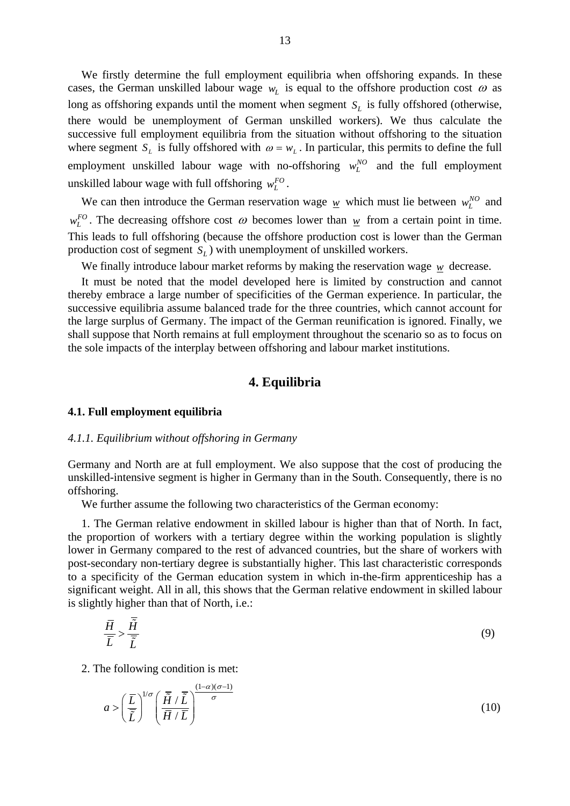We firstly determine the full employment equilibria when offshoring expands. In these cases, the German unskilled labour wage  $w_L$  is equal to the offshore production cost  $\omega$  as long as offshoring expands until the moment when segment  $S_L$  is fully offshored (otherwise, there would be unemployment of German unskilled workers). We thus calculate the successive full employment equilibria from the situation without offshoring to the situation where segment  $S_L$  is fully offshored with  $\omega = w_L$ . In particular, this permits to define the full employment unskilled labour wage with no-offshoring  $w_L^{NO}$  and the full employment unskilled labour wage with full offshoring  $w_L^{FO}$ .

We can then introduce the German reservation wage  $w$  which must lie between  $w_L^{NO}$  and  $w_L^{FO}$ . The decreasing offshore cost  $\omega$  becomes lower than  $w$  from a certain point in time. This leads to full offshoring (because the offshore production cost is lower than the German production cost of segment  $S<sub>L</sub>$  ) with unemployment of unskilled workers.

We finally introduce labour market reforms by making the reservation wage *w* decrease.

It must be noted that the model developed here is limited by construction and cannot thereby embrace a large number of specificities of the German experience. In particular, the successive equilibria assume balanced trade for the three countries, which cannot account for the large surplus of Germany. The impact of the German reunification is ignored. Finally, we shall suppose that North remains at full employment throughout the scenario so as to focus on the sole impacts of the interplay between offshoring and labour market institutions.

#### **4. Equilibria**

#### **4.1. Full employment equilibria**

#### *4.1.1. Equilibrium without offshoring in Germany*

Germany and North are at full employment. We also suppose that the cost of producing the unskilled-intensive segment is higher in Germany than in the South. Consequently, there is no offshoring.

We further assume the following two characteristics of the German economy:

1. The German relative endowment in skilled labour is higher than that of North. In fact, the proportion of workers with a tertiary degree within the working population is slightly lower in Germany compared to the rest of advanced countries, but the share of workers with post-secondary non-tertiary degree is substantially higher. This last characteristic corresponds to a specificity of the German education system in which in-the-firm apprenticeship has a significant weight. All in all, this shows that the German relative endowment in skilled labour is slightly higher than that of North, i.e.:

$$
\frac{\overline{H}}{\overline{L}} > \frac{\overline{\tilde{H}}}{\overline{\tilde{L}}}
$$
\n(9)

2. The following condition is met:

$$
a > \left(\frac{\overline{L}}{\overline{L}}\right)^{1/\sigma} \left(\frac{\overline{H}}{\overline{H}/\overline{L}}\right)^{(1-\alpha)(\sigma-1)}\tag{10}
$$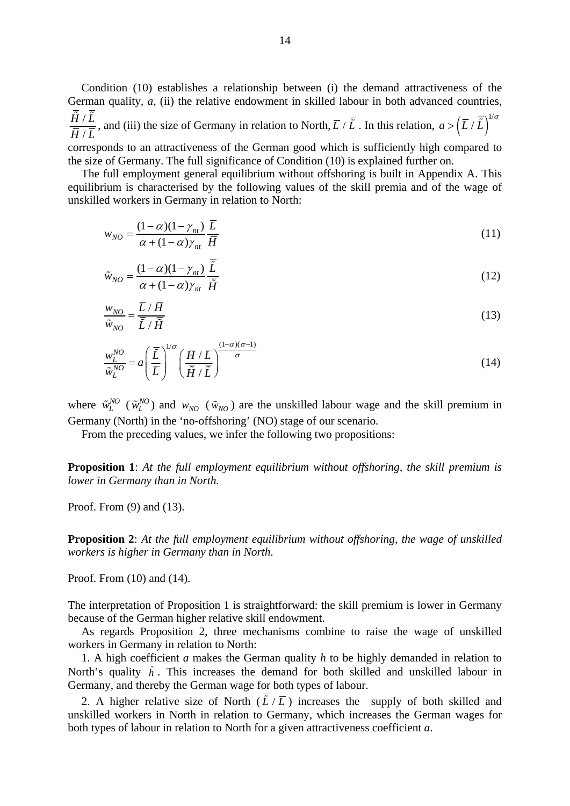Condition (10) establishes a relationship between (i) the demand attractiveness of the German quality, *a*, (ii) the relative endowment in skilled labour in both advanced countries, /  $\ddot{H}$  /  $\ddot{L}$ 

/  $\frac{\overline{H}}{\overline{H}}/\overline{L}$ , and (iii) the size of Germany in relation to North,  $\overline{L}$  /  $\overline{L}$  . In this relation,  $a > (\overline{L}/\overline{\tilde{L}})^{1/\sigma}$ 

corresponds to an attractiveness of the German good which is sufficiently high compared to the size of Germany. The full significance of Condition (10) is explained further on.

The full employment general equilibrium without offshoring is built in Appendix A. This equilibrium is characterised by the following values of the skill premia and of the wage of unskilled workers in Germany in relation to North:

$$
w_{NO} = \frac{(1-\alpha)(1-\gamma_{nt})}{\alpha+(1-\alpha)\gamma_{nt}}\frac{\overline{L}}{\overline{H}}
$$
\n(11)

$$
\tilde{w}_{NO} = \frac{(1-\alpha)(1-\gamma_{nt})}{\alpha+(1-\alpha)\gamma_{nt}} \frac{\overline{\tilde{L}}}{\overline{\tilde{H}}}
$$
\n(12)

$$
\frac{w_{NO}}{\tilde{w}_{NO}} = \frac{\overline{L}/\overline{H}}{\overline{\tilde{L}}/\overline{\tilde{H}}}
$$
(13)

$$
\frac{w_L^{NO}}{\tilde{w}_L^{NO}} = a \left(\frac{\overline{\tilde{L}}}{\overline{L}}\right)^{1/\sigma} \left(\frac{\overline{H}/\overline{L}}{\tilde{H}/\overline{\tilde{L}}}\right)^{\frac{(1-\alpha)(\sigma-1)}{\sigma}}
$$
(14)

where  $\tilde{w}_L^{NO}$  ( $\tilde{w}_L^{NO}$ ) and  $w_{NO}$  ( $\tilde{w}_{NO}$ ) are the unskilled labour wage and the skill premium in Germany (North) in the 'no-offshoring' (NO) stage of our scenario.

From the preceding values, we infer the following two propositions:

**Proposition 1**: *At the full employment equilibrium without offshoring, the skill premium is lower in Germany than in North*.

Proof. From (9) and (13).

**Proposition 2**: *At the full employment equilibrium without offshoring, the wage of unskilled workers is higher in Germany than in North*.

Proof. From (10) and (14).

The interpretation of Proposition 1 is straightforward: the skill premium is lower in Germany because of the German higher relative skill endowment.

As regards Proposition 2, three mechanisms combine to raise the wage of unskilled workers in Germany in relation to North:

1. A high coefficient *a* makes the German quality *h* to be highly demanded in relation to North's quality  $\tilde{h}$ . This increases the demand for both skilled and unskilled labour in Germany, and thereby the German wage for both types of labour.

2. A higher relative size of North  $(\overline{L}/\overline{L})$  increases the supply of both skilled and unskilled workers in North in relation to Germany, which increases the German wages for both types of labour in relation to North for a given attractiveness coefficient *a*.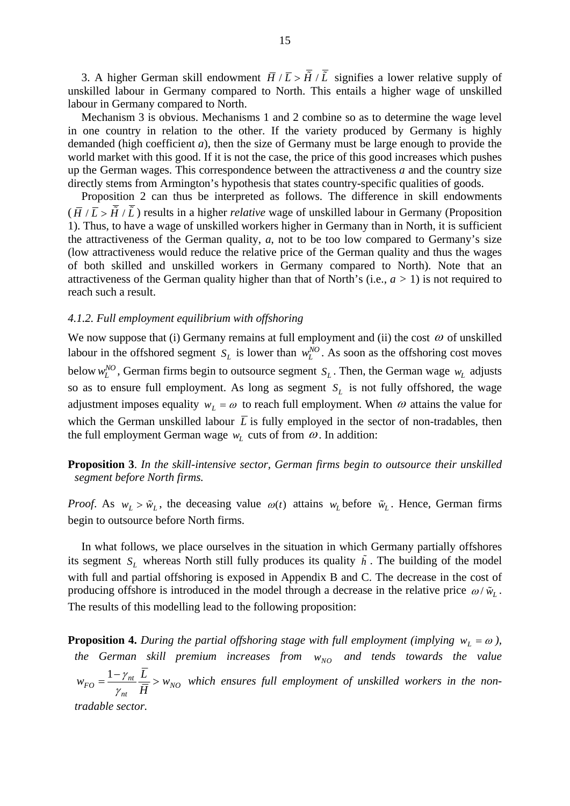3. A higher German skill endowment  $\overline{H}/\overline{L} > \overline{\tilde{H}}/\overline{\tilde{L}}$  signifies a lower relative supply of unskilled labour in Germany compared to North. This entails a higher wage of unskilled labour in Germany compared to North.

Mechanism 3 is obvious. Mechanisms 1 and 2 combine so as to determine the wage level in one country in relation to the other. If the variety produced by Germany is highly demanded (high coefficient *a*), then the size of Germany must be large enough to provide the world market with this good. If it is not the case, the price of this good increases which pushes up the German wages. This correspondence between the attractiveness *a* and the country size directly stems from Armington's hypothesis that states country-specific qualities of goods.

Proposition 2 can thus be interpreted as follows. The difference in skill endowments  $(\bar{H}/\bar{L} > \tilde{H}/\tilde{L})$  results in a higher *relative* wage of unskilled labour in Germany (Proposition 1). Thus, to have a wage of unskilled workers higher in Germany than in North, it is sufficient the attractiveness of the German quality, *a*, not to be too low compared to Germany's size (low attractiveness would reduce the relative price of the German quality and thus the wages of both skilled and unskilled workers in Germany compared to North). Note that an attractiveness of the German quality higher than that of North's (i.e., *a >* 1) is not required to reach such a result.

#### *4.1.2. Full employment equilibrium with offshoring*

We now suppose that (i) Germany remains at full employment and (ii) the cost  $\omega$  of unskilled labour in the offshored segment  $S_L$  is lower than  $w_L^{NO}$ . As soon as the offshoring cost moves below  $w_L^{NO}$ , German firms begin to outsource segment  $S_L$ . Then, the German wage  $w_L$  adjusts so as to ensure full employment. As long as segment  $S_L$  is not fully offshored, the wage adjustment imposes equality  $w_L = \omega$  to reach full employment. When  $\omega$  attains the value for which the German unskilled labour  $\overline{L}$  is fully employed in the sector of non-tradables, then the full employment German wage  $w_t$  cuts of from  $\omega$ . In addition:

**Proposition 3**. *In the skill-intensive sector, German firms begin to outsource their unskilled segment before North firms.* 

*Proof.* As  $w_L > \tilde{w}_L$ , the deceasing value  $\omega(t)$  attains  $w_L$  before  $\tilde{w}_L$ . Hence, German firms begin to outsource before North firms.

In what follows, we place ourselves in the situation in which Germany partially offshores its segment  $S_L$  whereas North still fully produces its quality  $\tilde{h}$ . The building of the model with full and partial offshoring is exposed in Appendix B and C. The decrease in the cost of producing offshore is introduced in the model through a decrease in the relative price  $\omega / \tilde{w}_L$ . The results of this modelling lead to the following proposition:

**Proposition 4.** *During the partial offshoring stage with full employment (implying*  $w_L = \omega$ *), the German skill premium increases from*  $w_{NO}$  *and tends towards the value* 

 $_{FO} = \frac{1 - \gamma_{nt}}{N} \frac{\overline{L}}{\overline{H}} > w_{NO}$ *nt*  $W_{FO} = \frac{1 - \gamma_{nt}}{\overline{R}} \frac{\overline{L}}{\overline{R}} > W$ *H* γ γ  $=\frac{1-\gamma_{nt}}{\overline{m}}\frac{\overline{L}}{\overline{m}}$  which ensures full employment of unskilled workers in the non*tradable sector.*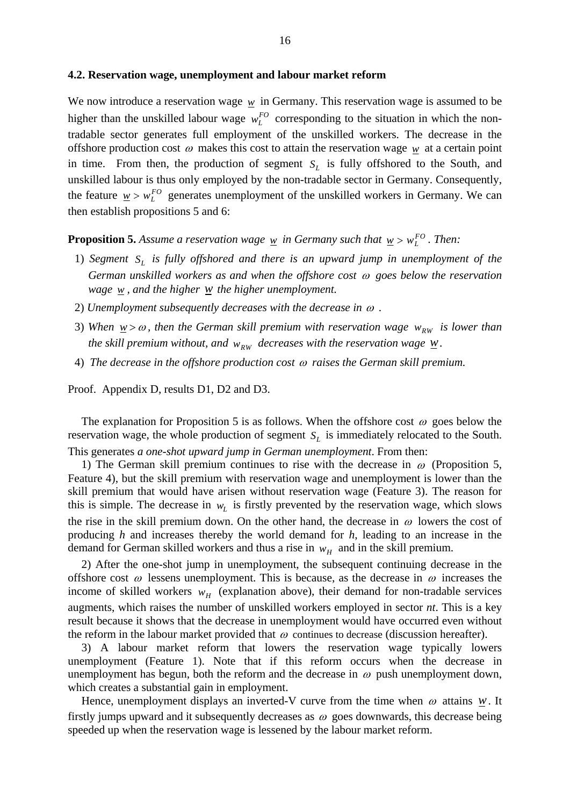#### **4.2. Reservation wage, unemployment and labour market reform**

We now introduce a reservation wage *w* in Germany. This reservation wage is assumed to be higher than the unskilled labour wage  $w_l^{FO}$  corresponding to the situation in which the nontradable sector generates full employment of the unskilled workers. The decrease in the offshore production cost  $\omega$  makes this cost to attain the reservation wage  $w$  at a certain point in time. From then, the production of segment  $S_L$  is fully offshored to the South, and unskilled labour is thus only employed by the non-tradable sector in Germany. Consequently, the feature  $w > w_L^{FO}$  generates unemployment of the unskilled workers in Germany. We can then establish propositions 5 and 6:

**Proposition 5.** Assume a reservation wage  $\underline{w}$  in Germany such that  $\underline{w} > w_L^{FO}$ . Then:

- 1) Segment  $S_L$  is fully offshored and there is an upward jump in unemployment of the *German unskilled workers as and when the offshore cost goes below the reservation wage w , and the higher w the higher unemployment.*
- 2) Unemployment subsequently decreases with the decrease in  $\omega$ .
- 3) When  $w > \omega$ , then the German skill premium with reservation wage  $w_{RW}$  is lower than *the skill premium without, and*  $w_{RW}$  *decreases with the reservation wage*  $\underline{w}$ *.*
- 4) The decrease in the offshore production cost  $\omega$  raises the German skill premium.

Proof. Appendix D, results D1, D2 and D3.

The explanation for Proposition 5 is as follows. When the offshore cost  $\omega$  goes below the reservation wage, the whole production of segment  $S<sub>L</sub>$  is immediately relocated to the South. This generates *a one-shot upward jump in German unemployment*. From then:

1) The German skill premium continues to rise with the decrease in  $\omega$  (Proposition 5, Feature 4), but the skill premium with reservation wage and unemployment is lower than the skill premium that would have arisen without reservation wage (Feature 3). The reason for this is simple. The decrease in  $w<sub>L</sub>$  is firstly prevented by the reservation wage, which slows the rise in the skill premium down. On the other hand, the decrease in  $\omega$  lowers the cost of producing *h* and increases thereby the world demand for *h*, leading to an increase in the demand for German skilled workers and thus a rise in  $w_H$  and in the skill premium.

2) After the one-shot jump in unemployment, the subsequent continuing decrease in the offshore cost  $\omega$  lessens unemployment. This is because, as the decrease in  $\omega$  increases the income of skilled workers  $w_H$  (explanation above), their demand for non-tradable services augments, which raises the number of unskilled workers employed in sector *nt*. This is a key result because it shows that the decrease in unemployment would have occurred even without the reform in the labour market provided that  $\omega$  continues to decrease (discussion hereafter).

3) A labour market reform that lowers the reservation wage typically lowers unemployment (Feature 1). Note that if this reform occurs when the decrease in unemployment has begun, both the reform and the decrease in  $\omega$  push unemployment down, which creates a substantial gain in employment.

Hence, unemployment displays an inverted-V curve from the time when  $\omega$  attains  $w$ . It firstly jumps upward and it subsequently decreases as  $\omega$  goes downwards, this decrease being speeded up when the reservation wage is lessened by the labour market reform.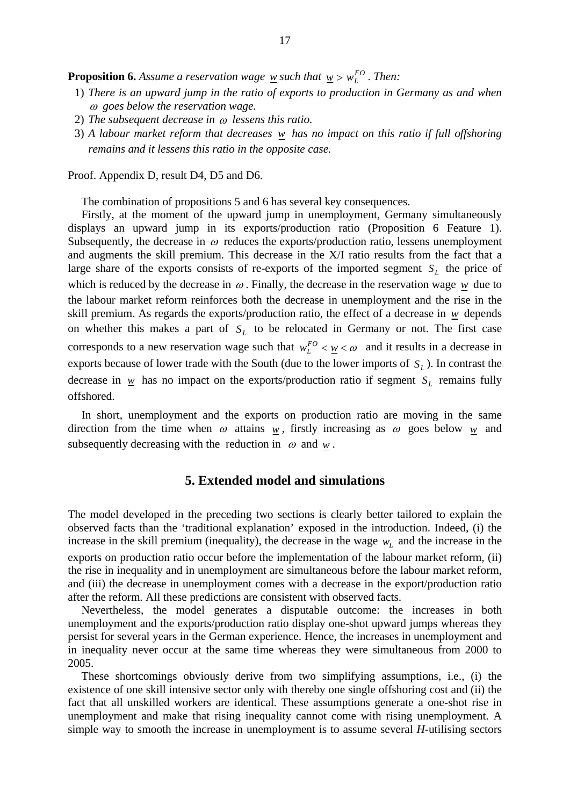**Proposition 6.** Assume a reservation wage <u>w</u> such that  $w > w_t^{FO}$ . Then:

- 1) *There is an upward jump in the ratio of exports to production in Germany as and when goes below the reservation wage.*
- 2) The subsequent decrease in  $\omega$  lessens this ratio.
- 3) *A labour market reform that decreases w has no impact on this ratio if full offshoring remains and it lessens this ratio in the opposite case.*

Proof. Appendix D, result D4, D5 and D6.

The combination of propositions 5 and 6 has several key consequences.

Firstly, at the moment of the upward jump in unemployment, Germany simultaneously displays an upward jump in its exports/production ratio (Proposition 6 Feature 1). Subsequently, the decrease in  $\omega$  reduces the exports/production ratio, lessens unemployment and augments the skill premium. This decrease in the X/I ratio results from the fact that a large share of the exports consists of re-exports of the imported segment  $S<sub>L</sub>$  the price of which is reduced by the decrease in  $\omega$ . Finally, the decrease in the reservation wage  $w$  due to the labour market reform reinforces both the decrease in unemployment and the rise in the skill premium. As regards the exports/production ratio, the effect of a decrease in *w* depends on whether this makes a part of  $S_L$  to be relocated in Germany or not. The first case corresponds to a new reservation wage such that  $w_L^{FO} < w < \omega$  and it results in a decrease in exports because of lower trade with the South (due to the lower imports of  $S_L$ ). In contrast the decrease in  $\mathbf{w}$  has no impact on the exports/production ratio if segment  $S_L$  remains fully offshored.

In short, unemployment and the exports on production ratio are moving in the same direction from the time when  $\omega$  attains  $w$ , firstly increasing as  $\omega$  goes below  $w$  and subsequently decreasing with the reduction in  $\omega$  and  $w$ .

### **5. Extended model and simulations**

The model developed in the preceding two sections is clearly better tailored to explain the observed facts than the 'traditional explanation' exposed in the introduction. Indeed, (i) the increase in the skill premium (inequality), the decrease in the wage  $w<sub>L</sub>$  and the increase in the exports on production ratio occur before the implementation of the labour market reform, (ii) the rise in inequality and in unemployment are simultaneous before the labour market reform, and (iii) the decrease in unemployment comes with a decrease in the export/production ratio after the reform. All these predictions are consistent with observed facts.

Nevertheless, the model generates a disputable outcome: the increases in both unemployment and the exports/production ratio display one-shot upward jumps whereas they persist for several years in the German experience. Hence, the increases in unemployment and in inequality never occur at the same time whereas they were simultaneous from 2000 to 2005.

These shortcomings obviously derive from two simplifying assumptions, i.e., (i) the existence of one skill intensive sector only with thereby one single offshoring cost and (ii) the fact that all unskilled workers are identical. These assumptions generate a one-shot rise in unemployment and make that rising inequality cannot come with rising unemployment. A simple way to smooth the increase in unemployment is to assume several *H*-utilising sectors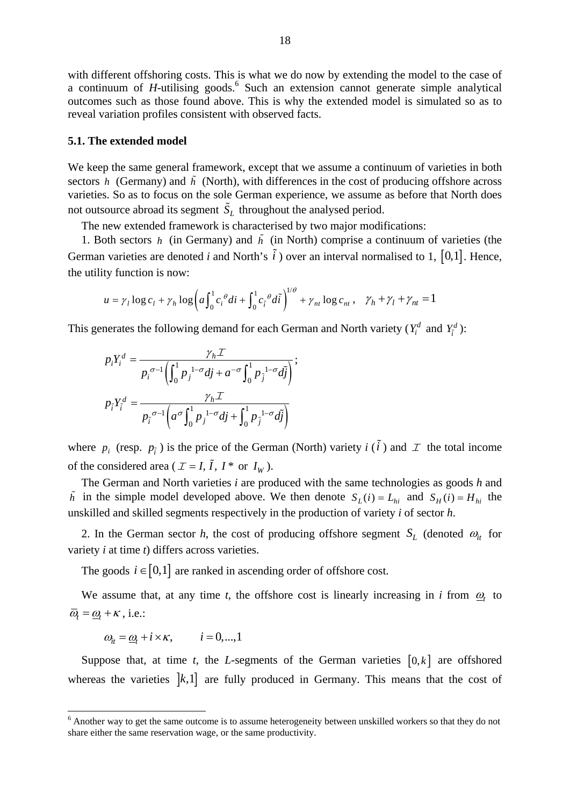with different offshoring costs. This is what we do now by extending the model to the case of a continuum of *H*-utilising goods.<sup>6</sup> Such an extension cannot generate simple analytical outcomes such as those found above. This is why the extended model is simulated so as to reveal variation profiles consistent with observed facts.

#### **5.1. The extended model**

We keep the same general framework, except that we assume a continuum of varieties in both sectors *h* (Germany) and  $\tilde{h}$  (North), with differences in the cost of producing offshore across varieties. So as to focus on the sole German experience, we assume as before that North does not outsource abroad its segment  $\tilde{S}_L$  throughout the analysed period.

The new extended framework is characterised by two major modifications:

1. Both sectors *h* (in Germany) and  $\tilde{h}$  (in North) comprise a continuum of varieties (the German varieties are denoted *i* and North's  $\tilde{i}$ ) over an interval normalised to 1, [0,1]. Hence, the utility function is now:

$$
u = \gamma_l \log c_l + \gamma_h \log \left( a \int_0^1 c_i^{\theta} di + \int_0^1 c_i^{\theta} d\tilde{i} \right)^{1/\theta} + \gamma_{nt} \log c_{nt}, \quad \gamma_h + \gamma_l + \gamma_{nt} = 1
$$

This generates the following demand for each German and North variety ( $Y_i^d$  and  $Y_i^d$ ):

$$
p_i Y_i^d = \frac{\gamma_h \mathcal{I}}{p_i^{\sigma-1} \left( \int_0^1 p_j^{1-\sigma} dj + a^{-\sigma} \int_0^1 p_j^{1-\sigma} dj \right)};
$$
  

$$
p_{\tilde{i}} Y_{\tilde{i}}^d = \frac{\gamma_h \mathcal{I}}{p_{\tilde{i}}^{\sigma-1} \left( a^{\sigma} \int_0^1 p_j^{1-\sigma} dj + \int_0^1 p_j^{1-\sigma} dj \right)}
$$

where  $p_i$  (resp.  $p_{\tilde{i}}$ ) is the price of the German (North) variety *i* ( $\tilde{i}$ ) and  $\mathcal{I}$  the total income of the considered area ( $\mathcal{I} = I$ ,  $\tilde{I}$ ,  $I^*$  or  $I_w$ ).

The German and North varieties *i* are produced with the same technologies as goods *h* and  $\tilde{h}$  in the simple model developed above. We then denote  $S_L(i) = L_{hi}$  and  $S_H(i) = H_{hi}$  the unskilled and skilled segments respectively in the production of variety *i* of sector *h*.

2. In the German sector *h*, the cost of producing offshore segment  $S_L$  (denoted  $\omega_{it}$  for variety *i* at time *t*) differs across varieties.

The goods  $i \in [0,1]$  are ranked in ascending order of offshore cost.

We assume that, at any time *t*, the offshore cost is linearly increasing in *i* from  $\omega_t$  to  $\overline{\omega}_t = \omega_t + \kappa$ , i.e.:

 $\omega_i = \underline{\omega}_i + i \times \kappa, \qquad i = 0,...,1$ 

1

Suppose that, at time  $t$ , the *L*-segments of the German varieties  $[0, k]$  are offshored whereas the varieties  $[k,1]$  are fully produced in Germany. This means that the cost of

<sup>&</sup>lt;sup>6</sup> Another way to get the same outcome is to assume heterogeneity between unskilled workers so that they do not share either the same reservation wage, or the same productivity.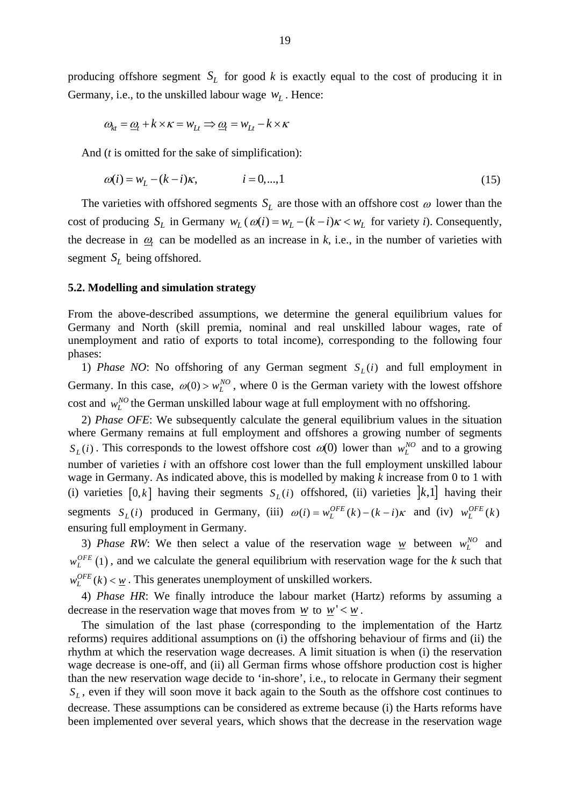producing offshore segment  $S_L$  for good k is exactly equal to the cost of producing it in Germany, i.e., to the unskilled labour wage  $w_L$ . Hence:

$$
\omega_{kt} = \underline{\omega}_t + k \times \kappa = w_{Lt} \Rightarrow \underline{\omega}_t = w_{Lt} - k \times \kappa
$$

And (*t* is omitted for the sake of simplification):

$$
\omega(i) = w_L - (k - i)\kappa, \qquad i = 0,...,1
$$
\n(15)

The varieties with offshored segments  $S_L$  are those with an offshore cost  $\omega$  lower than the cost of producing  $S_L$  in Germany  $w_L(\omega(i) = w_L - (k - i)\kappa < w_L$  for variety *i*). Consequently, the decrease in  $\omega_t$  can be modelled as an increase in k, i.e., in the number of varieties with segment  $S_L$  being offshored.

#### **5.2. Modelling and simulation strategy**

From the above-described assumptions, we determine the general equilibrium values for Germany and North (skill premia, nominal and real unskilled labour wages, rate of unemployment and ratio of exports to total income), corresponding to the following four phases:

1) *Phase NO*: No offshoring of any German segment  $S_l(i)$  and full employment in Germany. In this case,  $\omega(0) > w_L^{NO}$ , where 0 is the German variety with the lowest offshore cost and  $w_L^{NO}$  the German unskilled labour wage at full employment with no offshoring.

2) *Phase OFE*: We subsequently calculate the general equilibrium values in the situation where Germany remains at full employment and offshores a growing number of segments  $S_L(i)$ . This corresponds to the lowest offshore cost  $\omega(0)$  lower than  $W_L^{NO}$  and to a growing number of varieties *i* with an offshore cost lower than the full employment unskilled labour wage in Germany. As indicated above, this is modelled by making *k* increase from 0 to 1 with (i) varieties  $[0, k]$  having their segments  $S_L(i)$  offshored, (ii) varieties  $[k, 1]$  having their segments  $S_L(i)$  produced in Germany, (iii)  $\omega(i) = w_L^{OFE}(k) - (k - i)\kappa$  and (iv)  $w_L^{OFE}(k)$ ensuring full employment in Germany.

3) *Phase RW*: We then select a value of the reservation wage *w* between  $w_l^{NO}$  and  $w_L^{OFE}(1)$ , and we calculate the general equilibrium with reservation wage for the *k* such that  $w_t^{OFE}(k) < w$ . This generates unemployment of unskilled workers.

4) *Phase HR*: We finally introduce the labour market (Hartz) reforms by assuming a decrease in the reservation wage that moves from  $w$  to  $w' < w$ .

The simulation of the last phase (corresponding to the implementation of the Hartz reforms) requires additional assumptions on (i) the offshoring behaviour of firms and (ii) the rhythm at which the reservation wage decreases. A limit situation is when (i) the reservation wage decrease is one-off, and (ii) all German firms whose offshore production cost is higher than the new reservation wage decide to 'in-shore', i.e., to relocate in Germany their segment  $S_L$ , even if they will soon move it back again to the South as the offshore cost continues to decrease. These assumptions can be considered as extreme because (i) the Harts reforms have been implemented over several years, which shows that the decrease in the reservation wage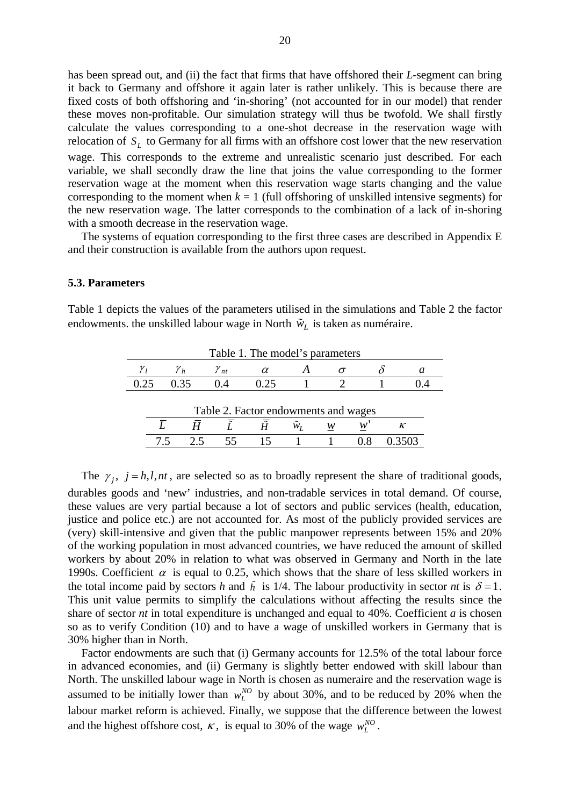has been spread out, and (ii) the fact that firms that have offshored their *L*-segment can bring it back to Germany and offshore it again later is rather unlikely. This is because there are fixed costs of both offshoring and 'in-shoring' (not accounted for in our model) that render these moves non-profitable. Our simulation strategy will thus be twofold. We shall firstly calculate the values corresponding to a one-shot decrease in the reservation wage with relocation of  $S<sub>t</sub>$  to Germany for all firms with an offshore cost lower that the new reservation wage. This corresponds to the extreme and unrealistic scenario just described. For each variable, we shall secondly draw the line that joins the value corresponding to the former reservation wage at the moment when this reservation wage starts changing and the value corresponding to the moment when  $k = 1$  (full offshoring of unskilled intensive segments) for the new reservation wage. The latter corresponds to the combination of a lack of in-shoring with a smooth decrease in the reservation wage.

The systems of equation corresponding to the first three cases are described in Appendix E and their construction is available from the authors upon request.

#### **5.3. Parameters**

Table 1 depicts the values of the parameters utilised in the simulations and Table 2 the factor endowments. the unskilled labour wage in North  $\tilde{w}_L$  is taken as numéraire.

|              | Table 1. The model's parameters      |              |               |                        |       |   |  |   |  |  |  |  |
|--------------|--------------------------------------|--------------|---------------|------------------------|-------|---|--|---|--|--|--|--|
| $\gamma_{I}$ |                                      | $\gamma_{h}$ | $\gamma_{nt}$ | $\alpha$               |       |   |  | a |  |  |  |  |
| 0.25         |                                      | 0.35         | (1.4)         | 0.25                   |       |   |  |   |  |  |  |  |
|              | Table 2. Factor endowments and wages |              |               |                        |       |   |  |   |  |  |  |  |
|              |                                      |              |               | $\overline{\tilde{H}}$ | $W_I$ | w |  |   |  |  |  |  |
|              |                                      |              |               |                        |       |   |  |   |  |  |  |  |

The  $\gamma_i$ ,  $j = h, l, nt$ , are selected so as to broadly represent the share of traditional goods, durables goods and 'new' industries, and non-tradable services in total demand. Of course, these values are very partial because a lot of sectors and public services (health, education, justice and police etc.) are not accounted for. As most of the publicly provided services are (very) skill-intensive and given that the public manpower represents between 15% and 20% of the working population in most advanced countries, we have reduced the amount of skilled workers by about 20% in relation to what was observed in Germany and North in the late 1990s. Coefficient  $\alpha$  is equal to 0.25, which shows that the share of less skilled workers in the total income paid by sectors *h* and  $\tilde{h}$  is 1/4. The labour productivity in sector *nt* is  $\delta = 1$ . This unit value permits to simplify the calculations without affecting the results since the share of sector *nt* in total expenditure is unchanged and equal to 40%. Coefficient *a* is chosen so as to verify Condition (10) and to have a wage of unskilled workers in Germany that is 30% higher than in North.

Factor endowments are such that (i) Germany accounts for 12.5% of the total labour force in advanced economies, and (ii) Germany is slightly better endowed with skill labour than North. The unskilled labour wage in North is chosen as numeraire and the reservation wage is assumed to be initially lower than  $w_L^{NO}$  by about 30%, and to be reduced by 20% when the labour market reform is achieved. Finally, we suppose that the difference between the lowest and the highest offshore cost,  $\kappa$ , is equal to 30% of the wage  $w_L^{NO}$ .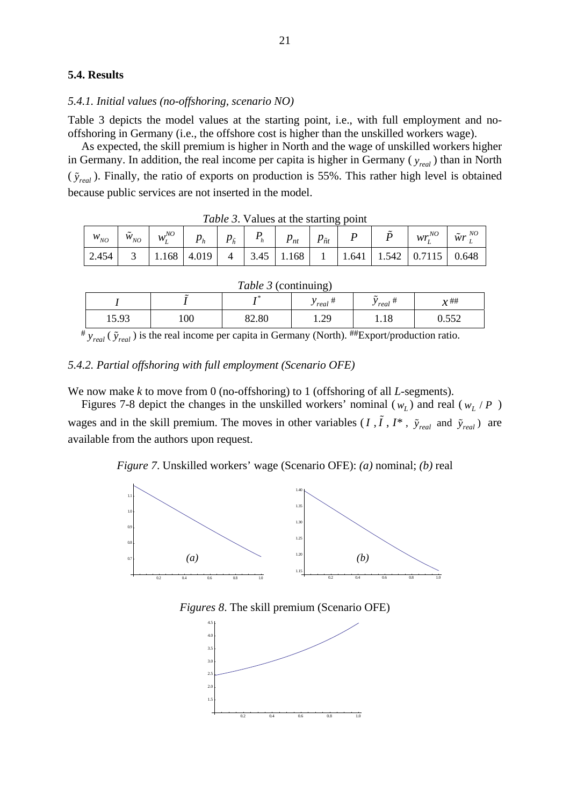#### **5.4. Results**

#### *5.4.1. Initial values (no-offshoring, scenario NO)*

*I I*

Table 3 depicts the model values at the starting point, i.e., with full employment and nooffshoring in Germany (i.e., the offshore cost is higher than the unskilled workers wage).

As expected, the skill premium is higher in North and the wage of unskilled workers higher in Germany. In addition, the real income per capita is higher in Germany ( $y_{real}$ ) than in North  $(\tilde{y}_{real})$ . Finally, the ratio of exports on production is 55%. This rather high level is obtained because public services are not inserted in the model.

|          | <i>raove</i> s. Tangos at the starting point |                  |                |                 |      |       |                                    |       |                       |           |                   |  |
|----------|----------------------------------------------|------------------|----------------|-----------------|------|-------|------------------------------------|-------|-----------------------|-----------|-------------------|--|
| $W_{NO}$ | $\tilde{\phantom{a}}$<br>$W_{NO}$            | $W_I^{NO}$<br>., | r <sub>h</sub> | $n_{\sim}$<br>h |      | ʻnt   | $\mathbf{r}$<br>$\mu_{\tilde{n}t}$ |       | $\tilde{\phantom{a}}$ | $wr^{NO}$ | $\tilde{w}r^{NO}$ |  |
| 2.454    |                                              | 1.168            | 4.019          |                 | 3.45 | 1.168 |                                    | 1.641 | 1.542                 | 0.7115    | 0.648             |  |

*Table 3*. Values at the starting point

|  |  |  |                      |  | $W_{NO}$ $\mid$ $W_{NO}$ $\mid$ $W_L^{VO}$ $\mid$ $P_h$ $\mid$ $P_{\tilde{h}}$ $\mid$ $P_{h}$ $\mid$ $P_{nt}$ $\mid$ $P_{\tilde{h}t}$ $\mid$ $P$ $\mid$ $P$ $\mid$ $W_L^{VO}$ $\mid$ $W_L^{VO}$ |  |
|--|--|--|----------------------|--|-------------------------------------------------------------------------------------------------------------------------------------------------------------------------------------------------|--|
|  |  |  |                      |  |                                                                                                                                                                                                 |  |
|  |  |  | $\pi$ 11 0/ $\cdots$ |  |                                                                                                                                                                                                 |  |

|  |  |  | Table 3 (continuing) |  |
|--|--|--|----------------------|--|
|--|--|--|----------------------|--|

 $I^*$   $V_{real}$  #  $\tilde{V}_{real}$  #  $\tilde{V}_{real}$  #  $\tilde{V}$ 

| $\sim$<br>-<br>u.<br>10.JJ | 100 | $\Omega$<br>ΩO.<br>82.80 | ററ<br>∼<br>1. <i>4</i> | 1 Q<br>$\overline{\phantom{a}}$<br>1.10 | $- - -$<br>J.JJZ |
|----------------------------|-----|--------------------------|------------------------|-----------------------------------------|------------------|
|                            |     |                          |                        |                                         |                  |

 $*_{y_{real}}$  ( $\tilde{y}_{real}$ ) is the real income per capita in Germany (North).  $^{#}$ Export/production ratio.

#### *5.4.2. Partial offshoring with full employment (Scenario OFE)*

 $\tilde{I}$   $I^*$ 

We now make *k* to move from 0 (no-offshoring) to 1 (offshoring of all *L*-segments).

Figures 7-8 depict the changes in the unskilled workers' nominal ( $w<sub>r</sub>$ ) and real ( $w<sub>r</sub>$ / $P$ ) wages and in the skill premium. The moves in other variables  $(I, \tilde{I}, I^*, \tilde{y}_{real}$  and  $\tilde{y}_{real}$ ) are available from the authors upon request.

*Figure 7*. Unskilled workers' wage (Scenario OFE): *(a)* nominal; *(b)* real



*Figures 8*. The skill premium (Scenario OFE)

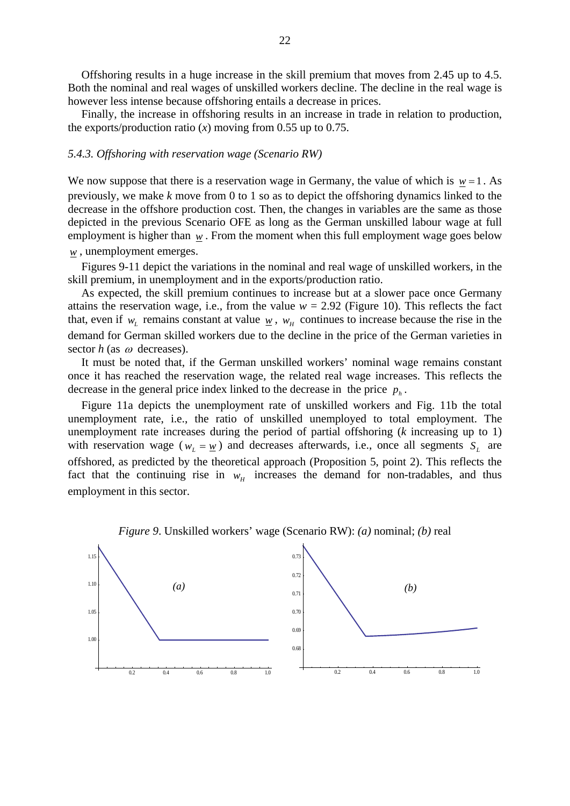Offshoring results in a huge increase in the skill premium that moves from 2.45 up to 4.5. Both the nominal and real wages of unskilled workers decline. The decline in the real wage is however less intense because offshoring entails a decrease in prices.

Finally, the increase in offshoring results in an increase in trade in relation to production, the exports/production ratio (*x*) moving from 0.55 up to 0.75.

#### *5.4.3. Offshoring with reservation wage (Scenario RW)*

We now suppose that there is a reservation wage in Germany, the value of which is  $w = 1$ . As previously, we make *k* move from 0 to 1 so as to depict the offshoring dynamics linked to the decrease in the offshore production cost. Then, the changes in variables are the same as those depicted in the previous Scenario OFE as long as the German unskilled labour wage at full employment is higher than  $w$ . From the moment when this full employment wage goes below *w* , unemployment emerges.

Figures 9-11 depict the variations in the nominal and real wage of unskilled workers, in the skill premium, in unemployment and in the exports/production ratio.

As expected, the skill premium continues to increase but at a slower pace once Germany attains the reservation wage, i.e., from the value  $w = 2.92$  (Figure 10). This reflects the fact that, even if  $w_L$  remains constant at value  $w_L$ ,  $w_H$  continues to increase because the rise in the demand for German skilled workers due to the decline in the price of the German varieties in sector  $h$  (as  $\omega$  decreases).

It must be noted that, if the German unskilled workers' nominal wage remains constant once it has reached the reservation wage, the related real wage increases. This reflects the decrease in the general price index linked to the decrease in the price  $p_{\mu}$ .

Figure 11a depicts the unemployment rate of unskilled workers and Fig. 11b the total unemployment rate, i.e., the ratio of unskilled unemployed to total employment. The unemployment rate increases during the period of partial offshoring (*k* increasing up to 1) with reservation wage ( $w_t = w$ ) and decreases afterwards, i.e., once all segments  $S_t$  are offshored, as predicted by the theoretical approach (Proposition 5, point 2). This reflects the fact that the continuing rise in  $w_H$  increases the demand for non-tradables, and thus employment in this sector.



*Figure 9*. Unskilled workers' wage (Scenario RW): *(a)* nominal; *(b)* real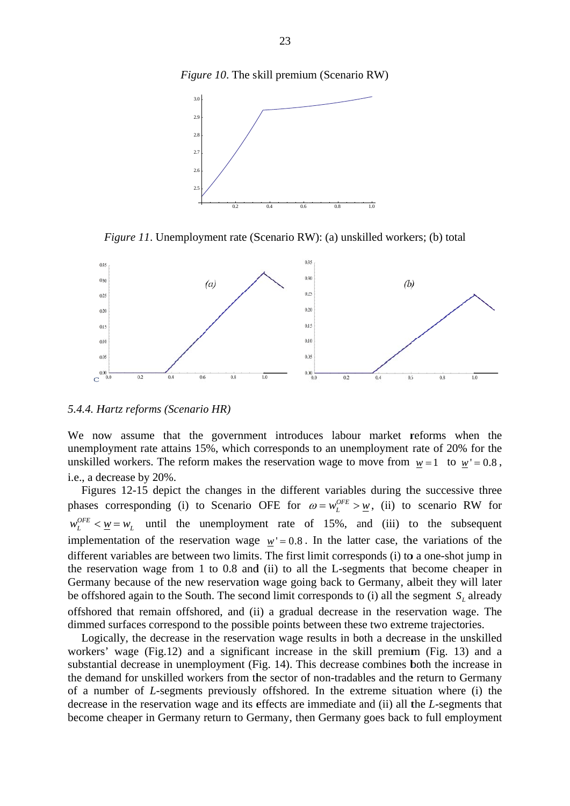



*Figure 11*. Unemployment rate (Scenario RW): (a) unskilled workers; (b) total



*5.4.4. H Hartz reform ms (Scenario o HR)*

We now assume that the government introduces labour market reforms w unemployment rate attains 15%, which corresponds to an unemployment rate of 20% for the unskilled workers. The reform makes the reservation wage to move from  $w = 1$  to  $w' = 0.8$ , i.e., a decrease by 20%.

Figures 12-15 depict the changes in the different variables during the successive three phases corresponding (i) to Scenario OFE for  $\omega = w_L^{OFE} > w_L$ , (ii) to scenario RW for  $w_L^{OFE} < \underline{w} = w_L$  until the unemployment rate of 15%, and (iii) to the subsequent implementation of the reservation wage  $w' = 0.8$ . In the latter case, the variations of the different variables are between two limits. The first limit corresponds (i) to a one-shot jump in the reservation wage from 1 to 0.8 and (ii) to all the L-segments that become cheaper in Germany because of the new reservation wage going back to Germany, albeit they will later be offshored again to the South. The second limit corresponds to (i) all the segment  $S_L$  already offshored that remain offshored, and (ii) a gradual decrease in the reservation wage. The dimmed surfaces correspond to the possible points between these two extreme trajectories.

Logically, the decrease in the reservation wage results in both a decrease in the unskilled workers' wage (Fig.12) and a significant increase in the skill premium (Fig. 13) and a substantial decrease in unemployment (Fig. 14). This decrease combines both the increase in the demand for unskilled workers from the sector of non-tradables and the return to Germany of a number of *L*-segments previously offshored. In the extreme situation where (i) the decrease in the reservation wage and its effects are immediate and (ii) all the *L*-segments that become cheaper in Germany return to Germany, then Germany goes back to full employment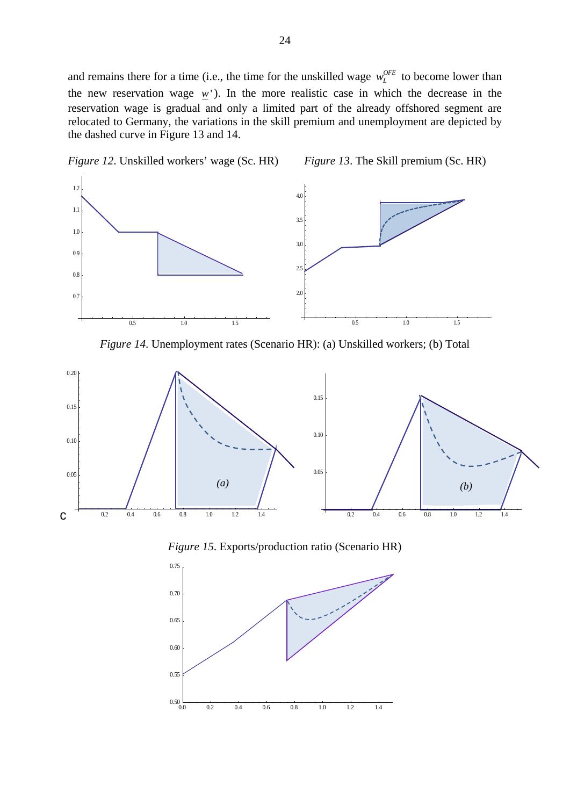and remains there for a time (i.e., the time for the unskilled wage  $w_L^{OFE}$  to become lower than the new reservation wage  $w'$ ). In the more realistic case in which the decrease in the reservation wage is gradual and only a limited part of the already offshored segment are relocated to Germany, the variations in the skill premium and unemployment are depicted by the dashed curve in Figure 13 and 14.



*Figure 14*. Unemployment rates (Scenario HR): (a) Unskilled workers; (b) Total



*Figure 15*. Exports/production ratio (Scenario HR)

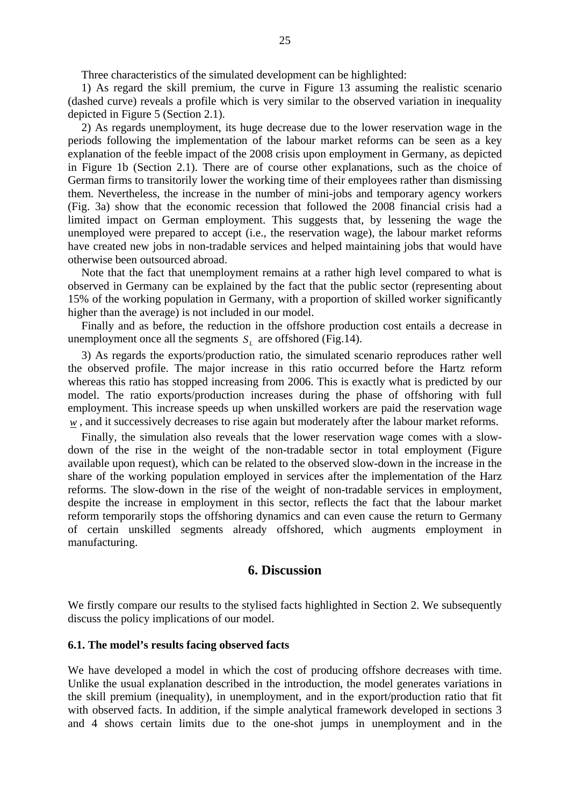Three characteristics of the simulated development can be highlighted:

1) As regard the skill premium, the curve in Figure 13 assuming the realistic scenario (dashed curve) reveals a profile which is very similar to the observed variation in inequality depicted in Figure 5 (Section 2.1).

2) As regards unemployment, its huge decrease due to the lower reservation wage in the periods following the implementation of the labour market reforms can be seen as a key explanation of the feeble impact of the 2008 crisis upon employment in Germany, as depicted in Figure 1b (Section 2.1). There are of course other explanations, such as the choice of German firms to transitorily lower the working time of their employees rather than dismissing them. Nevertheless, the increase in the number of mini-jobs and temporary agency workers (Fig. 3a) show that the economic recession that followed the 2008 financial crisis had a limited impact on German employment. This suggests that, by lessening the wage the unemployed were prepared to accept (i.e., the reservation wage), the labour market reforms have created new jobs in non-tradable services and helped maintaining jobs that would have otherwise been outsourced abroad.

Note that the fact that unemployment remains at a rather high level compared to what is observed in Germany can be explained by the fact that the public sector (representing about 15% of the working population in Germany, with a proportion of skilled worker significantly higher than the average) is not included in our model.

Finally and as before, the reduction in the offshore production cost entails a decrease in unemployment once all the segments  $S_t$  are offshored (Fig.14).

3) As regards the exports/production ratio, the simulated scenario reproduces rather well the observed profile. The major increase in this ratio occurred before the Hartz reform whereas this ratio has stopped increasing from 2006. This is exactly what is predicted by our model. The ratio exports/production increases during the phase of offshoring with full employment. This increase speeds up when unskilled workers are paid the reservation wage *w* , and it successively decreases to rise again but moderately after the labour market reforms.

Finally, the simulation also reveals that the lower reservation wage comes with a slowdown of the rise in the weight of the non-tradable sector in total employment (Figure available upon request), which can be related to the observed slow-down in the increase in the share of the working population employed in services after the implementation of the Harz reforms. The slow-down in the rise of the weight of non-tradable services in employment, despite the increase in employment in this sector, reflects the fact that the labour market reform temporarily stops the offshoring dynamics and can even cause the return to Germany of certain unskilled segments already offshored, which augments employment in manufacturing.

### **6. Discussion**

We firstly compare our results to the stylised facts highlighted in Section 2. We subsequently discuss the policy implications of our model.

#### **6.1. The model's results facing observed facts**

We have developed a model in which the cost of producing offshore decreases with time. Unlike the usual explanation described in the introduction, the model generates variations in the skill premium (inequality), in unemployment, and in the export/production ratio that fit with observed facts. In addition, if the simple analytical framework developed in sections 3 and 4 shows certain limits due to the one-shot jumps in unemployment and in the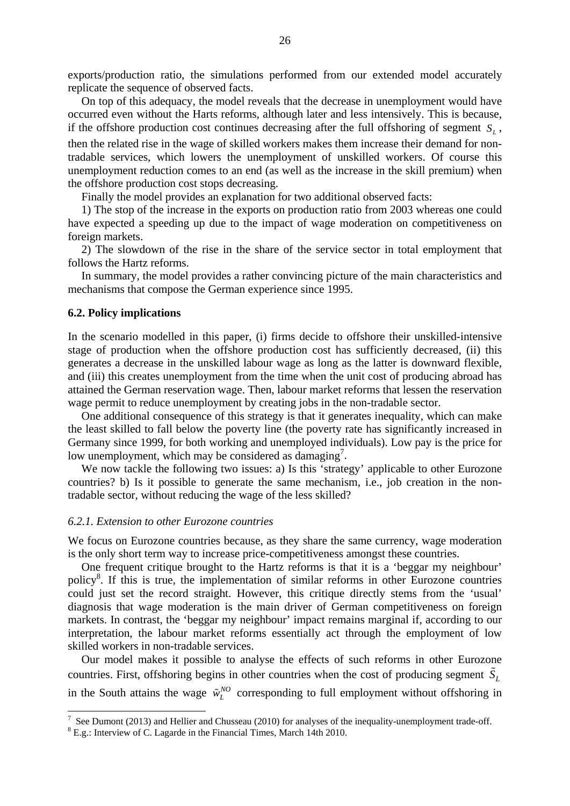exports/production ratio, the simulations performed from our extended model accurately replicate the sequence of observed facts.

On top of this adequacy, the model reveals that the decrease in unemployment would have occurred even without the Harts reforms, although later and less intensively. This is because, if the offshore production cost continues decreasing after the full offshoring of segment  $S<sub>i</sub>$ ,

then the related rise in the wage of skilled workers makes them increase their demand for nontradable services, which lowers the unemployment of unskilled workers. Of course this unemployment reduction comes to an end (as well as the increase in the skill premium) when the offshore production cost stops decreasing.

Finally the model provides an explanation for two additional observed facts:

1) The stop of the increase in the exports on production ratio from 2003 whereas one could have expected a speeding up due to the impact of wage moderation on competitiveness on foreign markets.

2) The slowdown of the rise in the share of the service sector in total employment that follows the Hartz reforms.

In summary, the model provides a rather convincing picture of the main characteristics and mechanisms that compose the German experience since 1995.

#### **6.2. Policy implications**

1

In the scenario modelled in this paper, (i) firms decide to offshore their unskilled-intensive stage of production when the offshore production cost has sufficiently decreased, (ii) this generates a decrease in the unskilled labour wage as long as the latter is downward flexible, and (iii) this creates unemployment from the time when the unit cost of producing abroad has attained the German reservation wage. Then, labour market reforms that lessen the reservation wage permit to reduce unemployment by creating jobs in the non-tradable sector.

One additional consequence of this strategy is that it generates inequality, which can make the least skilled to fall below the poverty line (the poverty rate has significantly increased in Germany since 1999, for both working and unemployed individuals). Low pay is the price for low unemployment, which may be considered as damaging<sup>7</sup>.

We now tackle the following two issues: a) Is this 'strategy' applicable to other Eurozone countries? b) Is it possible to generate the same mechanism, i.e., job creation in the nontradable sector, without reducing the wage of the less skilled?

#### *6.2.1. Extension to other Eurozone countries*

We focus on Eurozone countries because, as they share the same currency, wage moderation is the only short term way to increase price-competitiveness amongst these countries.

One frequent critique brought to the Hartz reforms is that it is a 'beggar my neighbour' policy<sup>8</sup>. If this is true, the implementation of similar reforms in other Eurozone countries could just set the record straight. However, this critique directly stems from the 'usual' diagnosis that wage moderation is the main driver of German competitiveness on foreign markets. In contrast, the 'beggar my neighbour' impact remains marginal if, according to our interpretation, the labour market reforms essentially act through the employment of low skilled workers in non-tradable services.

Our model makes it possible to analyse the effects of such reforms in other Eurozone countries. First, offshoring begins in other countries when the cost of producing segment  $\tilde{S}_L$ in the South attains the wage  $\tilde{w}_L^{NO}$  corresponding to full employment without offshoring in

<sup>7</sup> See Dumont (2013) and Hellier and Chusseau (2010) for analyses of the inequality-unemployment trade-off.

E.g.: Interview of C. Lagarde in the Financial Times, March 14th 2010.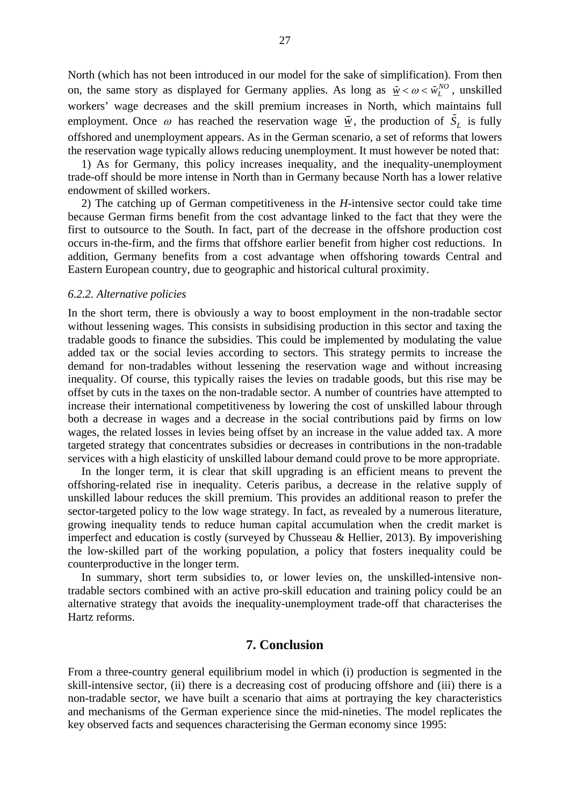North (which has not been introduced in our model for the sake of simplification). From then on, the same story as displayed for Germany applies. As long as  $\tilde{w} < \omega < \tilde{w}_L^N$ , unskilled workers' wage decreases and the skill premium increases in North, which maintains full employment. Once  $\omega$  has reached the reservation wage  $\tilde{\psi}$ , the production of  $\tilde{S}_L$  is fully offshored and unemployment appears. As in the German scenario, a set of reforms that lowers the reservation wage typically allows reducing unemployment. It must however be noted that:

1) As for Germany, this policy increases inequality, and the inequality-unemployment trade-off should be more intense in North than in Germany because North has a lower relative endowment of skilled workers.

2) The catching up of German competitiveness in the *H*-intensive sector could take time because German firms benefit from the cost advantage linked to the fact that they were the first to outsource to the South. In fact, part of the decrease in the offshore production cost occurs in-the-firm, and the firms that offshore earlier benefit from higher cost reductions. In addition, Germany benefits from a cost advantage when offshoring towards Central and Eastern European country, due to geographic and historical cultural proximity.

#### *6.2.2. Alternative policies*

In the short term, there is obviously a way to boost employment in the non-tradable sector without lessening wages. This consists in subsidising production in this sector and taxing the tradable goods to finance the subsidies. This could be implemented by modulating the value added tax or the social levies according to sectors. This strategy permits to increase the demand for non-tradables without lessening the reservation wage and without increasing inequality. Of course, this typically raises the levies on tradable goods, but this rise may be offset by cuts in the taxes on the non-tradable sector. A number of countries have attempted to increase their international competitiveness by lowering the cost of unskilled labour through both a decrease in wages and a decrease in the social contributions paid by firms on low wages, the related losses in levies being offset by an increase in the value added tax. A more targeted strategy that concentrates subsidies or decreases in contributions in the non-tradable services with a high elasticity of unskilled labour demand could prove to be more appropriate.

In the longer term, it is clear that skill upgrading is an efficient means to prevent the offshoring-related rise in inequality. Ceteris paribus, a decrease in the relative supply of unskilled labour reduces the skill premium. This provides an additional reason to prefer the sector-targeted policy to the low wage strategy. In fact, as revealed by a numerous literature, growing inequality tends to reduce human capital accumulation when the credit market is imperfect and education is costly (surveyed by Chusseau & Hellier, 2013). By impoverishing the low-skilled part of the working population, a policy that fosters inequality could be counterproductive in the longer term.

In summary, short term subsidies to, or lower levies on, the unskilled-intensive nontradable sectors combined with an active pro-skill education and training policy could be an alternative strategy that avoids the inequality-unemployment trade-off that characterises the Hartz reforms.

### **7. Conclusion**

From a three-country general equilibrium model in which (i) production is segmented in the skill-intensive sector, (ii) there is a decreasing cost of producing offshore and (iii) there is a non-tradable sector, we have built a scenario that aims at portraying the key characteristics and mechanisms of the German experience since the mid-nineties. The model replicates the key observed facts and sequences characterising the German economy since 1995: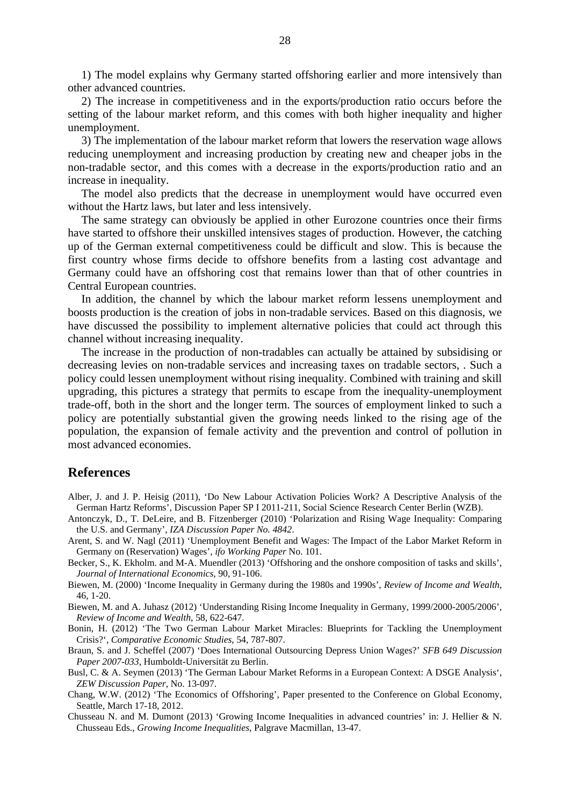1) The model explains why Germany started offshoring earlier and more intensively than other advanced countries.

2) The increase in competitiveness and in the exports/production ratio occurs before the setting of the labour market reform, and this comes with both higher inequality and higher unemployment.

3) The implementation of the labour market reform that lowers the reservation wage allows reducing unemployment and increasing production by creating new and cheaper jobs in the non-tradable sector, and this comes with a decrease in the exports/production ratio and an increase in inequality.

The model also predicts that the decrease in unemployment would have occurred even without the Hartz laws, but later and less intensively.

The same strategy can obviously be applied in other Eurozone countries once their firms have started to offshore their unskilled intensives stages of production. However, the catching up of the German external competitiveness could be difficult and slow. This is because the first country whose firms decide to offshore benefits from a lasting cost advantage and Germany could have an offshoring cost that remains lower than that of other countries in Central European countries.

In addition, the channel by which the labour market reform lessens unemployment and boosts production is the creation of jobs in non-tradable services. Based on this diagnosis, we have discussed the possibility to implement alternative policies that could act through this channel without increasing inequality.

The increase in the production of non-tradables can actually be attained by subsidising or decreasing levies on non-tradable services and increasing taxes on tradable sectors, . Such a policy could lessen unemployment without rising inequality. Combined with training and skill upgrading, this pictures a strategy that permits to escape from the inequality-unemployment trade-off, both in the short and the longer term. The sources of employment linked to such a policy are potentially substantial given the growing needs linked to the rising age of the population, the expansion of female activity and the prevention and control of pollution in most advanced economies.

#### **References**

- Alber, J. and J. P. Heisig (2011), 'Do New Labour Activation Policies Work? A Descriptive Analysis of the German Hartz Reforms', Discussion Paper SP I 2011-211, Social Science Research Center Berlin (WZB).
- Antonczyk, D., T. DeLeire, and B. Fitzenberger (2010) 'Polarization and Rising Wage Inequality: Comparing the U.S. and Germany', *IZA Discussion Paper No. 4842*.
- Arent, S. and W. Nagl (2011) 'Unemployment Benefit and Wages: The Impact of the Labor Market Reform in Germany on (Reservation) Wages', *ifo Working Paper* No. 101.
- Becker, S., K. Ekholm. and M-A. Muendler (2013) 'Offshoring and the onshore composition of tasks and skills', *Journal of International Economics*, 90, 91-106.
- Biewen, M. (2000) 'Income Inequality in Germany during the 1980s and 1990s', *Review of Income and Wealth*, 46, 1-20.
- Biewen, M. and A. Juhasz (2012) 'Understanding Rising Income Inequality in Germany, 1999/2000-2005/2006', *Review of Income and Wealth*, 58, 622-647.
- Bonin, H. (2012) 'The Two German Labour Market Miracles: Blueprints for Tackling the Unemployment Crisis?', *Comparative Economic Studies*, 54, 787-807.
- Braun, S. and J. Scheffel (2007) 'Does International Outsourcing Depress Union Wages?' *SFB 649 Discussion Paper 2007-033*, Humboldt-Universität zu Berlin.
- Busl, C. & A. Seymen (2013) 'The German Labour Market Reforms in a European Context: A DSGE Analysis', *ZEW Discussion Paper*, No. 13-097.
- Chang, W.W. (2012) 'The Economics of Offshoring', Paper presented to the Conference on Global Economy, Seattle, March 17-18, 2012.
- Chusseau N. and M. Dumont (2013) 'Growing Income Inequalities in advanced countries' in: J. Hellier & N. Chusseau Eds., *Growing Income Inequalities*, Palgrave Macmillan, 13-47.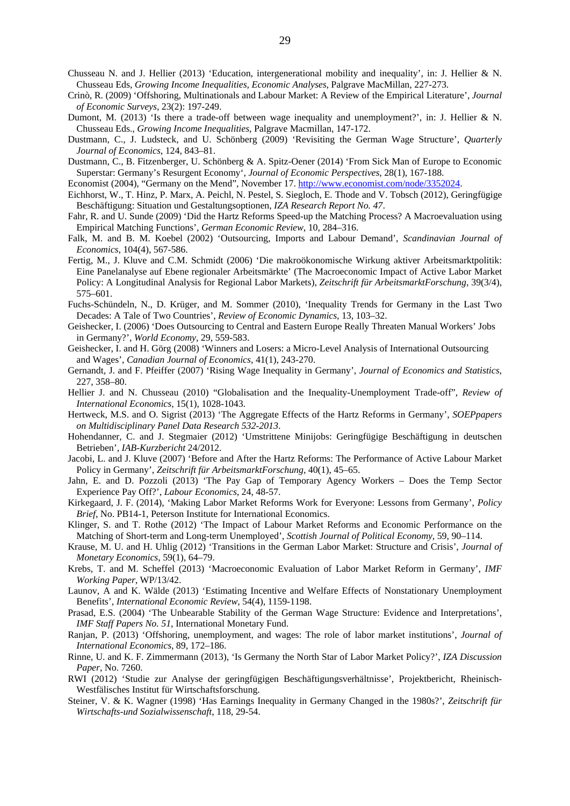- Crinò, R. (2009) 'Offshoring, Multinationals and Labour Market: A Review of the Empirical Literature', *Journal of Economic Surveys*, 23(2): 197-249.
- Dumont, M. (2013) 'Is there a trade-off between wage inequality and unemployment?', in: J. Hellier & N. Chusseau Eds., *Growing Income Inequalities*, Palgrave Macmillan, 147-172.
- Dustmann, C., J. Ludsteck, and U. Schönberg (2009) 'Revisiting the German Wage Structure', *Quarterly Journal of Economics*, 124, 843–81.
- Dustmann, C., B. Fitzenberger, U. Schönberg & A. Spitz-Oener (2014) 'From Sick Man of Europe to Economic Superstar: Germany's Resurgent Economy', *Journal of Economic Perspectives*, 28(1), 167-188.
- Economist (2004), "Germany on the Mend", November 17. http://www.economist.com/node/3352024.
- Eichhorst, W., T. Hinz, P. Marx, A. Peichl, N. Pestel, S. Siegloch, E. Thode and V. Tobsch (2012), Geringfügige Beschäftigung: Situation und Gestaltungsoptionen, *IZA Research Report No. 47*.
- Fahr, R. and U. Sunde (2009) 'Did the Hartz Reforms Speed-up the Matching Process? A Macroevaluation using Empirical Matching Functions', *German Economic Review*, 10, 284–316.
- Falk, M. and B. M. Koebel (2002) 'Outsourcing, Imports and Labour Demand', *Scandinavian Journal of Economics*, 104(4), 567-586.
- Fertig, M., J. Kluve and C.M. Schmidt (2006) 'Die makroökonomische Wirkung aktiver Arbeitsmarktpolitik: Eine Panelanalyse auf Ebene regionaler Arbeitsmärkte' (The Macroeconomic Impact of Active Labor Market Policy: A Longitudinal Analysis for Regional Labor Markets), *Zeitschrift für ArbeitsmarktForschung*, 39(3/4), 575–601.
- Fuchs-Schündeln, N., D. Krüger, and M. Sommer (2010), 'Inequality Trends for Germany in the Last Two Decades: A Tale of Two Countries', *Review of Economic Dynamics*, 13, 103–32.
- Geishecker, I. (2006) 'Does Outsourcing to Central and Eastern Europe Really Threaten Manual Workers' Jobs in Germany?', *World Economy*, 29, 559-583.
- Geishecker, I. and H. Görg (2008) 'Winners and Losers: a Micro-Level Analysis of International Outsourcing and Wages', *Canadian Journal of Economics*, 41(1), 243-270.
- Gernandt, J. and F. Pfeiffer (2007) 'Rising Wage Inequality in Germany', *Journal of Economics and Statistics*, 227, 358–80.
- Hellier J. and N. Chusseau (2010) "Globalisation and the Inequality-Unemployment Trade-off", *Review of International Economics,* 15(1), 1028-1043.
- Hertweck, M.S. and O. Sigrist (2013) 'The Aggregate Effects of the Hartz Reforms in Germany', *SOEPpapers on Multidisciplinary Panel Data Research 532-2013*.
- Hohendanner, C. and J. Stegmaier (2012) 'Umstrittene Minijobs: Geringfügige Beschäftigung in deutschen Betrieben', *IAB-Kurzbericht* 24/2012.
- Jacobi, L. and J. Kluve (2007) 'Before and After the Hartz Reforms: The Performance of Active Labour Market Policy in Germany', *Zeitschrift für ArbeitsmarktForschung*, 40(1), 45–65.
- Jahn, E. and D. Pozzoli (2013) 'The Pay Gap of Temporary Agency Workers Does the Temp Sector Experience Pay Off?', *Labour Economics*, 24, 48-57.
- Kirkegaard, J. F. (2014), 'Making Labor Market Reforms Work for Everyone: Lessons from Germany', *Policy Brief*, No. PB14-1, Peterson Institute for International Economics.
- Klinger, S. and T. Rothe (2012) 'The Impact of Labour Market Reforms and Economic Performance on the Matching of Short-term and Long-term Unemployed', *Scottish Journal of Political Economy*, 59, 90–114.
- Krause, M. U. and H. Uhlig (2012) 'Transitions in the German Labor Market: Structure and Crisis', *Journal of Monetary Economics*, 59(1), 64–79.
- Krebs, T. and M. Scheffel (2013) 'Macroeconomic Evaluation of Labor Market Reform in Germany', *IMF Working Paper*, WP/13/42.
- Launov, A and K. Wälde (2013) 'Estimating Incentive and Welfare Effects of Nonstationary Unemployment Benefits', *International Economic Review*, 54(4), 1159-1198.
- Prasad, E.S. (2004) 'The Unbearable Stability of the German Wage Structure: Evidence and Interpretations', *IMF Staff Papers No. 51*, International Monetary Fund.
- Ranjan, P. (2013) 'Offshoring, unemployment, and wages: The role of labor market institutions', *Journal of International Economics*, 89, 172–186.
- Rinne, U. and K. F. Zimmermann (2013), 'Is Germany the North Star of Labor Market Policy?', *IZA Discussion Paper*, No. 7260.
- RWI (2012) 'Studie zur Analyse der geringfügigen Beschäftigungsverhältnisse', Projektbericht, Rheinisch-Westfälisches Institut für Wirtschaftsforschung.
- Steiner, V. & K. Wagner (1998) 'Has Earnings Inequality in Germany Changed in the 1980s?', *Zeitschrift für Wirtschafts-und Sozialwissenschaft*, 118, 29-54.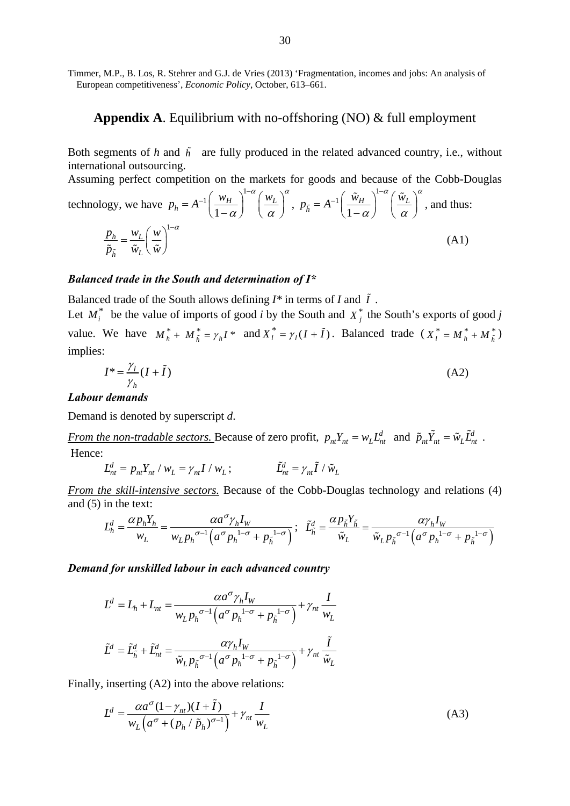Timmer, M.P., B. Los, R. Stehrer and G.J. de Vries (2013) 'Fragmentation, incomes and jobs: An analysis of European competitiveness', *Economic Policy*, October, 613–661.

#### **Appendix A**. Equilibrium with no-offshoring (NO) & full employment

Both segments of  $h$  and  $\tilde{h}$  are fully produced in the related advanced country, i.e., without international outsourcing.

Assuming perfect competition on the markets for goods and because of the Cobb-Douglas

technology, we have 
$$
p_h = A^{-1} \left(\frac{w_H}{1-\alpha}\right)^{1-\alpha} \left(\frac{w_L}{\alpha}\right)^{\alpha}
$$
,  $p_{\tilde{h}} = A^{-1} \left(\frac{\tilde{w}_H}{1-\alpha}\right)^{1-\alpha} \left(\frac{\tilde{w}_L}{\alpha}\right)^{\alpha}$ , and thus:  
\n
$$
\frac{p_h}{\tilde{p}_{\tilde{h}}} = \frac{w_L}{\tilde{w}_L} \left(\frac{w}{\tilde{w}}\right)^{1-\alpha}
$$
\n(A1)

### *Balanced trade in the South and determination of I\**

Balanced trade of the South allows defining  $I^*$  in terms of *I* and  $\tilde{I}$ .

Let  $M_i^*$  be the value of imports of good *i* by the South and  $X_i^*$  the South's exports of good *j* value. We have  $M_h^* + M_{\tilde{h}}^* = \gamma_h I^*$  and  $X_l^* = \gamma_l (I + \tilde{I})$ . Balanced trade  $(X_l^* = M_h^* + M_{\tilde{h}}^*)$ implies:

$$
I^* = \frac{\gamma_l}{\gamma_h} (I + \tilde{I})
$$
 (A2)

#### *Labour demands*

Demand is denoted by superscript *d*.

*<u>From the non-tradable sectors.</u> Because of zero profit,*  $p_{nt}Y_{nt} = w_L L_{nt}^d$  *and*  $\tilde{p}_{nt}\tilde{Y}_{nt} = \tilde{w}_L \tilde{L}_{nt}^d$ *.* Hence:

$$
L_{nt}^d = p_{nt} Y_{nt} / w_L = \gamma_{nt} I / w_L ; \qquad \tilde{L}_{nt}^d = \gamma_{nt} \tilde{I} / \tilde{w}_L
$$

*From the skill-intensive sectors.* Because of the Cobb-Douglas technology and relations (4) and (5) in the text:

$$
L_h^d = \frac{\alpha p_h Y_h}{w_L} = \frac{\alpha a^{\sigma} \gamma_h I_W}{w_L p_h^{\sigma-1} \left(a^{\sigma} p_h^{1-\sigma} + p_{\tilde{h}}^{1-\sigma}\right)}; \quad \tilde{L}_{\tilde{h}}^d = \frac{\alpha p_{\tilde{h}} Y_{\tilde{h}}}{\tilde{w}_L} = \frac{\alpha \gamma_h I_W}{\tilde{w}_L p_{\tilde{h}}^{\sigma-1} \left(a^{\sigma} p_h^{1-\sigma} + p_{\tilde{h}}^{1-\sigma}\right)}
$$

*Demand for unskilled labour in each advanced country*

$$
L^{d} = L_{h} + L_{nt} = \frac{\alpha a^{\sigma} \gamma_{h} I_{W}}{w_{L} p_{h}^{\sigma-1} \left( a^{\sigma} p_{h}^{1-\sigma} + p_{\tilde{h}}^{1-\sigma} \right)} + \gamma_{nt} \frac{I}{w_{L}}
$$

$$
\tilde{L}^{d} = \tilde{L}_{\tilde{h}}^{d} + \tilde{L}_{nt}^{d} = \frac{\alpha \gamma_{h} I_{W}}{\tilde{w}_{L} p_{\tilde{h}}^{\sigma-1} \left( a^{\sigma} p_{h}^{1-\sigma} + p_{\tilde{h}}^{1-\sigma} \right)} + \gamma_{nt} \frac{\tilde{I}}{\tilde{w}_{L}}
$$

Finally, inserting (A2) into the above relations:

$$
L^{d} = \frac{\alpha a^{\sigma} (1 - \gamma_{nt})(I + \tilde{I})}{w_{L} \left(a^{\sigma} + \left(p_{h} / \tilde{p}_{h}\right)^{\sigma - 1}\right)} + \gamma_{nt} \frac{I}{w_{L}}
$$
(A3)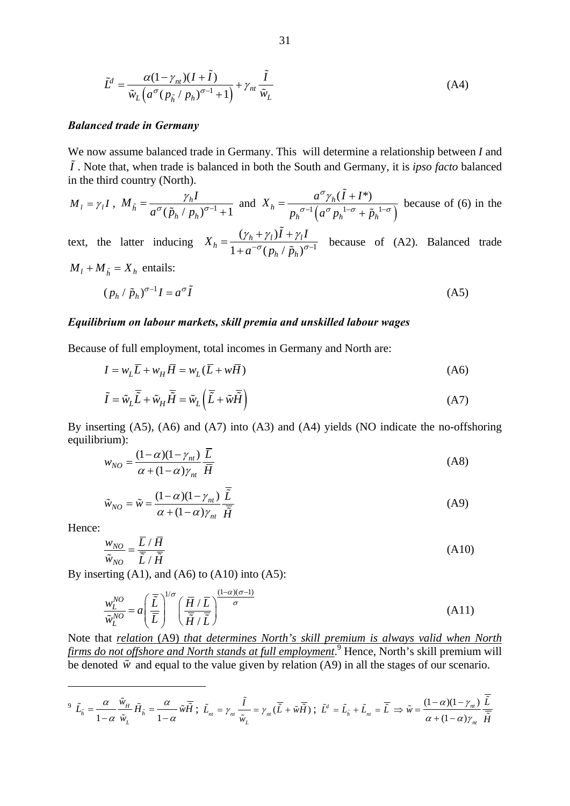$$
\tilde{L}^d = \frac{\alpha (1 - \gamma_{nt})(I + \tilde{I})}{\tilde{w}_L \left( a^{\sigma} (p_{\tilde{h}} / p_h)^{\sigma - 1} + 1 \right)} + \gamma_{nt} \frac{\tilde{I}}{\tilde{w}_L}
$$
\n(A4)

#### *Balanced trade in Germany*

We now assume balanced trade in Germany. This will determine a relationship between *I* and  $\tilde{I}$ . Note that, when trade is balanced in both the South and Germany, it is *ipso facto* balanced in the third country (North).

$$
M_l = \gamma_l I, \ M_{\tilde{h}} = \frac{\gamma_h I}{a^{\sigma} (\tilde{p}_h / p_h)^{\sigma - 1} + 1} \text{ and } X_h = \frac{a^{\sigma} \gamma_h (\tilde{I} + I^*)}{p_h^{\sigma - 1} (a^{\sigma} p_h^{1 - \sigma} + \tilde{p}_h^{1 - \sigma})} \text{ because of (6) in the}
$$

text, the latter inducing  $X_h = \frac{\sqrt{h+1}}{1 + e^{-\sigma}(h + \tilde{h})^{\sigma-1}}$  $(\gamma_h + \gamma_l)$  $1 + a^{-\sigma}(p_h / \tilde{p}_h)$  $h = \frac{(y_h + y_l)\mathbf{i} + y_l}{1 + \mathbf{j} - \sigma (x_l + z_l)}$ *h h*  $X_h = \frac{(\gamma_h + \gamma_l)\hat{I} + \gamma_l I}{\sqrt{(\gamma_h + \gamma_l)I} + \gamma_l I}$  $a^{-\sigma}(p_h/\tilde{p}_h)^{\sigma}$  $\mathcal{Y}_h + \mathcal{Y}_l \mathcal{Y}_l + \mathcal{Y}_l$  $=\frac{(\gamma_h+\gamma_l)\tilde{I}+\gamma_l I}{1+a^{-\sigma}(p_h/\tilde{p}_h)^{\sigma-1}}$  $\frac{\gamma_1}{\tilde{p}_h}$  because of (A2). Balanced trade

 $M_l + M_{\tilde{h}} = X_h$  entails:

$$
(p_h / \tilde{p}_h)^{\sigma - 1} I = a^{\sigma} \tilde{I}
$$
 (A5)

#### *Equilibrium on labour markets, skill premia and unskilled labour wages*

Because of full employment, total incomes in Germany and North are:

$$
I = w_L \overline{L} + w_H \overline{H} = w_L (\overline{L} + w \overline{H})
$$
 (A6)

$$
\tilde{I} = \tilde{w}_L \overline{\tilde{L}} + \tilde{w}_H \overline{\tilde{H}} = \tilde{w}_L \left( \overline{\tilde{L}} + \tilde{w}\overline{\tilde{H}} \right)
$$
\n(A7)

By inserting (A5), (A6) and (A7) into (A3) and (A4) yields (NO indicate the no-offshoring equilibrium):

$$
w_{NO} = \frac{(1-\alpha)(1-\gamma_{nt})}{\alpha + (1-\alpha)\gamma_{nt}} \frac{\overline{L}}{\overline{H}}
$$
(A8)

$$
\tilde{w}_{NO} = \tilde{w} = \frac{(1 - \alpha)(1 - \gamma_{nt})}{\alpha + (1 - \alpha)\gamma_{nt}} \frac{\overline{\tilde{L}}}{\overline{\tilde{H}}}
$$
\n(A9)

Hence:

1

$$
\frac{w_{NO}}{\tilde{w}_{NO}} = \frac{\overline{L}/\overline{H}}{\overline{\tilde{L}}/\overline{\tilde{H}}}
$$
(A10)

By inserting  $(A1)$ , and  $(A6)$  to  $(A10)$  into  $(A5)$ :

$$
\frac{w_L^{NO}}{\tilde{w}_L^{NO}} = a \left( \frac{\overline{\tilde{L}}}{\overline{L}} \right)^{1/\sigma} \left( \frac{\overline{H} / \overline{L}}{\overline{\tilde{H} / \overline{L}}} \right)^{(1-\alpha)(\sigma-1)} \tag{A11}
$$

Note that *relation* (A9) *that determines North's skill premium is always valid when North*  firms do not offshore and North stands at full employment.<sup>9</sup> Hence, North's skill premium will be denoted  $\tilde{w}$  and equal to the value given by relation (A9) in all the stages of our scenario.

$$
{}^{9}\tilde{L}_{\tilde{h}} = \frac{\alpha}{1-\alpha}\frac{\tilde{w}_{H}}{\tilde{w}_{L}}\tilde{H}_{\tilde{h}} = \frac{\alpha}{1-\alpha}\tilde{w}\overline{\tilde{H}}; \ \tilde{L}_{nt} = \gamma_{nt}\frac{\tilde{I}}{\tilde{w}_{L}} = \gamma_{nt}(\overline{\tilde{L}} + \tilde{w}\overline{\tilde{H}}); \ \tilde{L}^{d} = \tilde{L}_{\tilde{h}} + \tilde{L}_{nt} = \overline{\tilde{L}} \Rightarrow \tilde{w} = \frac{(1-\alpha)(1-\gamma_{nt})}{\alpha+(1-\alpha)\gamma_{nt}}\frac{\overline{\tilde{L}}}{\tilde{H}}
$$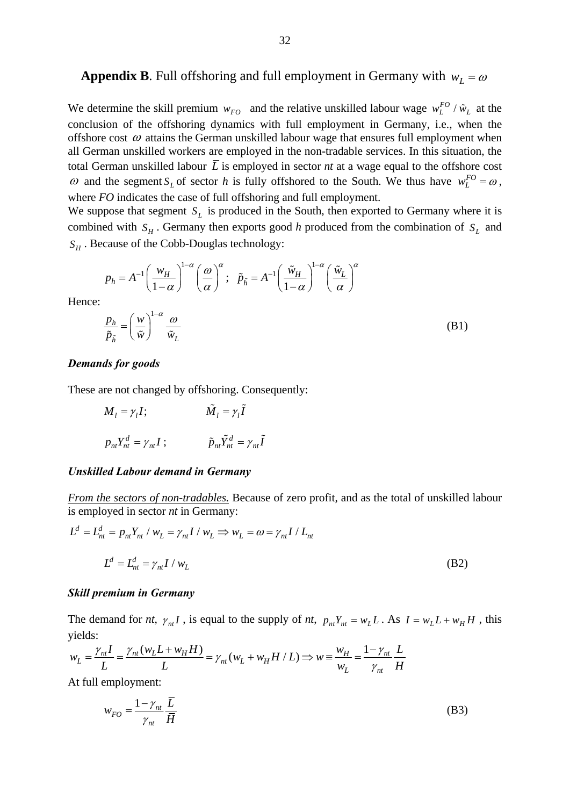# **Appendix B**. Full offshoring and full employment in Germany with  $w_L = \omega$

We determine the skill premium  $w_{FO}$  and the relative unskilled labour wage  $w_L^{FO}/\tilde{w}_L$  at the conclusion of the offshoring dynamics with full employment in Germany, i.e., when the offshore cost  $\omega$  attains the German unskilled labour wage that ensures full employment when all German unskilled workers are employed in the non-tradable services. In this situation, the total German unskilled labour  $\overline{L}$  is employed in sector *nt* at a wage equal to the offshore cost  $\omega$  and the segment *S<sub>L</sub>* of sector *h* is fully offshored to the South. We thus have  $w_L^{FO} = \omega$ , where *FO* indicates the case of full offshoring and full employment.

We suppose that segment  $S_L$  is produced in the South, then exported to Germany where it is combined with  $S_H$ . Germany then exports good *h* produced from the combination of  $S_L$  and *S<sub>H</sub>*. Because of the Cobb-Douglas technology:

$$
p_h = A^{-1} \left(\frac{w_H}{1-\alpha}\right)^{1-\alpha} \left(\frac{\omega}{\alpha}\right)^{\alpha}; \quad \tilde{p}_{\tilde{h}} = A^{-1} \left(\frac{\tilde{w}_H}{1-\alpha}\right)^{1-\alpha} \left(\frac{\tilde{w}_L}{\alpha}\right)^{\alpha}
$$

$$
\vdots
$$

$$
p_h \left(w\right)^{1-\alpha} \omega
$$
 (B1)

Hence:

$$
\frac{p_h}{\tilde{p}_{\tilde{h}}} = \left(\frac{w}{\tilde{w}}\right)^{1-\alpha} \frac{\omega}{\tilde{w}_L}
$$
\n(B1)

#### *Demands for goods*

These are not changed by offshoring. Consequently:

$$
M_{l} = \gamma_{l} I; \qquad \tilde{M}_{l} = \gamma_{l} \tilde{I}
$$
  

$$
p_{nl} Y_{nl}^{d} = \gamma_{nl} I; \qquad \tilde{p}_{nl} \tilde{Y}_{nl}^{d} = \gamma_{nl} \tilde{I}
$$

#### *Unskilled Labour demand in Germany*

*From the sectors of non-tradables.* Because of zero profit, and as the total of unskilled labour is employed in sector *nt* in Germany:

$$
L^{d} = L_{nt}^{d} = p_{nt} Y_{nt} / w_{L} = \gamma_{nt} I / w_{L} \Rightarrow w_{L} = \omega = \gamma_{nt} I / L_{nt}
$$
  

$$
L^{d} = L_{nt}^{d} = \gamma_{nt} I / w_{L}
$$
 (B2)

#### *Skill premium in Germany*

The demand for *nt*,  $\gamma_{nt}I$ , is equal to the supply of *nt*,  $p_{nt}Y_{nt} = w_L L$ . As  $I = w_L L + w_H H$ , this yields:

$$
w_L = \frac{\gamma_{nt}I}{L} = \frac{\gamma_{nt}(w_L L + w_H H)}{L} = \gamma_{nt}(w_L + w_H H / L) \Rightarrow w = \frac{w_H}{w_L} = \frac{1 - \gamma_{nt}}{\gamma_{nt}} \frac{L}{H}
$$

At full employment:

$$
w_{FO} = \frac{1 - \gamma_{nt}}{\gamma_{nt}} \frac{\overline{L}}{\overline{H}}
$$
 (B3)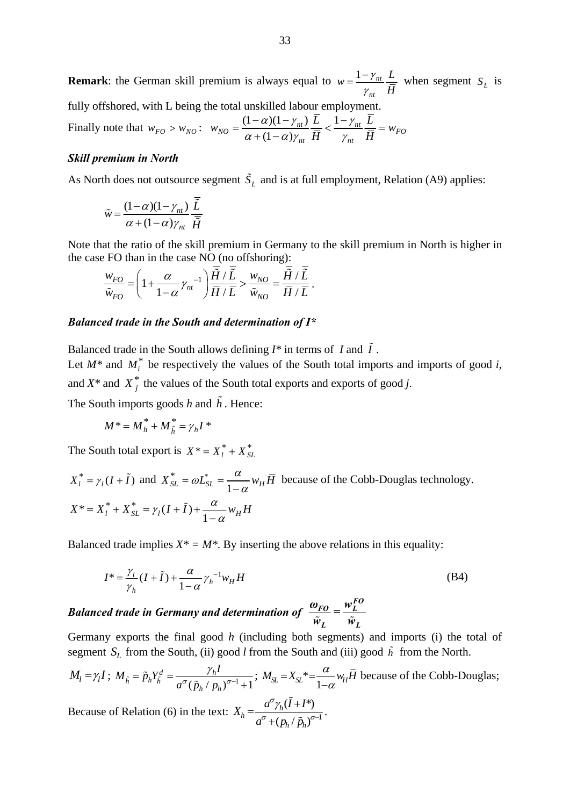**Remark**: the German skill premium is always equal to  $w = \frac{1 - \gamma_m}{n}$ *nt*  $w = \frac{1 - \gamma_{nt}}{I}$ *H* γ  $=\frac{1-\gamma_{nt}}{\gamma_{nt}}\frac{L}{\bar{H}}$  when segment  $S_L$  is fully offshored, with L being the total unskilled labour employment.

Finally note that  $w_{FO} > w_{NO}$ :  $w_{NO} = \frac{(1-\alpha)(1-\gamma_{nt})}{\alpha+(1-\alpha)\gamma_{nt}} \frac{\overline{L}}{\overline{H}} < \frac{1-\gamma_{nt}}{\gamma_{nt}} \frac{\overline{L}}{\overline{H}} = w_{FO}$  $nt$ <sup>11</sup>  $y$ <sub>nt</sub>  $W_{NO} = \frac{(1-\alpha)(1-\gamma_{nt})}{\sqrt{\pi}} \frac{\overline{L}}{\sqrt{\pi}} < \frac{1-\gamma_{nt}}{\sqrt{\pi}} \frac{\overline{L}}{\sqrt{\pi}} = W$  $\bar{H}$   $\gamma_{nt}$   $\bar{H}$  $\alpha$ )(1- $\gamma_{nt}$ ) L 1- $\gamma$  $\alpha + (1-\alpha)\gamma_{nt}$  H  $\gamma$  $=\frac{(1-\alpha)(1-\gamma_{nt})}{\alpha} \frac{\overline{L}}{\overline{R}} < \frac{1-\gamma_{nt}}{\overline{R}} \frac{\overline{L}}{\overline{R}} =$  $+(1-$ 

#### *Skill premium in North*

As North does not outsource segment  $\tilde{S}_L$  and is at full employment, Relation (A9) applies:

$$
\tilde{w} = \frac{(1-\alpha)(1-\gamma_{nt})}{\alpha+(1-\alpha)\gamma_{nt}}\frac{\overline{\tilde{L}}}{\overline{\tilde{H}}}
$$

Note that the ratio of the skill premium in Germany to the skill premium in North is higher in the case FO than in the case NO (no offshoring):

$$
\frac{w_{FO}}{\tilde{w}_{FO}} = \left(1 + \frac{\alpha}{1 - \alpha} \gamma_{nt}^{-1}\right) \frac{\overline{\tilde{H}} / \overline{\tilde{L}}}{\overline{\tilde{H}} / \overline{\tilde{L}}} > \frac{w_{NO}}{\tilde{w}_{NO}} = \frac{\overline{\tilde{H}} / \overline{\tilde{L}}}{\overline{H} / \overline{L}}.
$$

#### *Balanced trade in the South and determination of I\**

Balanced trade in the South allows defining  $I^*$  in terms of  $I$  and  $\tilde{I}$ . Let  $M^*$  and  $M_i^*$  be respectively the values of the South total imports and imports of good *i*, and  $X^*$  and  $X_j^*$  the values of the South total exports and exports of good *j*. The South imports goods  $h$  and  $\tilde{h}$ . Hence:

$$
M^* = M_h^* + M_{\tilde{h}}^* = \gamma_h I^*
$$

The South total export is  $X^* = X_I^* + X_{SL}^*$ 

$$
X_{l}^{*} = \gamma_{l}(I + \tilde{I}) \text{ and } X_{SL}^{*} = \omega L_{SL}^{*} = \frac{\alpha}{1 - \alpha} w_{H} \overline{H} \text{ because of the Cobb-Douglas technology.}
$$
  

$$
X^{*} = X_{l}^{*} + X_{SL}^{*} = \gamma_{l}(I + \tilde{I}) + \frac{\alpha}{1 - \alpha} w_{H} H
$$

Balanced trade implies  $X^* = M^*$ . By inserting the above relations in this equality:

$$
I^* = \frac{\gamma_l}{\gamma_h} (I + \tilde{I}) + \frac{\alpha}{1 - \alpha} \gamma_h^{-1} w_H H
$$
 (B4)

*Balanced trade in Germany and determination of*  $\frac{\partial F_0}{\partial \tilde{r}_I} = \frac{W_I}{\tilde{W}}$  $FQ = \frac{w_L^{FO}}{L}$  $\frac{\omega_{FO}}{\tilde{w}_L} = \frac{w_L^{Fe}}{\tilde{w}_L}$ 

Germany exports the final good *h* (including both segments) and imports (i) the total of segment  $S_L$  from the South, (ii) good *l* from the South and (iii) good  $\tilde{h}$  from the North.

$$
M_l = \gamma_l I \, ; \, M_{\tilde{h}} = \tilde{p}_h Y_{\tilde{h}}^d = \frac{\gamma_h I}{a^\sigma (\tilde{p}_h / p_h)^{\sigma - 1} + 1}; \, M_{SL} = X_{SL}^* = \frac{\alpha}{1 - \alpha} w_H \overline{H}
$$
 because of the Cobb-Douglas;

Because of Relation (6) in the text:  $X_h = \frac{u^2/h(x+1)}{a^2 + (x-h)^{2}}$  $(I+I^*)$  $(p_h/\tilde{p}_h)$ *h h h h*  $a^{\sigma}\gamma_h(\tilde{l}+l)$  $a^{\sigma}$  +  $\left(p_h/\tilde{p}\right)$  $X_h = \frac{a^{\sigma}}{g}$  $\sigma$   $($   $($   $\sim$   $)$   $\sim$   $\sim$   $\sigma$  $=\frac{a^{\sigma}\gamma_h(\tilde{I}+I^*)}{a^{\sigma}+(p_h/\tilde{p}_h)^{\sigma-}}$  $\tilde{I}$  $\frac{1}{(\tilde{p}_h)^{\sigma-1}}$ .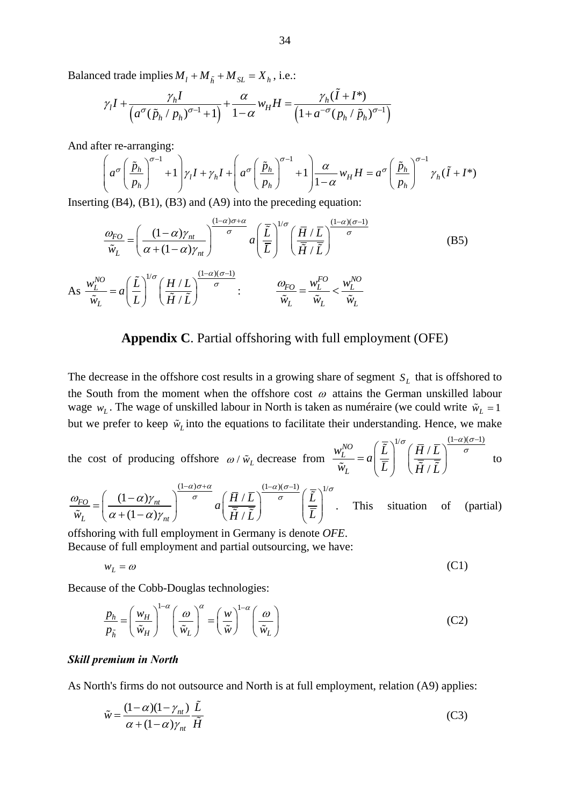Balanced trade implies  $M_l + M_{\tilde{h}} + M_{SL} = X_h$ , i.e.:

$$
\gamma_l I + \frac{\gamma_h I}{\left(a^{\sigma}(\tilde{p}_h / p_h)^{\sigma-1} + 1\right)} + \frac{\alpha}{1 - \alpha} w_H H = \frac{\gamma_h (\tilde{I} + I^*)}{\left(1 + a^{-\sigma} (p_h / \tilde{p}_h)^{\sigma-1}\right)}
$$

And after re-arranging:

$$
\left(a^{\sigma}\left(\frac{\tilde{p}_h}{p_h}\right)^{\sigma-1} + 1\right) \gamma_l I + \gamma_h I + \left(a^{\sigma}\left(\frac{\tilde{p}_h}{p_h}\right)^{\sigma-1} + 1\right) \frac{\alpha}{1-\alpha} w_H H = a^{\sigma}\left(\frac{\tilde{p}_h}{p_h}\right)^{\sigma-1} \gamma_h (\tilde{I} + I^*)
$$

Inserting (B4), (B1), (B3) and (A9) into the preceding equation:

$$
\frac{\omega_{FO}}{\tilde{w}_L} = \left(\frac{(1-\alpha)\gamma_{nt}}{\alpha + (1-\alpha)\gamma_{nt}}\right)^{\frac{(1-\alpha)\sigma + \alpha}{\sigma}} a \left(\frac{\overline{L}}{\overline{L}}\right)^{1/\sigma} \left(\frac{\overline{H}/\overline{L}}{\overline{H}/\overline{L}}\right)^{\frac{(1-\alpha)(\sigma-1)}{\sigma}}
$$
(B5)  
As  $\frac{w_L^{NO}}{\tilde{w}_L} = a \left(\frac{\tilde{L}}{L}\right)^{1/\sigma} \left(\frac{H/L}{\overline{H}/\overline{L}}\right)^{\frac{(1-\alpha)(\sigma-1)}{\sigma}}$ .  $\frac{\omega_{FO}}{\tilde{w}_L} = \frac{w_L^{FO}}{\tilde{w}_L} < \frac{w_L^{NO}}{\tilde{w}_L}$ 

#### **Appendix C**. Partial offshoring with full employment (OFE)

The decrease in the offshore cost results in a growing share of segment  $S_L$  that is offshored to the South from the moment when the offshore cost  $\omega$  attains the German unskilled labour wage  $w_L$ . The wage of unskilled labour in North is taken as numéraire (we could write  $\tilde{w}_L = 1$ but we prefer to keep  $\tilde{w}_L$  into the equations to facilitate their understanding. Hence, we make

the cost of producing offshore  $\omega / \tilde{w}_L$  decrease from  $1/\sigma$   $\frac{(1-\alpha)(\sigma-1)}{2}$ / / *NO L L*  $\left(\frac{w_L^{NO}}{z} - a\right) \left(\frac{\bar{L}}{\bar{z}}\right) \left(\frac{\bar{H}/\bar{L}}{\bar{z} - \bar{z}}\right)$  $\tilde{w}_L$   $\left(\begin{array}{c|c} \bar{L} \end{array}\right)$   $\left(\begin{array}{c|c} \tilde{H}/\tilde{L} \end{array}\right)$  $\sigma$   $(1-\alpha)(\sigma)$  $\sigma$   $\frac{\overline{L}}{\widetilde{W}_I} = a \left( \frac{\overline{L}}{\overline{L}} \right) \left( \frac{\overline{L} \overline{T}}{\overline{H}/\overline{L}} \right)$  to

$$
\frac{\omega_{FO}}{\tilde{w}_L} = \left(\frac{(1-\alpha)\gamma_{nt}}{\alpha + (1-\alpha)\gamma_{nt}}\right)^{\frac{(1-\alpha)\sigma + \alpha}{\sigma}} a \left(\frac{\overline{H}/\overline{L}}{\tilde{H}/\overline{\tilde{L}}}\right)^{\frac{(1-\alpha)(\sigma-1)}{\sigma}} \left(\frac{\overline{\tilde{L}}}{\overline{L}}\right)^{1/\sigma}.
$$
 This situation of (partial)

offshoring with full employment in Germany is denote *OFE*. Because of full employment and partial outsourcing, we have:

$$
w_L = \omega \tag{C1}
$$

Because of the Cobb-Douglas technologies:

$$
\frac{p_h}{p_{\tilde{h}}} = \left(\frac{w_H}{\tilde{w}_H}\right)^{1-\alpha} \left(\frac{\omega}{\tilde{w}_L}\right)^{\alpha} = \left(\frac{w}{\tilde{w}}\right)^{1-\alpha} \left(\frac{\omega}{\tilde{w}_L}\right)
$$
(C2)

#### *Skill premium in North*

As North's firms do not outsource and North is at full employment, relation (A9) applies:

$$
\tilde{w} = \frac{(1-\alpha)(1-\gamma_{nt})}{\alpha + (1-\alpha)\gamma_{nt}} \frac{\tilde{L}}{\tilde{H}}
$$
\n(C3)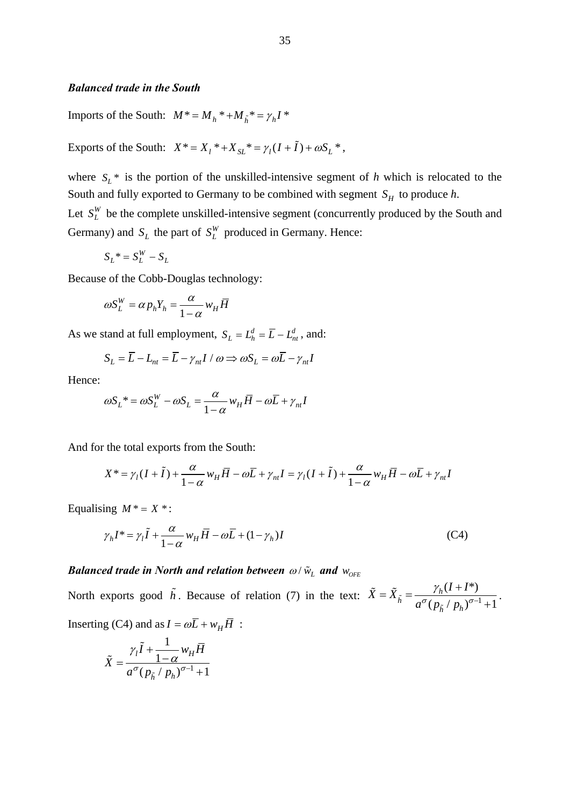#### *Balanced trade in the South*

Imports of the South:  $M^* = M_h^* + M_h^* = \gamma_h I^*$ 

Exports of the South:  $X^* = X_l^* + X_{SL}^* = \gamma_l (I + \tilde{I}) + \omega S_L^*$ ,

where  $S_L^*$  is the portion of the unskilled-intensive segment of *h* which is relocated to the South and fully exported to Germany to be combined with segment  $S_H$  to produce *h*. Let  $S_L^W$  be the complete unskilled-intensive segment (concurrently produced by the South and Germany) and  $S_L$  the part of  $S_L^W$  produced in Germany. Hence:

$$
S_L^* = S_L^W - S_L
$$

Because of the Cobb-Douglas technology:

$$
\omega S_L^W = \alpha p_h Y_h = \frac{\alpha}{1 - \alpha} w_H \overline{H}
$$

As we stand at full employment,  $S_L = L_h^d$  $S_L = L_h^d = \overline{L} - L_{nt}^d$ , and:

$$
S_L = \overline{L} - L_{nt} = \overline{L} - \gamma_{nt} I / \omega \Longrightarrow \omega S_L = \omega \overline{L} - \gamma_{nt} I
$$

Hence:

$$
\omega S_L^* = \omega S_L^W - \omega S_L = \frac{\alpha}{1 - \alpha} w_H \overline{H} - \omega \overline{L} + \gamma_{nt} I
$$

And for the total exports from the South:

$$
X^* = \gamma_l (I + \tilde{I}) + \frac{\alpha}{1 - \alpha} w_H \overline{H} - \omega \overline{L} + \gamma_{nl} I = \gamma_l (I + \tilde{I}) + \frac{\alpha}{1 - \alpha} w_H \overline{H} - \omega \overline{L} + \gamma_{nl} I
$$

Equalising  $M^* = X^*$ :

$$
\gamma_h I^* = \gamma_l \tilde{I} + \frac{\alpha}{1 - \alpha} w_H \overline{H} - \omega \overline{L} + (1 - \gamma_h) I \tag{C4}
$$

### *Balanced trade in North and relation between*  $\omega / \tilde{w}_L$  *and*  $w_{OFF}$

North exports good  $\tilde{h}$ . Because of relation (7) in the text:  $\tilde{X} = \tilde{X}_{\tilde{h}} = \frac{\gamma_h (I + I^*)}{\sigma^{\sigma} (n - h)^{\sigma-1}}$  $(p_{\tilde{i}} / p_{h})^{\sigma-1} + 1$ *h h*  $\tilde{h}$ <sup> $\prime$ </sup>  $Ph$  $\tilde{X} = \tilde{X}_{\tilde{k}} = \frac{\gamma_h (I + I)}{\tau_i}$  $a^{\sigma} (p_{\tilde{i}} / p_h)^{\sigma}$ γ  $=\tilde{X}_{\tilde{h}} = \frac{\gamma_h (I + I^*)}{a^{\sigma} (p_{\tilde{h}} / p_h)^{\sigma-1}}$  $\tilde{X} = \tilde{X}_{\tilde{h}} = \frac{\gamma_h (I + I^*)}{\sigma \sqrt{1 - 1} \sigma^2}$ Inserting (C4) and as  $I = \omega \overline{L} + w_H \overline{H}$ :

$$
\tilde{X} = \frac{\gamma_l \tilde{I} + \frac{1}{1 - \alpha} w_H \overline{H}}{\alpha^{\sigma} (p_{\tilde{h}} / p_h)^{\sigma - 1} + 1}
$$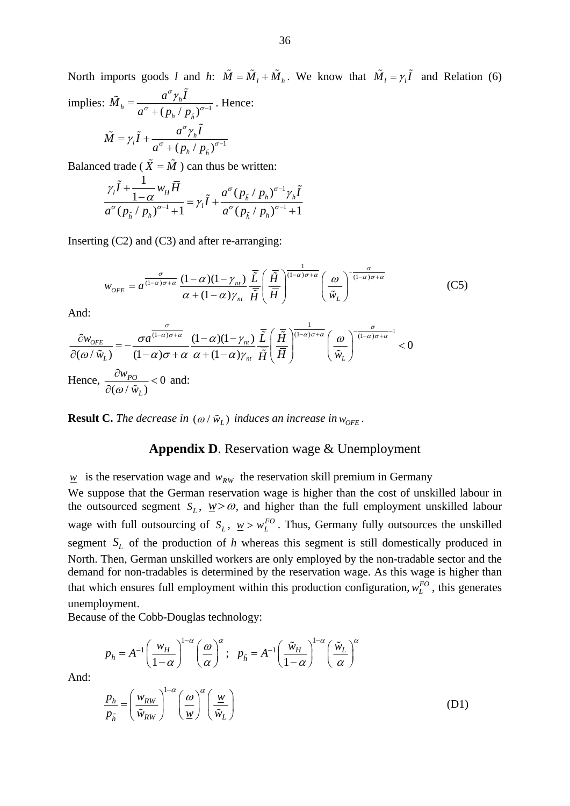North imports goods *l* and *h*:  $\tilde{M} = \tilde{M}_l + \tilde{M}_h$ . We know that  $\tilde{M}_l = \gamma_l \tilde{I}$  and Relation (6) implies:  $\tilde{M}_h = \frac{a^b h^b}{a^b + (p_h/p_i)^{b^b}}$  $h$ <sup> $\prime$ </sup>  $P_{\tilde{h}}$  $a^{\sigma} \gamma_{h} I$  $a^{\sigma}$  + ( $p_{h}$  /  $p$  $\tilde{M}_h = \frac{a^{\sigma}}{a^{\sigma}}$  $\sigma$   $\prime$   $\prime$   $\sim$   $\sigma$  $=\frac{a^{\sigma}\gamma_{h}I}{a^{\sigma}+(p_{h}/p_{\tilde{h}})^{\sigma-1}}$  $\tilde{A}_{h} = \frac{a^{\sigma} \gamma_{h} \tilde{I}}{a^{\sigma} \gamma_{h} \tilde{I}}$ . Hence:  $\sigma$  $\tilde{A} = \gamma_i \tilde{I} + \frac{a^{\sigma} \gamma_h \tilde{I}}{a^{\sigma} \gamma_h \gamma_h}$ 

$$
\tilde{M} = \gamma_i \tilde{I} + \frac{a^{\sigma} \gamma_h \tilde{I}}{a^{\sigma} + (p_h / p_{\tilde{h}})^{\sigma-1}}
$$

Balanced trade ( $\tilde{X} = \tilde{M}$ ) can thus be written:

$$
\frac{\gamma_i \tilde{I} + \frac{1}{1-\alpha} w_{\scriptscriptstyle H} \bar{H}}{a^{\sigma} (p_{\tilde{h}} / p_{\scriptscriptstyle h})^{\sigma-1} + 1} = \gamma_i \tilde{I} + \frac{a^{\sigma} (p_{\tilde{h}} / p_{\scriptscriptstyle h})^{\sigma-1} \gamma_{\scriptscriptstyle h} \tilde{I}}{a^{\sigma} (p_{\tilde{h}} / p_{\scriptscriptstyle h})^{\sigma-1} + 1}
$$

Inserting  $(C2)$  and  $(C3)$  and after re-arranging:

$$
w_{OFE} = a^{\frac{\sigma}{(1-\alpha)\sigma+\alpha}} \frac{(1-\alpha)(1-\gamma_{nt})}{\alpha+(1-\alpha)\gamma_{nt}} \frac{\overline{\tilde{L}}}{\overline{\tilde{H}}} \left(\frac{\overline{\tilde{H}}}{\overline{H}}\right)^{\frac{1}{(1-\alpha)\sigma+\alpha}} \left(\frac{\omega}{\tilde{w}_L}\right)^{-\frac{\sigma}{(1-\alpha)\sigma+\alpha}}
$$
(C5)

And:

$$
\frac{\partial w_{OFE}}{\partial(\omega/\tilde{w}_L)} = -\frac{\sigma a^{\frac{\sigma}{(1-\alpha)\sigma+\alpha}}}{(1-\alpha)\sigma+\alpha} \frac{(1-\alpha)(1-\gamma_{m})}{\alpha+(1-\alpha)\gamma_{m}} \frac{\overline{\tilde{L}}}{\overline{\tilde{H}}} \left(\frac{\overline{\tilde{H}}}{\overline{H}}\right)^{\frac{1}{(1-\alpha)\sigma+\alpha}} \left(\frac{\omega}{\tilde{w}_L}\right)^{-\frac{\sigma}{(1-\alpha)\sigma+\alpha}-1} < 0
$$
  
Hence,  $\frac{\partial w_{PO}}{\partial(\omega/\tilde{w}_L)} < 0$  and:

**Result C.** *The decrease in*  $(\omega / \tilde{w}_L)$  *induces an increase in*  $w_{OFE}$ .

### **Appendix D**. Reservation wage & Unemployment

 $w$  is the reservation wage and  $w_{RW}$  the reservation skill premium in Germany

We suppose that the German reservation wage is higher than the cost of unskilled labour in the outsourced segment  $S_t$ ,  $w > \omega$ , and higher than the full employment unskilled labour wage with full outsourcing of  $S_L$ ,  $\psi > w_L^{FO}$ . Thus, Germany fully outsources the unskilled segment  $S_L$  of the production of *h* whereas this segment is still domestically produced in North. Then, German unskilled workers are only employed by the non-tradable sector and the demand for non-tradables is determined by the reservation wage. As this wage is higher than that which ensures full employment within this production configuration,  $w_L^{FO}$ , this generates unemployment.

Because of the Cobb-Douglas technology:

$$
p_h = A^{-1} \left(\frac{w_H}{1-\alpha}\right)^{1-\alpha} \left(\frac{\omega}{\alpha}\right)^{\alpha}; \ \ p_{\tilde{h}} = A^{-1} \left(\frac{\tilde{w}_H}{1-\alpha}\right)^{1-\alpha} \left(\frac{\tilde{w}_L}{\alpha}\right)^{\alpha}
$$

And:

$$
\frac{p_h}{p_{\tilde{h}}} = \left(\frac{w_{RW}}{\tilde{w}_{RW}}\right)^{1-\alpha} \left(\frac{\omega}{w}\right)^{\alpha} \left(\frac{\underline{w}}{\tilde{w}_L}\right)
$$
(D1)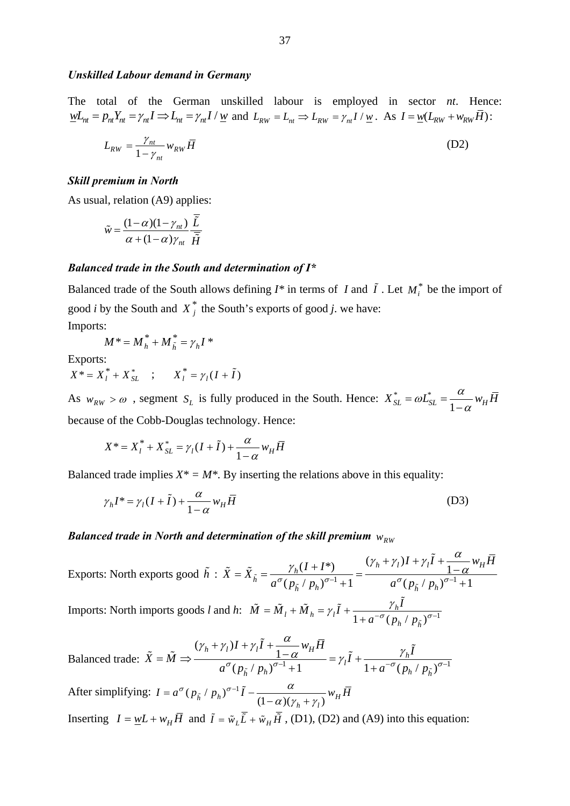#### *Unskilled Labour demand in Germany*

The total of the German unskilled labour is employed in sector *nt*. Hence:  $\underline{W}L_{nt} = p_{nt}Y_{nt} = \gamma_{nt}I \implies L_{nt} = \gamma_{nt}I/\underline{w}$  and  $L_{RW} = L_{nt} \implies L_{RW} = \gamma_{nt}I/\underline{w}$ . As  $I = \underline{W}(L_{RW} + w_{RW}\overline{H})$ :

$$
L_{RW} = \frac{\gamma_{nt}}{1 - \gamma_{nt}} w_{RW} \overline{H}
$$
 (D2)

#### *Skill premium in North*

As usual, relation (A9) applies:

$$
\widetilde{w} = \frac{(1-\alpha)(1-\gamma_{nt})}{\alpha+(1-\alpha)\gamma_{nt}}\frac{\widetilde{\overline{L}}}{\widetilde{\overline{H}}}
$$

#### *Balanced trade in the South and determination of I\**

Balanced trade of the South allows defining  $I^*$  in terms of *I* and  $\tilde{I}$ . Let  $M_i^*$  be the import of good *i* by the South and  $X_i^*$  the South's exports of good *j*. we have:

Imports:  
\n
$$
M^* = M_h^* + M_{\tilde{h}}^* = \gamma_h I^*
$$

Exports:<br> $X^* = X_I^* + X_{SL}^*$ ;  $X_I^* = \gamma_I (I + \tilde{I})$ 

As  $w_{RW} > \omega$ , segment  $S_L$  is fully produced in the South. Hence:  $X_{SL}^* = \omega L_{SL}^* = \frac{\alpha}{1-\alpha} w_H \overline{H}$ because of the Cobb-Douglas technology. Hence:

$$
X^* = X_I^* + X_{SL}^* = \gamma_I (I + \tilde{I}) + \frac{\alpha}{1 - \alpha} w_H \overline{H}
$$

Balanced trade implies  $X^* = M^*$ . By inserting the relations above in this equality:

$$
\gamma_h I^* = \gamma_l (I + \tilde{I}) + \frac{\alpha}{1 - \alpha} w_H \overline{H}
$$
 (D3)

#### *Balanced trade in North and determination of the skill premium*  $w_{RW}$

Exports: North exports good  $\tilde{h}$ :  $\tilde{X} = \tilde{X}_{\tilde{h}} = \frac{\gamma_h (1 + I^{\infty})}{\sigma^{\sigma}(n - h^{\alpha})^{\sigma-1} + 1} = \frac{\gamma_h (1 + I^{\infty})}{\sigma^{\sigma}(n - h^{\alpha})^{\sigma-1}}$  $(I + I^*)$   $=$   $\frac{(\gamma_h + \gamma_l)I + \gamma_l \tilde{I} + \gamma_l}{1}$  $(p_{\tilde{i}} / p_{\tilde{j}})^{\sigma-1} + 1$   $a^{\sigma} (p_{\tilde{i}} / p_{\tilde{j}})^{\sigma-1} + 1$  $I_h(I+I^*)$   $-\frac{(V_h+\gamma_l)I+\gamma_lI+\sqrt{1-\alpha}W_H}{1-\alpha}$  $\tilde{h}$  *h*  $h$   $\tau$  **h**  $\tau$  **h**  $\tau$   $\mu$   $\mu$ *h*  $(I+I^*)$   $(\gamma_h+\gamma_l)I+\gamma_l\tilde{I}+\frac{\alpha}{1-\alpha}w_H\tilde{H}$  $a^{\sigma}(p_{\tilde{i}}/p_{h})^{\sigma-1}+1$   $a^{\sigma}(p_{h})$  $\ddot{X} = \ddot{X}$  $\sigma(p_{\tilde{i}}/p_{\tilde{j}})^{\sigma-1}+1$   $a^{\sigma}(p_{\tilde{i}}/p_{\tilde{j}})^{\sigma}$  $\gamma_h(I+I^*)$   $(\gamma_h+\gamma_l)I+\gamma_l\tilde{I}+\frac{\alpha}{1-\alpha}$  $=\dot{X}_{\tilde{h}}=\frac{r_{h}(1+r_{h})}{\sigma^{2}(r_{h}+r_{h})^{\sigma-1}+1}=\frac{1}{\sigma^{2}(r_{h}+r_{h})^{\sigma-1}}$  $+I^*)$   $-\frac{(\gamma_h+\gamma_l)I+\gamma_lI+\frac{\sigma_l}{l-1}}{1-I}$  $\tilde{a}_{\tilde{h}} = \frac{a^{\sigma}(p_{\tilde{h}}/p_h)^{\sigma-1} + 1}{a^{\sigma}(p_{\tilde{h}}/p_h)^{\sigma-1} + 1}$  $\tilde{I}$  $\tilde{X} = \tilde{X}$ Imports: North imports goods *l* and *h*:  $\tilde{M} = \tilde{M}_l + \tilde{M}_h = \gamma_l \tilde{I} + \frac{\gamma_h I}{1 + a^{-\sigma} (p_h / p_{\tilde{k}})^{\sigma - 1}}$  $h \,$ *h*  $\mu$  $\hat{h}$  $\tilde{M} = \tilde{M}_l + \tilde{M}_h = \gamma_l \tilde{I} + \frac{\gamma_h \tilde{I}}{I}$  $=\tilde{M}_{l} + \tilde{M}_{h} = \gamma_{l} \tilde{I} + \frac{\gamma_{h} I}{1 + a^{-\sigma} (p_{h} / p_{\tilde{h}})^{\sigma-1}}$  $\tilde{M} = \tilde{M}_{\cdot} + \tilde{M}_{\cdot} = \gamma \tilde{I} + \frac{\gamma h \tilde{I}}{h}$ 

Balanced trade:  $X = M \Rightarrow \frac{1-\alpha}{\sqrt{\alpha(n-1)n}} = \gamma_l I + \frac{7h^2}{1+\sqrt{\alpha(n-1)n}} = \gamma_l I + \frac{7h^2}{1+\sqrt{\alpha(n-1)n}}$  $(\gamma_h + \gamma_l)I + \gamma_l I + \frac{1}{1}$  $(p_{\tilde{h}}/p_h)^{\sigma-1}+1$   $l + a^{-\sigma}(p_h/p_{\tilde{h}})$  $\frac{h^{\dagger} f_l I^{\dagger} f_l I^{\dagger} - \alpha}{1 - \alpha} = \gamma_l \tilde{I} + \frac{\gamma_h}{1 - \sigma \sqrt{2}}$  $h_h^2$  *h*  $h$  <sup>+1</sup> **h**  $h_h$   $h_h^2$  $\tilde{M} \Rightarrow \frac{(\gamma_h + \gamma_l)I + \gamma_l I + \frac{\alpha}{1 - \alpha} w_H \overline{H}}{\sigma_l \sqrt{1 - \frac{\alpha}{1 - \alpha} w_H \overline{H}}} = \gamma_l \tilde{I} + \frac{\gamma_h \tilde{I}}{\sqrt{1 - \frac{\alpha}{1 - \alpha} w_H \overline{H}}}$  $a^{\sigma}(p_{\tilde{i}}/p_{h})^{\sigma-1}+1$   $a^{-\sigma}(p_{h}/p_{h})$ *X*  $\sigma (p_{\tilde{i}} / p_{h})^{\sigma-1} + 1$   $1 + a^{-\sigma} (p_{h} / p_{\tilde{i}})^{\sigma}$  $(\gamma_h + \gamma_l)I + \gamma_l \tilde{I} + \frac{\alpha}{1 - \alpha} w_H \overline{H} = \gamma_l \tilde{I} + \frac{\gamma_h \tilde{I}}{1 + \alpha^{-\sigma} (n + \alpha)^{\sigma-1}}$  $+\gamma_{I}I + \gamma_{I}\tilde{I} +$  $=\tilde{M} \Rightarrow \frac{\gamma_{h} + \gamma_{l} \gamma_{l} + \gamma_{l} \gamma_{l}}{a^{\sigma} (p_{\tilde{h}} / p_{h})^{\sigma-1} + 1} = \gamma_{l} \tilde{I} + \frac{\gamma_{h} I}{1 + a^{-\sigma} (p_{h} / p_{\tilde{h}})}$  $\tilde{X} = \tilde{M} \Rightarrow \frac{(\gamma_h + \gamma_l)I + \gamma_l \tilde{I} + \frac{\alpha}{1 - \alpha} w_H \overline{H}}{1 - \alpha} = \gamma_l \tilde{I} + \frac{\gamma_h \tilde{I}}{1 - \alpha}$ 

After simplifying:  $I = a^{\sigma} (p_{\tilde{h}} / p_h)^{\sigma-1} \tilde{I} - \frac{a}{(1 - \alpha)(\gamma_h + \gamma_l)} w_h$  $I = a^{\sigma} (p_{\tilde{i}} / p_{h})^{\sigma-1} \tilde{I} - \frac{\alpha}{\alpha} w_{H} \overline{H}$  $= a^{\sigma} (p_{\tilde{h}} / p_h)^{\sigma-1} \tilde{I} - \frac{\alpha}{(1-\alpha)(\gamma_h + \gamma)}$ 

Inserting  $I = \underline{w}L + w_H \overline{H}$  and  $\tilde{I} = \tilde{w}_L \overline{\tilde{L}} + \tilde{w}_H \overline{\tilde{H}}$ , (D1), (D2) and (A9) into this equation: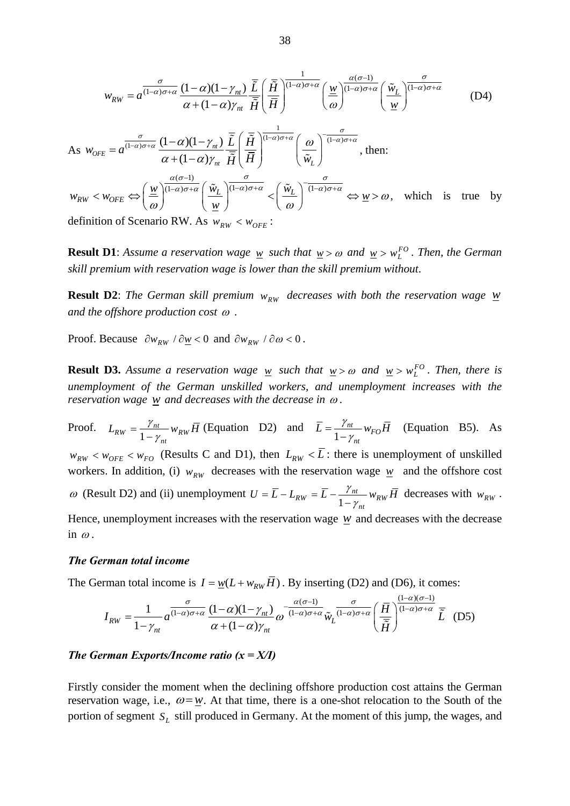$$
w_{RW} = a^{\frac{\sigma}{(1-\alpha)\sigma+\alpha}} \frac{(1-\alpha)(1-\gamma_{nt})}{\alpha+(1-\alpha)\gamma_{nt}} \frac{\overline{\tilde{L}}}{\overline{\tilde{H}}} \left(\frac{\overline{\tilde{H}}}{\overline{H}}\right)^{\frac{1}{(1-\alpha)\sigma+\alpha}} \left(\frac{w}{\omega}\right)^{\frac{\alpha(\sigma-1)}{(1-\alpha)\sigma+\alpha}} \left(\frac{\tilde{w}_L}{w}\right)^{\frac{\sigma}{(1-\alpha)\sigma+\alpha}}
$$
(D4)  
As  $w_{0FE} = a^{\frac{\sigma}{(1-\alpha)\sigma+\alpha}} \frac{(1-\alpha)(1-\gamma_{nt})}{\alpha+(1-\alpha)\gamma_{nt}} \frac{\overline{\tilde{L}}}{\overline{\tilde{H}}} \left(\frac{\overline{\tilde{H}}}{\overline{H}}\right)^{\frac{1}{(1-\alpha)\sigma+\alpha}} \left(\frac{\omega}{\tilde{w}_L}\right)^{\frac{\sigma}{(1-\alpha)\sigma+\alpha}}, \text{ then: $w_{RW} < w_{0FE} \Leftrightarrow \left(\frac{w}{\omega}\right)^{\frac{\alpha(\sigma-1)}{(1-\alpha)\sigma+\alpha}} \left(\frac{\tilde{w}_L}{w}\right)^{\frac{\sigma}{(1-\alpha)\sigma+\alpha}} < \left(\frac{\tilde{w}_L}{\omega}\right)^{\frac{\sigma}{(1-\alpha)\sigma+\alpha}} \Leftrightarrow w > \omega, \text{ which is true by}$$ 

of Scenario RW. As  $w_{RW} < w_{OFE}$ :

**Result D1**: *Assume a reservation wage* <u>*w*</u> such that  $\underline{w} > \omega$  and  $\underline{w} > w_L^{FO}$ . Then, the German *skill premium with reservation wage is lower than the skill premium without*.

**Result D2**: *The German skill premium*  $w_{RW}$  decreases with both the reservation wage  $w$ *and the offshore production cost*  $\omega$ *.* 

Proof. Because  $\partial w_{RW}$  /  $\partial w_{\alpha} < 0$  and  $\partial w_{RW}$  /  $\partial \omega < 0$ .

**Result D3.** Assume a reservation wage <u>w</u> such that  $w > \omega$  and  $w > w_L^{FO}$ . Then, there is *unemployment of the German unskilled workers, and unemployment increases with the reservation wage w and decreases with the decrease in*  $\omega$ *.* 

Proof.  $\kappa w = \frac{\gamma_{nt}}{1 - \gamma_{nt}} w_{RW}$ *nt*  $L_{RW} = \frac{\gamma_{nt}}{1 - \gamma_{nt}} w_{RW} \overline{H}$  (Equation D2) and  $\overline{L} = \frac{\gamma_{nt}}{1 - \gamma_{nt}} w_{FO}$ *nt*  $\overline{L} = \frac{\gamma_{nt}}{1 - \gamma_{nt}} w_{FO} \overline{H}$  (Equation B5). As  $w_{RW} < w_{OFE} < w_{FO}$  (Results C and D1), then  $L_{RW} < \overline{L}$ : there is unemployment of unskilled workers. In addition, (i)  $w_{RW}$  decreases with the reservation wage <u>w</u> and the offshore cost  $\omega$  (Result D2) and (ii) unemployment  $U = \overline{L} - L_{RW} = \overline{L} - \frac{\gamma_{nt}}{1 - \gamma_{nt}} w_{RW}$ *nt*  $U = \overline{L} - L_{RW} = \overline{L} - \frac{\gamma_{nt}}{1 - \gamma_{nt}} w_{RW} \overline{H}$  decreases with  $w_{RW}$ . Hence, unemployment increases with the reservation wage  $w$  and decreases with the decrease in  $\omega$ .

#### *The German total income*

The German total income is  $I = w(L + w_{RW}\overline{H})$ . By inserting (D2) and (D6), it comes:

$$
I_{RW} = \frac{1}{1 - \gamma_{nt}} a^{\frac{\sigma}{(1 - \alpha)\sigma + \alpha}} \frac{(1 - \alpha)(1 - \gamma_{nt})}{\alpha + (1 - \alpha)\gamma_{nt}} \omega^{\frac{\alpha(\sigma - 1)}{(1 - \alpha)\sigma + \alpha}} \tilde{w}_L^{\frac{\sigma}{(1 - \alpha)\sigma + \alpha}} \left(\frac{\bar{H}}{\bar{H}}\right)^{\frac{(1 - \alpha)(\sigma - 1)}{(1 - \alpha)\sigma + \alpha}} \bar{L} \quad (D5)
$$

#### *The German Exports/Income ratio (x = X/I)*

Firstly consider the moment when the declining offshore production cost attains the German reservation wage, i.e.,  $\omega = w$ . At that time, there is a one-shot relocation to the South of the portion of segment  $S_L$  still produced in Germany. At the moment of this jump, the wages, and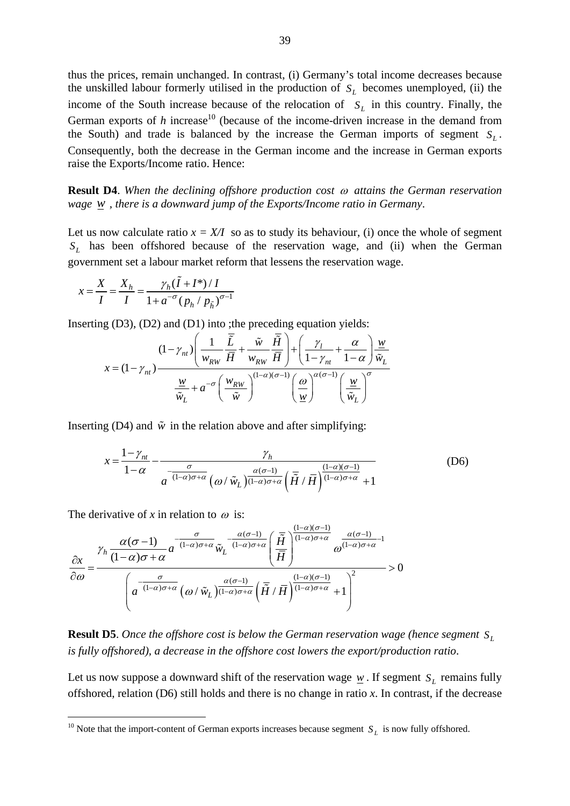thus the prices, remain unchanged. In contrast, (i) Germany's total income decreases because the unskilled labour formerly utilised in the production of  $S_L$  becomes unemployed, (ii) the income of the South increase because of the relocation of  $S_L$  in this country. Finally, the German exports of  $h$  increase<sup>10</sup> (because of the income-driven increase in the demand from the South) and trade is balanced by the increase the German imports of segment  $S_L$ . Consequently, both the decrease in the German income and the increase in German exports raise the Exports/Income ratio. Hence:

**Result D4.** When the declining offshore production cost  $\omega$  attains the German reservation *wage w , there is a downward jump of the Exports/Income ratio in Germany*.

Let us now calculate ratio  $x = X/I$  so as to study its behaviour, (i) once the whole of segment *<sup>L</sup> S* has been offshored because of the reservation wage, and (ii) when the German government set a labour market reform that lessens the reservation wage.

$$
x = \frac{X}{I} = \frac{X_h}{I} = \frac{\gamma_h (\tilde{I} + I^*) / I}{1 + a^{-\sigma} (p_h / p_{\tilde{h}})^{\sigma - 1}}
$$

Inserting (D3), (D2) and (D1) into ;the preceding equation yields:

$$
x = (1 - \gamma_{nt}) \left( \frac{1 - \bar{L}}{w_{RW}} \frac{\bar{H}}{\bar{H}} + \frac{\tilde{w}}{w_{RW}} \frac{\bar{H}}{\bar{H}} \right) + \left( \frac{\gamma_l}{1 - \gamma_{nt}} + \frac{\alpha}{1 - \alpha} \right) \frac{w}{\tilde{w}_L}
$$

$$
x = (1 - \gamma_{nt}) \frac{w}{\tilde{w}_L} + a^{-\sigma} \left( \frac{w_{RW}}{\tilde{w}} \right)^{(1 - \alpha)(\sigma - 1)} \left( \frac{\omega}{\underline{w}} \right)^{\alpha(\sigma - 1)} \left( \frac{\underline{w}}{\tilde{w}_L} \right)^{\sigma}
$$

Inserting (D4) and  $\tilde{w}$  in the relation above and after simplifying:

$$
x = \frac{1 - \gamma_{nt}}{1 - \alpha} - \frac{\gamma_{h}}{a^{\frac{-\sigma}{(1 - \alpha)\sigma + \alpha}} \left(\frac{\alpha(\sigma - 1)}{\alpha + \gamma}\right) \left(\frac{\alpha(\sigma - 1)}{1 - \alpha\right) \sigma + \alpha}} \frac{\gamma_{h}}{\left(\frac{\alpha(\sigma - 1)}{1 - \alpha\right) \sigma + \alpha} \left(\frac{\alpha(\sigma - 1)}{1 - \alpha\right) \sigma + \alpha} + 1}
$$
(D6)

The derivative of x in relation to  $\omega$  is:

1

$$
\frac{\partial x}{\partial \omega} = \frac{\gamma_h \frac{\alpha(\sigma - 1)}{(1 - \alpha)\sigma + \alpha} a^{-\frac{\sigma}{(1 - \alpha)\sigma + \alpha}} \tilde{w}_L^{-\frac{\alpha(\sigma - 1)}{(1 - \alpha)\sigma + \alpha}} \left(\frac{\overline{H}}{H}\right)^{\frac{(1 - \alpha)(\sigma - 1)}{(1 - \alpha)\sigma + \alpha}} \omega^{\frac{\alpha(\sigma - 1)}{(1 - \alpha)\sigma + \alpha} - 1}}{\left(a^{-\frac{\sigma}{(1 - \alpha)\sigma + \alpha}} \left(\frac{\alpha(\sigma - 1)}{(\alpha + \alpha)\sigma + \alpha} \left(\frac{\overline{H}}{H} / \overline{H}\right)^{\frac{(1 - \alpha)(\sigma - 1)}{(1 - \alpha)\sigma + \alpha}} + 1\right)^2} > 0
$$

**Result D5**. *Once the offshore cost is below the German reservation wage (hence segment S<sub>L</sub> is fully offshored), a decrease in the offshore cost lowers the export/production ratio*.

Let us now suppose a downward shift of the reservation wage  $w$ . If segment  $S<sub>t</sub>$  remains fully offshored, relation (D6) still holds and there is no change in ratio *x*. In contrast, if the decrease

<sup>&</sup>lt;sup>10</sup> Note that the import-content of German exports increases because segment  $S_L$  is now fully offshored.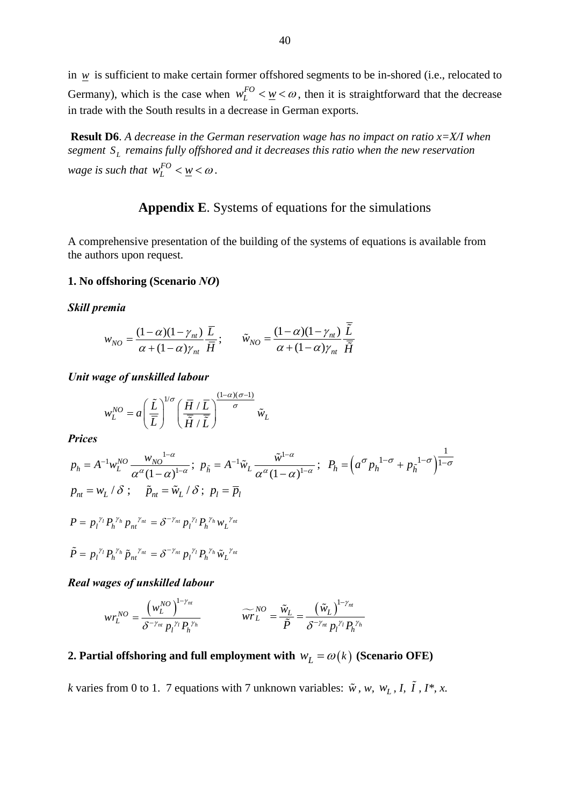in  $w$  is sufficient to make certain former offshored segments to be in-shored (i.e., relocated to Germany), which is the case when  $w_L^{FO} < \underline{w} < \omega$ , then it is straightforward that the decrease in trade with the South results in a decrease in German exports.

**Result D6**. *A decrease in the German reservation wage has no impact on ratio x=X/I when segment*  $S_L$  *remains fully offshored and it decreases this ratio when the new reservation wage is such that*  $w_L^{FO} < \underline{w} < \omega$ .

# **Appendix E**. Systems of equations for the simulations

A comprehensive presentation of the building of the systems of equations is available from the authors upon request.

#### **1. No offshoring (Scenario** *NO***)**

#### *Skill premia*

$$
w_{NO} = \frac{(1-\alpha)(1-\gamma_{nt})}{\alpha+(1-\alpha)\gamma_{nt}}\frac{\overline{L}}{\overline{H}}; \qquad \tilde{w}_{NO} = \frac{(1-\alpha)(1-\gamma_{nt})}{\alpha+(1-\alpha)\gamma_{nt}}\frac{\overline{\tilde{L}}}{\overline{\tilde{H}}}
$$

*Unit wage of unskilled labour* 

$$
w_L^{NO} = a \left(\frac{\tilde{L}}{\overline{L}}\right)^{1/\sigma} \left(\frac{\overline{H}}{\overline{H}} / \frac{\overline{L}}{\overline{L}}\right)^{\frac{(1-\alpha)(\sigma-1)}{\sigma}} \tilde{w}_L
$$

*Prices* 

$$
p_h = A^{-1} w_L^{NO} \frac{w_{NO}^{1-\alpha}}{\alpha^{\alpha} (1-\alpha)^{1-\alpha}}; \ p_{\tilde{h}} = A^{-1} \tilde{w}_L \frac{\tilde{w}^{1-\alpha}}{\alpha^{\alpha} (1-\alpha)^{1-\alpha}}; \ P_h = \left( a^{\sigma} p_h^{1-\sigma} + p_{\tilde{h}}^{1-\sigma} \right)^{\frac{1}{1-\sigma}}
$$
  

$$
p_{nt} = w_L / \delta; \quad \tilde{p}_{nt} = \tilde{w}_L / \delta; \ p_l = \overline{p}_l
$$

$$
P = p_l^{\gamma_l} P_h^{\gamma_h} p_{nt}^{\gamma_{nt}} = \delta^{-\gamma_{nt}} p_l^{\gamma_l} P_h^{\gamma_h} w_L^{\gamma_{nt}}
$$
  

$$
\tilde{P} = p_l^{\gamma_l} P_h^{\gamma_h} \tilde{p}_{nt}^{\gamma_{nt}} = \delta^{-\gamma_{nt}} p_l^{\gamma_l} P_h^{\gamma_h} \tilde{w}_L^{\gamma_{nt}}
$$

*Real wages of unskilled labour* 

$$
wr_L^{NO} = \frac{\left(w_L^{NO}\right)^{1-\gamma_{nt}}}{\delta^{-\gamma_{nt}} p_l^{\gamma_l} P_h^{\gamma_h}}
$$
 
$$
\widetilde{wr}_L^{\quad NO} = \frac{\widetilde{w}_L}{\widetilde{P}} = \frac{\left(\widetilde{w}_L\right)^{1-\gamma_{nt}}}{\delta^{-\gamma_{nt}} p_l^{\gamma_l} P_h^{\gamma_h}}
$$

## **2. Partial offshoring and full employment with**  $w_L = \omega(k)$  **(Scenario OFE)**

*k* varies from 0 to 1. 7 equations with 7 unknown variables:  $\tilde{w}$ ,  $w$ ,  $w_L$ ,  $I$ ,  $\tilde{I}$ ,  $I^*$ ,  $x$ .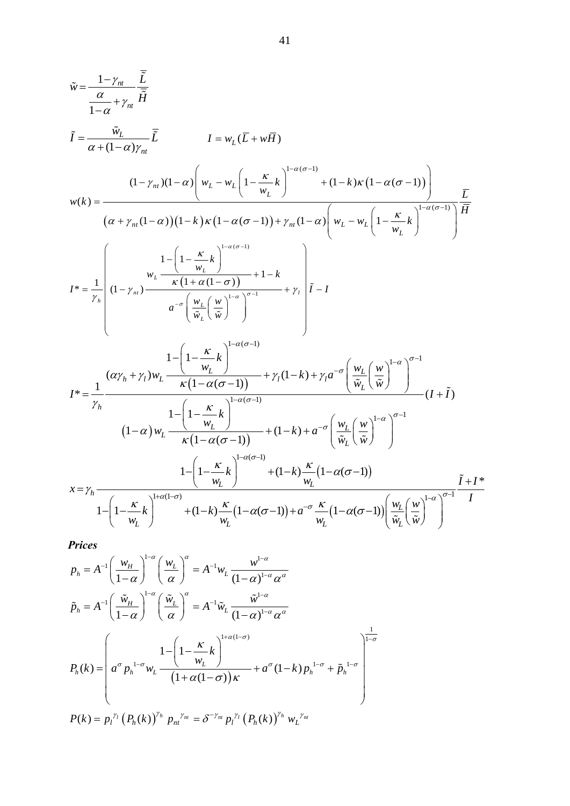$$
\tilde{w} = \frac{1 - \gamma_m}{\frac{\alpha}{1 - \alpha} + \gamma_m} \frac{\overline{L}}{\overline{H}}
$$
\n
$$
\tilde{I} = \frac{\tilde{w}_L}{\alpha + (1 - \alpha)\gamma_m} \overline{L}
$$
\n
$$
I = w_L(\overline{L} + w\overline{H})
$$
\n
$$
w(k) = \frac{(1 - \gamma_m)(1 - \alpha)\left(w_L - w_L\left(1 - \frac{\kappa}{w_L}k\right)^{1 - \alpha(\sigma - 1)} + (1 - k)\kappa(1 - \alpha(\sigma - 1))\right)}{(\alpha + \gamma_m(1 - \alpha))(1 - k)\kappa(1 - \alpha(\sigma - 1)) + \gamma_m(1 - \alpha)\left(w_L - w_L\left(1 - \frac{\kappa}{w_L}k\right)^{1 - \alpha(\sigma - 1)}\right)} \frac{\overline{L}}{\overline{H}}
$$
\n
$$
I^* = \frac{1}{\gamma_s} \left(1 - \gamma_m\right) \frac{w_L - \frac{1 - \left(1 - \frac{\kappa}{w_L}k\right)^{1 - \alpha(\sigma - 1)}}{\alpha^{-\sigma}\left(\frac{w_L}{\tilde{w}_L} \left(\frac{w}{\tilde{w}}\right)^{1 - \alpha}} + 1 - k}{\alpha^{-\sigma}\left(\frac{w_L}{\tilde{w}_L} \left(\frac{w}{\tilde{w}}\right)^{1 - \alpha}}\right)} \right) \overline{I} - I
$$
\n
$$
I^* = \frac{1}{\gamma_s} \frac{(\alpha\gamma_h + \gamma_l)w_L - \frac{1 - \left(1 - \frac{\kappa}{w_L}k\right)^{1 - \alpha(\sigma - 1)}}{\kappa(1 - \alpha(\sigma - 1))} + \gamma_l(1 - k) + \gamma_l \alpha^{-\sigma}\left(\frac{w_L}{\tilde{w}_L} \left(\frac{w}{\tilde{w}}\right)^{1 - \alpha}\right)^{\sigma - 1}} (I + \tilde{I})
$$
\n
$$
(1 - \alpha)w_L - \frac{1 - \left(1 - \frac{\kappa}{w_L}k\right)^{1 - \alpha(\sigma - 1)}}{\kappa(1 - \alpha(\sigma - 1))} + (1 - k) + \alpha^{-\sigma}\left(\frac{w_L}{\tilde{w}_L} \left(\frac{w}{\tilde{w}}\right)^{1 - \alpha}\right)^{\sigma - 1}} (I +
$$

*Prices* 

$$
p_{h} = A^{-1} \left(\frac{w_{H}}{1-\alpha}\right)^{1-\alpha} \left(\frac{w_{L}}{\alpha}\right)^{\alpha} = A^{-1} w_{L} \frac{w^{1-\alpha}}{(1-\alpha)^{1-\alpha} \alpha^{\alpha}}
$$
  
\n
$$
\tilde{p}_{h} = A^{-1} \left(\frac{\tilde{w}_{H}}{1-\alpha}\right)^{1-\alpha} \left(\frac{\tilde{w}_{L}}{\alpha}\right)^{\alpha} = A^{-1} \tilde{w}_{L} \frac{\tilde{w}^{1-\alpha}}{(1-\alpha)^{1-\alpha} \alpha^{\alpha}}
$$
  
\n
$$
P_{h}(k) = \begin{pmatrix} 1 - \left(1 - \frac{\kappa}{w_{L}}k\right)^{1+\alpha(1-\sigma)} \\ a^{\sigma} p_{h}^{1-\sigma} w_{L} \frac{1 - \left(1 - \frac{\kappa}{w_{L}}k\right)^{1+\alpha(1-\sigma)}}{(1+\alpha(1-\sigma))\kappa} + a^{\sigma}(1-k) p_{h}^{1-\sigma} + \tilde{p}_{h}^{1-\sigma} \end{pmatrix}^{\frac{1}{1-\sigma}}
$$
  
\n
$$
P(k) = p_{l}^{\gamma_{l}} (P_{h}(k))^{\gamma_{h}} p_{m}^{\gamma_{m}} = \delta^{-\gamma_{m}} p_{l}^{\gamma_{l}} (P_{h}(k))^{\gamma_{h}} w_{L}^{\gamma_{m}}
$$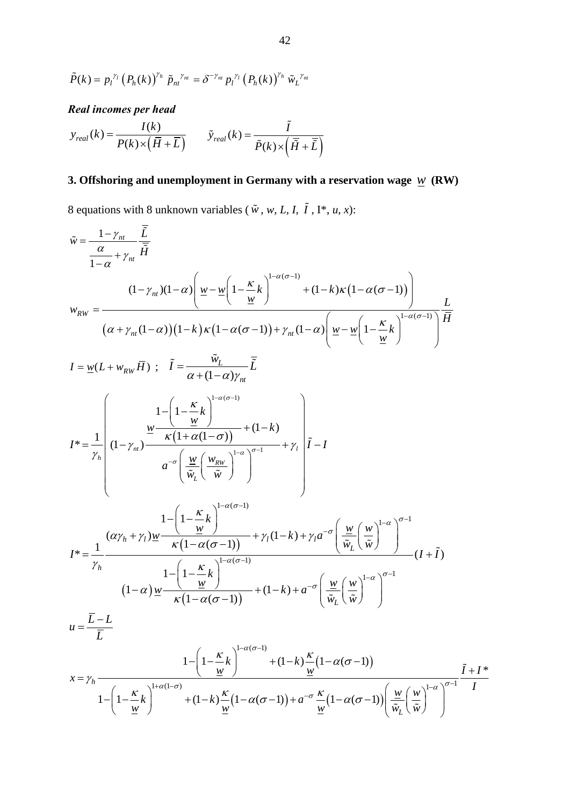$$
\tilde{P}(k) = p_l^{\gamma_l} (P_h(k))^{\gamma_h} \tilde{p}_{nt}^{\gamma_{nt}} = \delta^{-\gamma_{nt}} p_l^{\gamma_l} (P_h(k))^{\gamma_h} \tilde{w}_L^{\gamma_{nt}}
$$

*Real incomes per head* 

$$
y_{real}(k) = \frac{I(k)}{P(k) \times (\overline{H} + \overline{L})} \qquad \tilde{y}_{real}(k) = \frac{\tilde{I}}{\tilde{P}(k) \times (\overline{\tilde{H}} + \overline{\tilde{L}})}
$$

# **3. Offshoring and unemployment in Germany with a reservation wage**  $\psi$  **(RW)**

8 equations with 8 unknown variables ( $\tilde{w}$ , *w*, *L*, *I*, *I*<sup>\*</sup>, *u*, *x*):

$$
\tilde{w} = \frac{1 - \gamma_{nl}}{1 - \alpha} + \gamma_{nl} \overline{\tilde{H}}
$$
\n
$$
w_{RW} = \frac{(1 - \gamma_{nl})(1 - \alpha) \left( \underline{w} - \underline{w} \left( 1 - \frac{\kappa}{\underline{w}} k \right)^{1 - \alpha(\sigma - 1)} + (1 - k)\kappa (1 - \alpha(\sigma - 1)) \right)}{(\alpha + \gamma_{nl}(1 - \alpha)) (1 - k) \kappa (1 - \alpha(\sigma - 1)) + \gamma_{nl}(1 - \alpha) \left( \underline{w} - \underline{w} \left( 1 - \frac{\kappa}{\underline{w}} k \right)^{1 - \alpha(\sigma - 1)} \right)} \overline{\tilde{H}}
$$
\n
$$
I = \underline{w}(L + w_{RW}\overline{H}) ; \quad \tilde{I} = \frac{\tilde{w}_L}{\alpha + (1 - \alpha)\gamma_{nl}} \overline{\tilde{L}}
$$
\n
$$
I^* = \frac{1}{\gamma_h} \left( 1 - \gamma_{nl} \right) \frac{\underline{w} - \left( 1 - \frac{\kappa}{\underline{w}} k \right)^{1 - \alpha(\sigma - 1)}}{\alpha^{-\sigma} \left( \frac{\underline{w}}{\tilde{w}_L} \left( \frac{w_{RW}}{\tilde{w}} \right)^{1 - \sigma} \right)^{\sigma - 1}} + \gamma_l \left| \overline{I} - I \right|
$$
\n
$$
I^* = \frac{1}{\gamma_h} \frac{(\alpha \gamma_h + \gamma_l) \underline{w} - \kappa (1 - \alpha(\sigma - 1))}{\kappa (1 - \alpha(\sigma - 1))} + \gamma_l (1 - k) + \gamma_l \alpha^{-\sigma} \left( \frac{\underline{w}}{\tilde{w}_L} \left( \frac{\underline{w}}{\tilde{w}} \right)^{1 - \alpha} \right)^{\sigma - 1}}{(1 - \alpha) \underline{w} \frac{1 - \left( 1 - \frac{\kappa}{\underline{w}} k \right)^{1 - \alpha(\sigma - 1)}}{\kappa (1 - \alpha(\sigma - 1))} + (1 - k) + \alpha^{-\sigma} \left( \frac{\underline{w}}{\tilde{w}_L} \left( \frac{\underline{w}}{\tilde{w}} \right)^{1 - \alpha} \right)^{\sigma - 1}} (I + \tilde{I})
$$
\n
$$
u = \frac{\overline{L} - L
$$